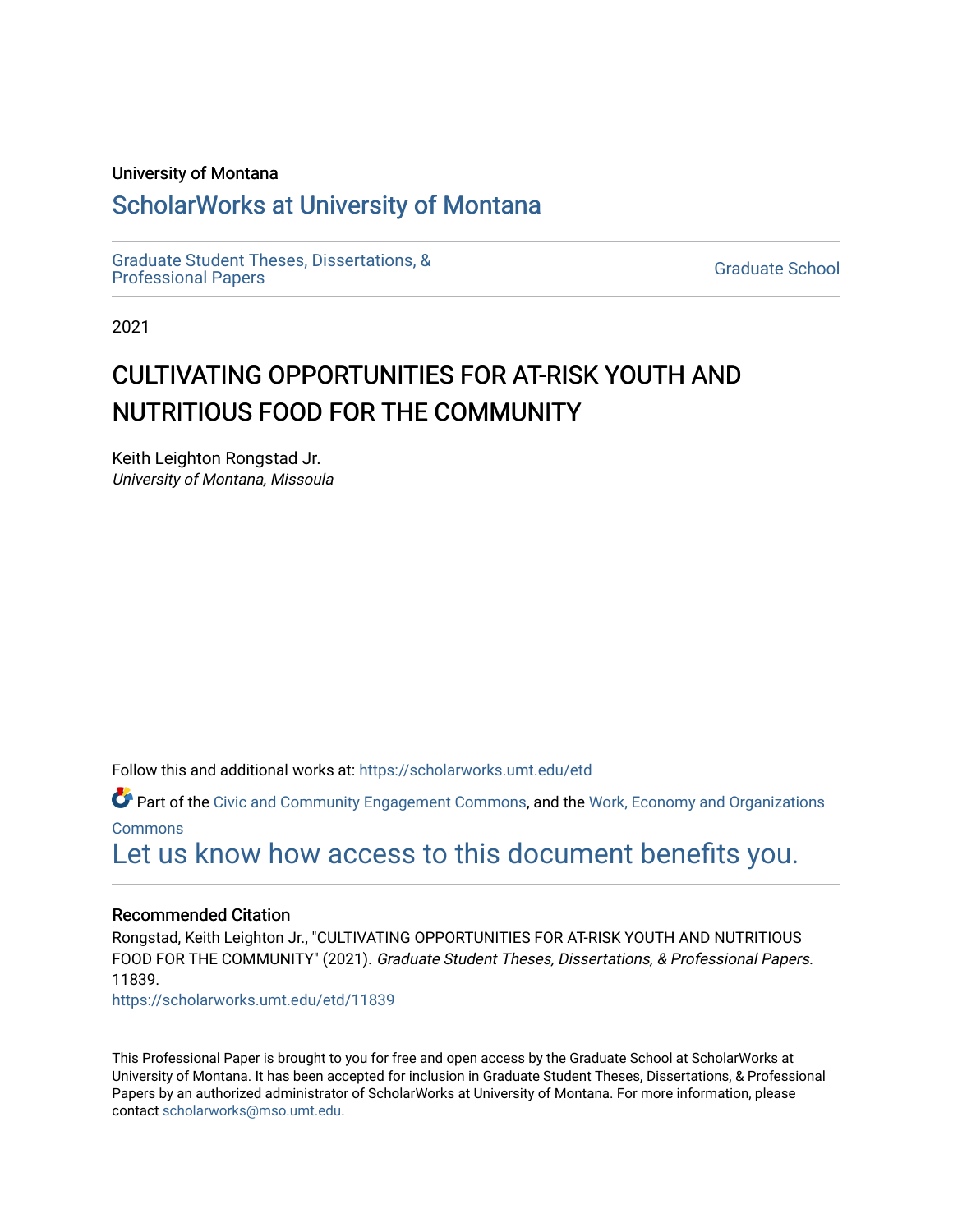#### University of Montana

# [ScholarWorks at University of Montana](https://scholarworks.umt.edu/)

[Graduate Student Theses, Dissertations, &](https://scholarworks.umt.edu/etd) Graduate Student Theses, Dissertations, & Contract Control of the Graduate School [Professional Papers](https://scholarworks.umt.edu/etd) Contract Control of the Contract Control of the Contract Control of the Contract Contract Contract Control of the Contra

2021

# CULTIVATING OPPORTUNITIES FOR AT-RISK YOUTH AND NUTRITIOUS FOOD FOR THE COMMUNITY

Keith Leighton Rongstad Jr. University of Montana, Missoula

Follow this and additional works at: [https://scholarworks.umt.edu/etd](https://scholarworks.umt.edu/etd?utm_source=scholarworks.umt.edu%2Fetd%2F11839&utm_medium=PDF&utm_campaign=PDFCoverPages) 

Part of the [Civic and Community Engagement Commons](http://network.bepress.com/hgg/discipline/1028?utm_source=scholarworks.umt.edu%2Fetd%2F11839&utm_medium=PDF&utm_campaign=PDFCoverPages), and the [Work, Economy and Organizations](http://network.bepress.com/hgg/discipline/433?utm_source=scholarworks.umt.edu%2Fetd%2F11839&utm_medium=PDF&utm_campaign=PDFCoverPages) **[Commons](http://network.bepress.com/hgg/discipline/433?utm_source=scholarworks.umt.edu%2Fetd%2F11839&utm_medium=PDF&utm_campaign=PDFCoverPages)** 

[Let us know how access to this document benefits you.](https://goo.gl/forms/s2rGfXOLzz71qgsB2) 

#### Recommended Citation

Rongstad, Keith Leighton Jr., "CULTIVATING OPPORTUNITIES FOR AT-RISK YOUTH AND NUTRITIOUS FOOD FOR THE COMMUNITY" (2021). Graduate Student Theses, Dissertations, & Professional Papers. 11839.

[https://scholarworks.umt.edu/etd/11839](https://scholarworks.umt.edu/etd/11839?utm_source=scholarworks.umt.edu%2Fetd%2F11839&utm_medium=PDF&utm_campaign=PDFCoverPages) 

This Professional Paper is brought to you for free and open access by the Graduate School at ScholarWorks at University of Montana. It has been accepted for inclusion in Graduate Student Theses, Dissertations, & Professional Papers by an authorized administrator of ScholarWorks at University of Montana. For more information, please contact [scholarworks@mso.umt.edu](mailto:scholarworks@mso.umt.edu).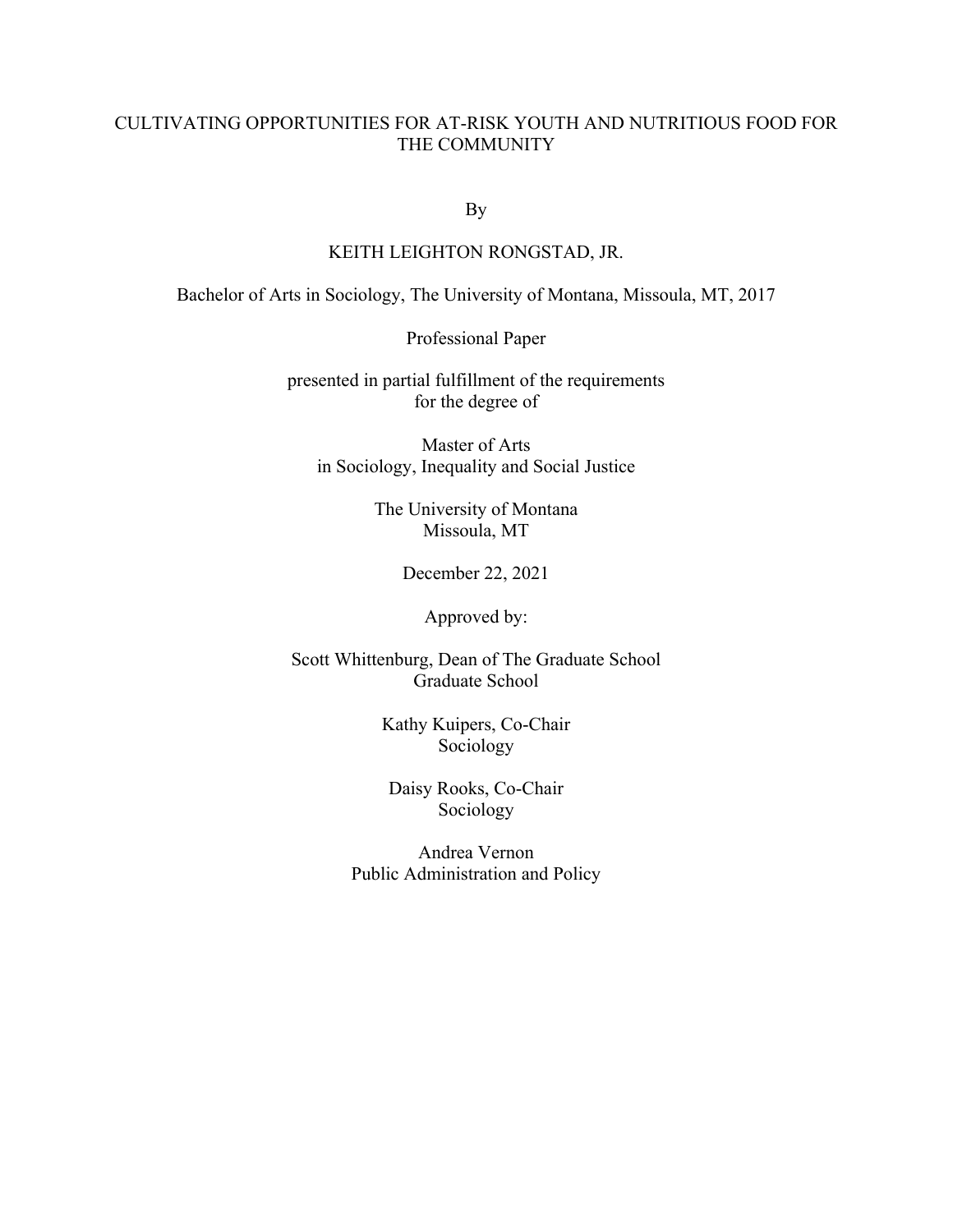### CULTIVATING OPPORTUNITIES FOR AT-RISK YOUTH AND NUTRITIOUS FOOD FOR THE COMMUNITY

By

#### KEITH LEIGHTON RONGSTAD, JR.

Bachelor of Arts in Sociology, The University of Montana, Missoula, MT, 2017

Professional Paper

presented in partial fulfillment of the requirements for the degree of

Master of Arts in Sociology, Inequality and Social Justice

> The University of Montana Missoula, MT

> > December 22, 2021

Approved by:

Scott Whittenburg, Dean of The Graduate School Graduate School

> Kathy Kuipers, Co-Chair Sociology

Daisy Rooks, Co-Chair Sociology

Andrea Vernon Public Administration and Policy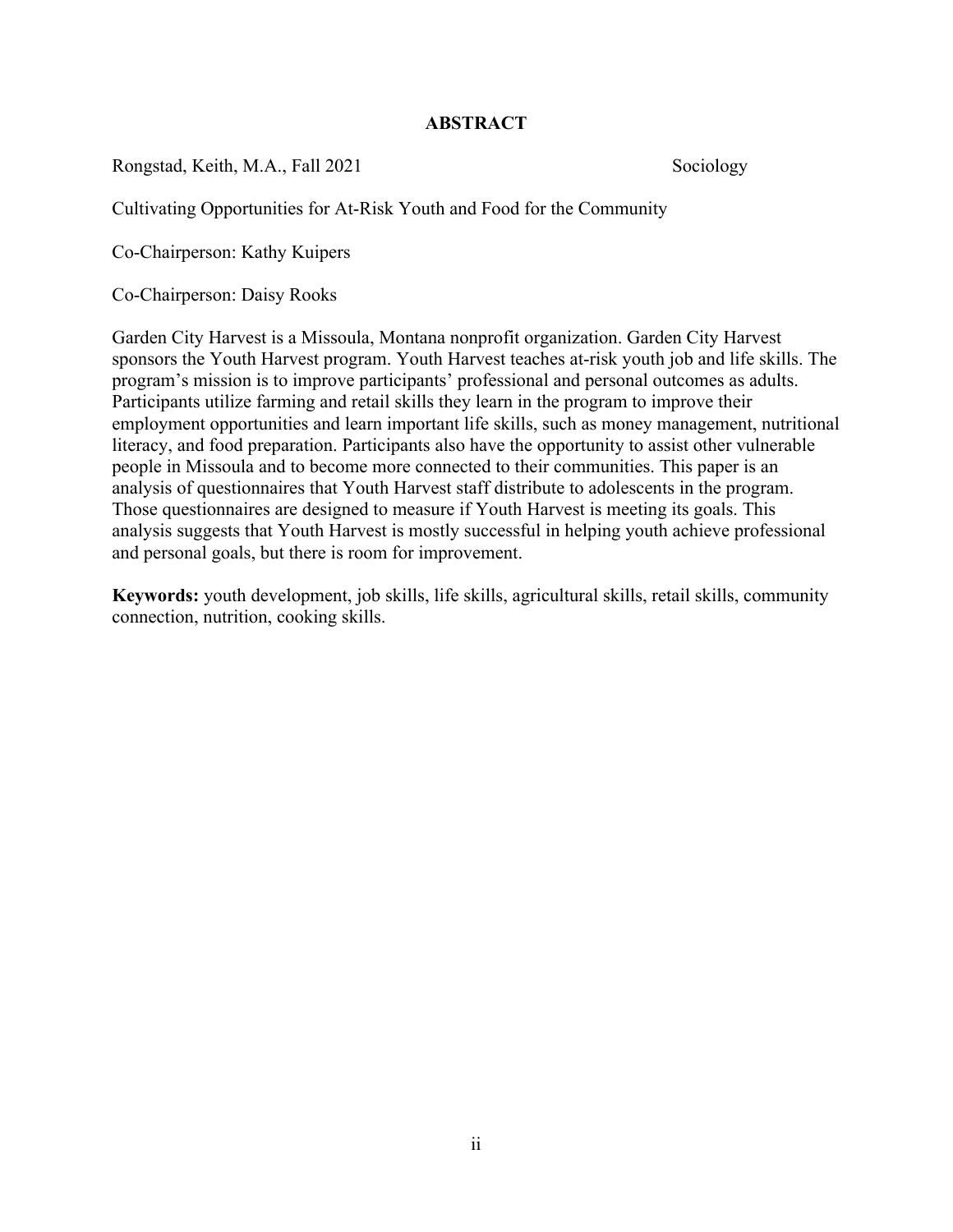### **ABSTRACT**

Rongstad, Keith, M.A., Fall 2021 Sociology

Cultivating Opportunities for At-Risk Youth and Food for the Community

Co-Chairperson: Kathy Kuipers

Co-Chairperson: Daisy Rooks

Garden City Harvest is a Missoula, Montana nonprofit organization. Garden City Harvest sponsors the Youth Harvest program. Youth Harvest teaches at-risk youth job and life skills. The program's mission is to improve participants' professional and personal outcomes as adults. Participants utilize farming and retail skills they learn in the program to improve their employment opportunities and learn important life skills, such as money management, nutritional literacy, and food preparation. Participants also have the opportunity to assist other vulnerable people in Missoula and to become more connected to their communities. This paper is an analysis of questionnaires that Youth Harvest staff distribute to adolescents in the program. Those questionnaires are designed to measure if Youth Harvest is meeting its goals. This analysis suggests that Youth Harvest is mostly successful in helping youth achieve professional and personal goals, but there is room for improvement.

**Keywords:** youth development, job skills, life skills, agricultural skills, retail skills, community connection, nutrition, cooking skills.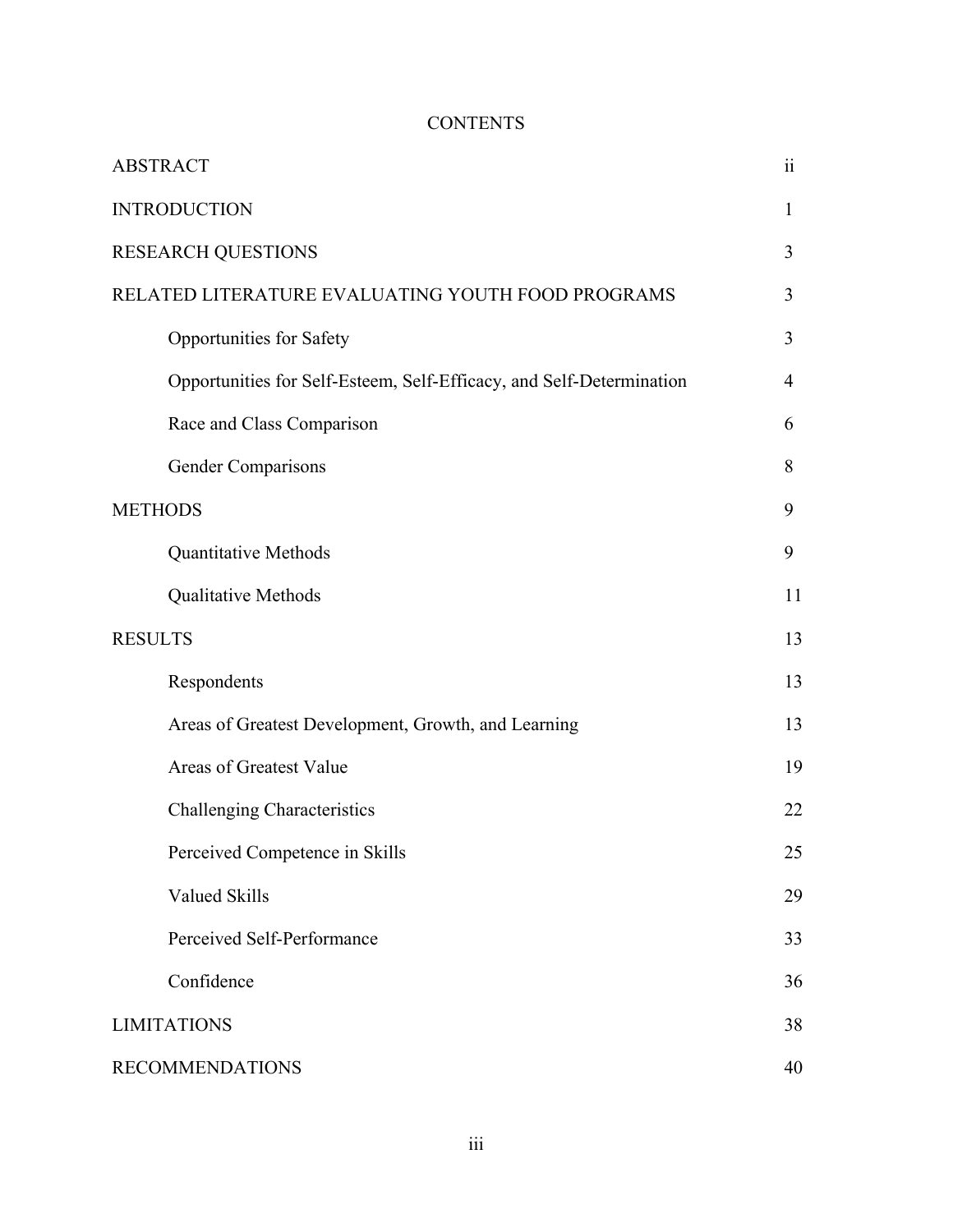# **CONTENTS**

| <b>ABSTRACT</b>                                                      | $\ddot{\mathbf{i}}$ |
|----------------------------------------------------------------------|---------------------|
| <b>INTRODUCTION</b>                                                  | 1                   |
| <b>RESEARCH QUESTIONS</b>                                            | 3                   |
| RELATED LITERATURE EVALUATING YOUTH FOOD PROGRAMS                    | 3                   |
| Opportunities for Safety                                             | 3                   |
| Opportunities for Self-Esteem, Self-Efficacy, and Self-Determination | 4                   |
| Race and Class Comparison                                            | 6                   |
| Gender Comparisons                                                   | 8                   |
| <b>METHODS</b>                                                       | 9                   |
| Quantitative Methods                                                 | 9                   |
| Qualitative Methods                                                  | 11                  |
| <b>RESULTS</b>                                                       | 13                  |
| Respondents                                                          | 13                  |
| Areas of Greatest Development, Growth, and Learning                  | 13                  |
| Areas of Greatest Value                                              | 19                  |
| <b>Challenging Characteristics</b>                                   | 22                  |
| Perceived Competence in Skills                                       | 25                  |
| Valued Skills                                                        | 29                  |
| Perceived Self-Performance                                           | 33                  |
| Confidence                                                           | 36                  |
| <b>LIMITATIONS</b>                                                   | 38                  |
| <b>RECOMMENDATIONS</b>                                               | 40                  |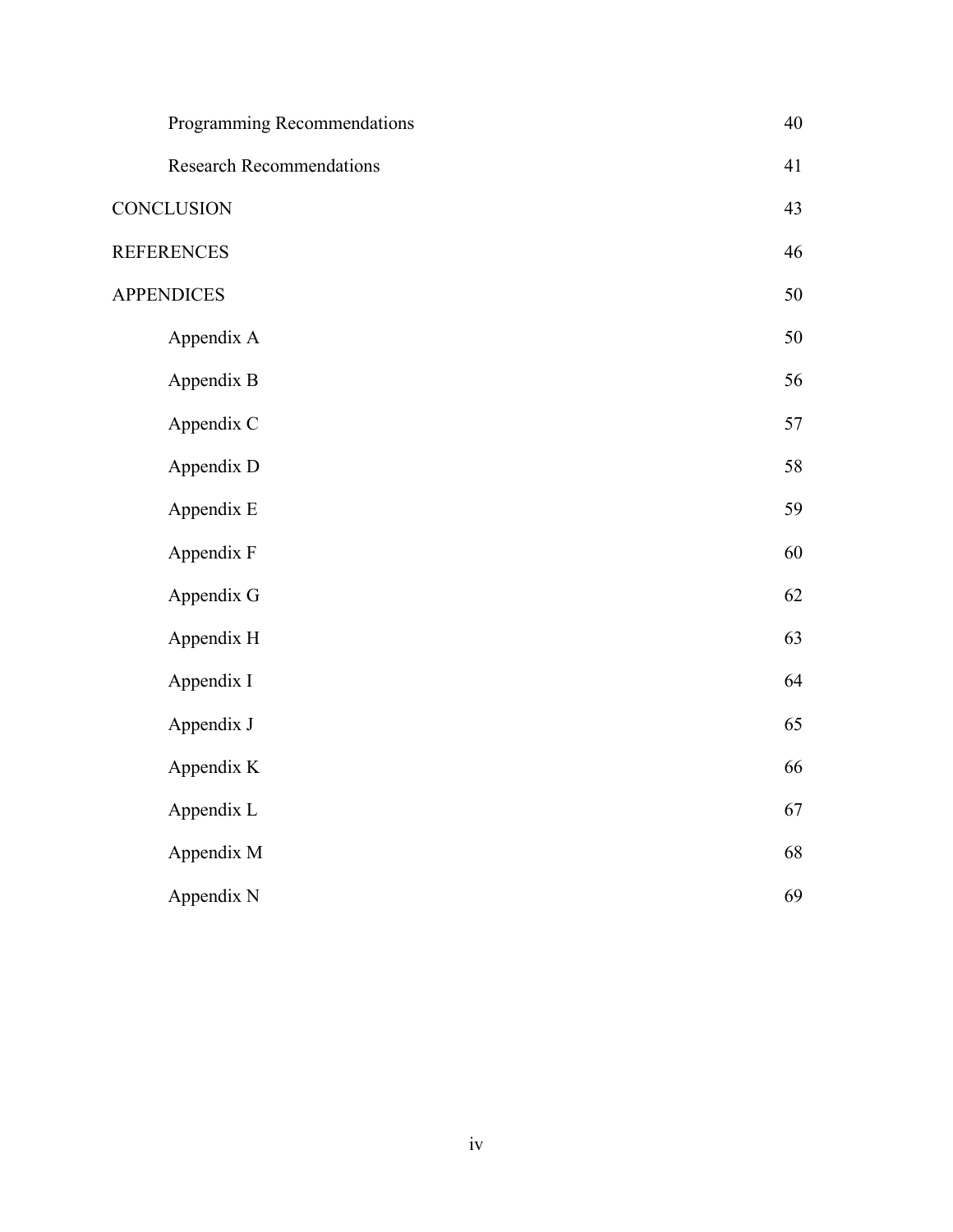| Programming Recommendations     | 40 |
|---------------------------------|----|
| <b>Research Recommendations</b> | 41 |
| <b>CONCLUSION</b>               | 43 |
| <b>REFERENCES</b>               | 46 |
| <b>APPENDICES</b>               | 50 |
| Appendix A                      | 50 |
| Appendix B                      | 56 |
| Appendix C                      | 57 |
| Appendix D                      | 58 |
| Appendix E                      | 59 |
| Appendix F                      | 60 |
| Appendix G                      | 62 |
| Appendix H                      | 63 |
| Appendix I                      | 64 |
| Appendix J                      | 65 |
| Appendix K                      | 66 |
| Appendix L                      | 67 |
| Appendix M                      | 68 |
| Appendix N                      | 69 |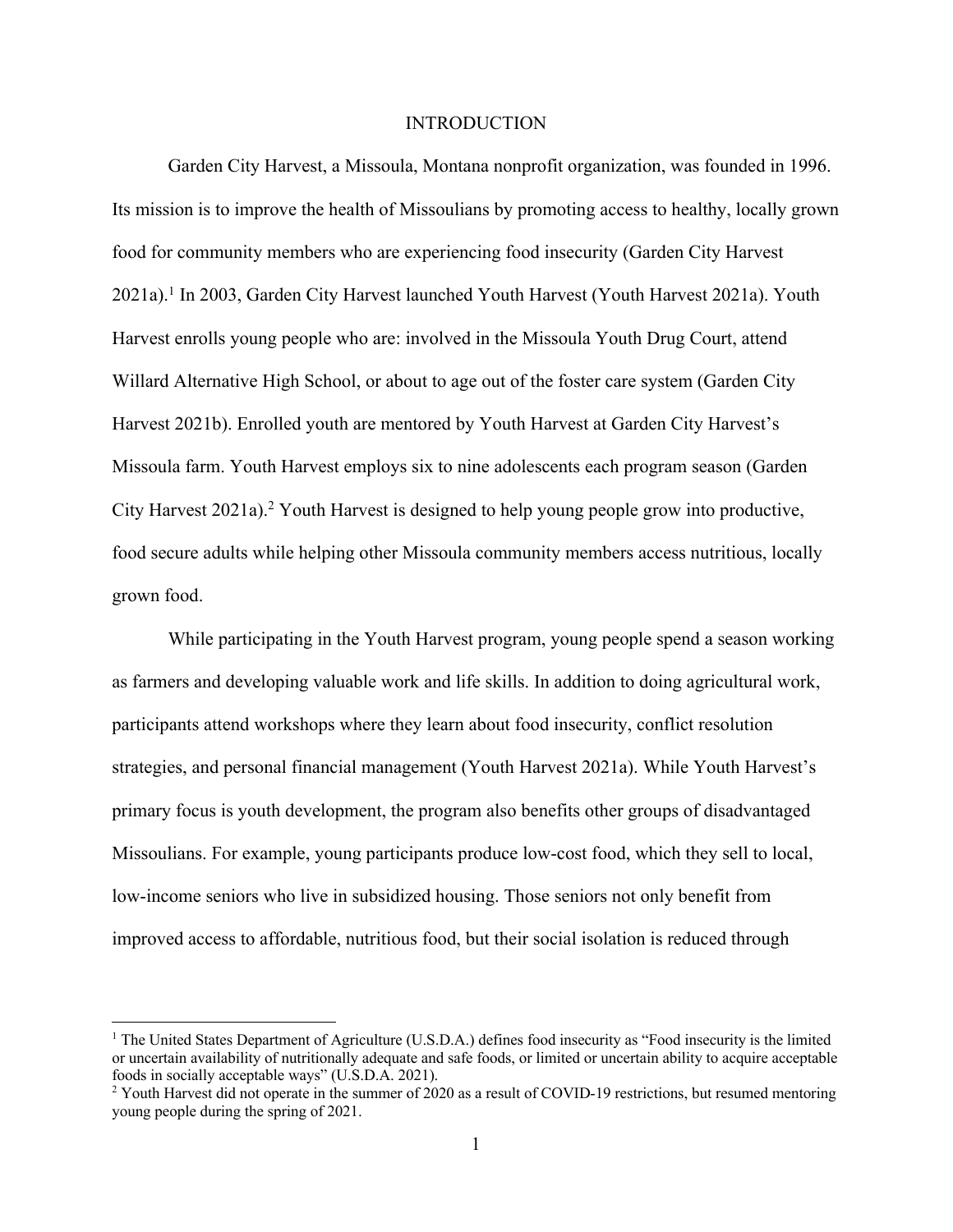#### INTRODUCTION

Garden City Harvest, a Missoula, Montana nonprofit organization, was founded in 1996. Its mission is to improve the health of Missoulians by promoting access to healthy, locally grown food for community members who are experiencing food insecurity (Garden City Harvest 2021a).1 In 2003, Garden City Harvest launched Youth Harvest (Youth Harvest 2021a). Youth Harvest enrolls young people who are: involved in the Missoula Youth Drug Court, attend Willard Alternative High School, or about to age out of the foster care system (Garden City Harvest 2021b). Enrolled youth are mentored by Youth Harvest at Garden City Harvest's Missoula farm. Youth Harvest employs six to nine adolescents each program season (Garden City Harvest 2021a).2 Youth Harvest is designed to help young people grow into productive, food secure adults while helping other Missoula community members access nutritious, locally grown food.

While participating in the Youth Harvest program, young people spend a season working as farmers and developing valuable work and life skills. In addition to doing agricultural work, participants attend workshops where they learn about food insecurity, conflict resolution strategies, and personal financial management (Youth Harvest 2021a). While Youth Harvest's primary focus is youth development, the program also benefits other groups of disadvantaged Missoulians. For example, young participants produce low-cost food, which they sell to local, low-income seniors who live in subsidized housing. Those seniors not only benefit from improved access to affordable, nutritious food, but their social isolation is reduced through

<sup>&</sup>lt;sup>1</sup> The United States Department of Agriculture (U.S.D.A.) defines food insecurity as "Food insecurity is the limited or uncertain availability of nutritionally adequate and safe foods, or limited or uncertain ability to acquire acceptable foods in socially acceptable ways" (U.S.D.A. 2021).

 $2$  Youth Harvest did not operate in the summer of 2020 as a result of COVID-19 restrictions, but resumed mentoring young people during the spring of 2021.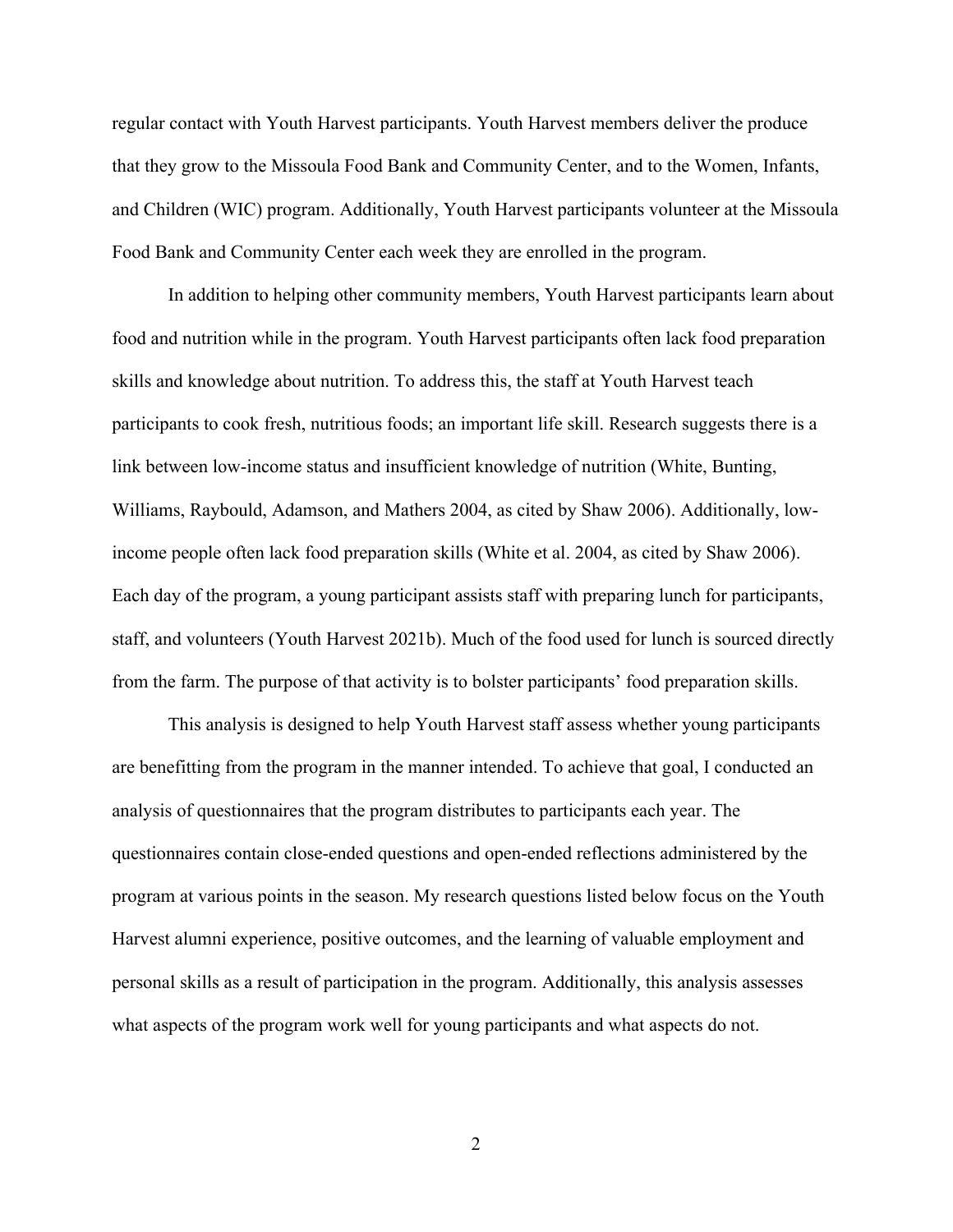regular contact with Youth Harvest participants. Youth Harvest members deliver the produce that they grow to the Missoula Food Bank and Community Center, and to the Women, Infants, and Children (WIC) program. Additionally, Youth Harvest participants volunteer at the Missoula Food Bank and Community Center each week they are enrolled in the program.

In addition to helping other community members, Youth Harvest participants learn about food and nutrition while in the program. Youth Harvest participants often lack food preparation skills and knowledge about nutrition. To address this, the staff at Youth Harvest teach participants to cook fresh, nutritious foods; an important life skill. Research suggests there is a link between low-income status and insufficient knowledge of nutrition (White, Bunting, Williams, Raybould, Adamson, and Mathers 2004, as cited by Shaw 2006). Additionally, lowincome people often lack food preparation skills (White et al. 2004, as cited by Shaw 2006). Each day of the program, a young participant assists staff with preparing lunch for participants, staff, and volunteers (Youth Harvest 2021b). Much of the food used for lunch is sourced directly from the farm. The purpose of that activity is to bolster participants' food preparation skills.

This analysis is designed to help Youth Harvest staff assess whether young participants are benefitting from the program in the manner intended. To achieve that goal, I conducted an analysis of questionnaires that the program distributes to participants each year. The questionnaires contain close-ended questions and open-ended reflections administered by the program at various points in the season. My research questions listed below focus on the Youth Harvest alumni experience, positive outcomes, and the learning of valuable employment and personal skills as a result of participation in the program. Additionally, this analysis assesses what aspects of the program work well for young participants and what aspects do not.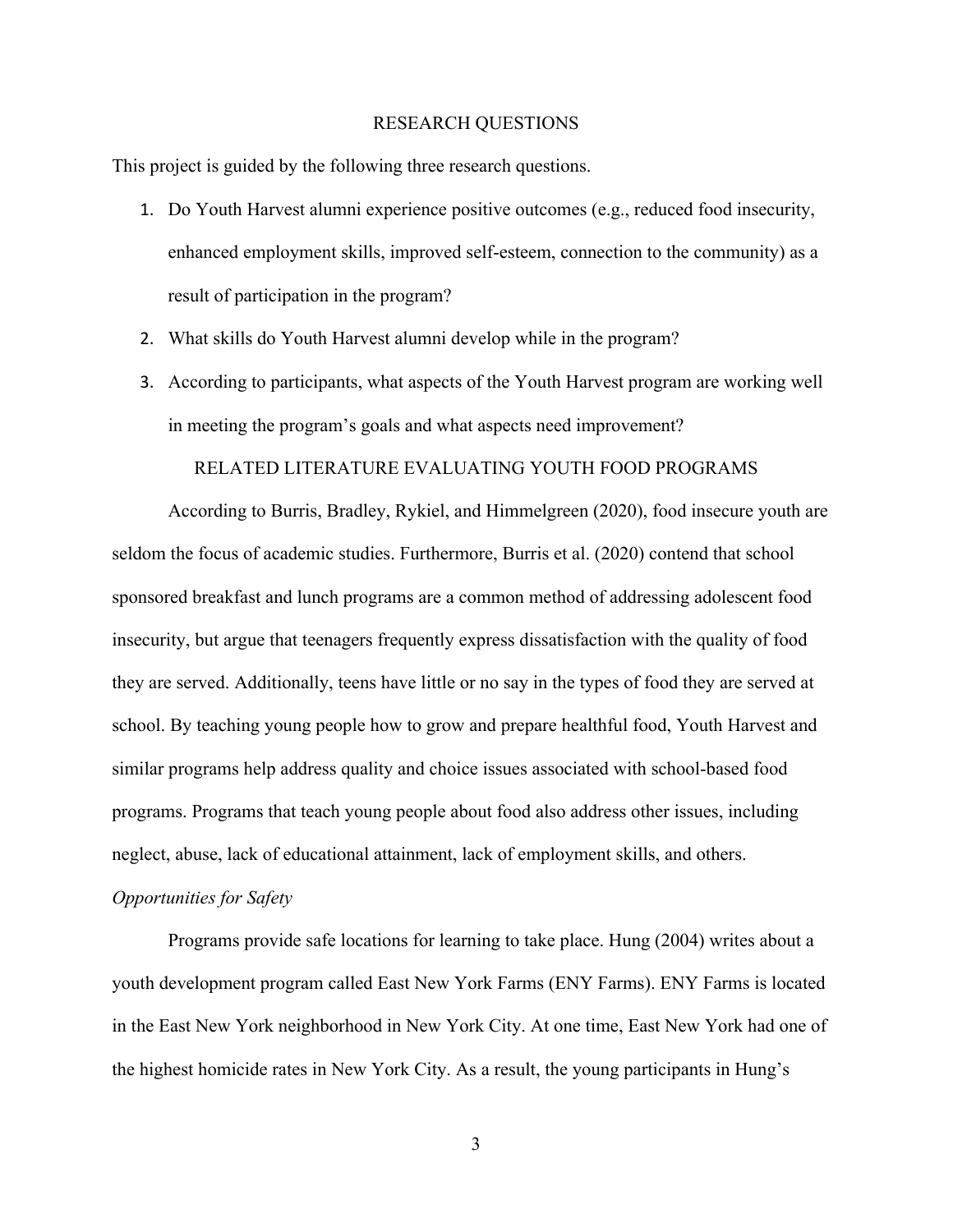#### RESEARCH QUESTIONS

This project is guided by the following three research questions.

- 1. Do Youth Harvest alumni experience positive outcomes (e.g., reduced food insecurity, enhanced employment skills, improved self-esteem, connection to the community) as a result of participation in the program?
- 2. What skills do Youth Harvest alumni develop while in the program?
- 3. According to participants, what aspects of the Youth Harvest program are working well in meeting the program's goals and what aspects need improvement?

#### RELATED LITERATURE EVALUATING YOUTH FOOD PROGRAMS

According to Burris, Bradley, Rykiel, and Himmelgreen (2020), food insecure youth are seldom the focus of academic studies. Furthermore, Burris et al. (2020) contend that school sponsored breakfast and lunch programs are a common method of addressing adolescent food insecurity, but argue that teenagers frequently express dissatisfaction with the quality of food they are served. Additionally, teens have little or no say in the types of food they are served at school. By teaching young people how to grow and prepare healthful food, Youth Harvest and similar programs help address quality and choice issues associated with school-based food programs. Programs that teach young people about food also address other issues, including neglect, abuse, lack of educational attainment, lack of employment skills, and others. *Opportunities for Safety*

Programs provide safe locations for learning to take place. Hung (2004) writes about a youth development program called East New York Farms (ENY Farms). ENY Farms is located in the East New York neighborhood in New York City. At one time, East New York had one of the highest homicide rates in New York City. As a result, the young participants in Hung's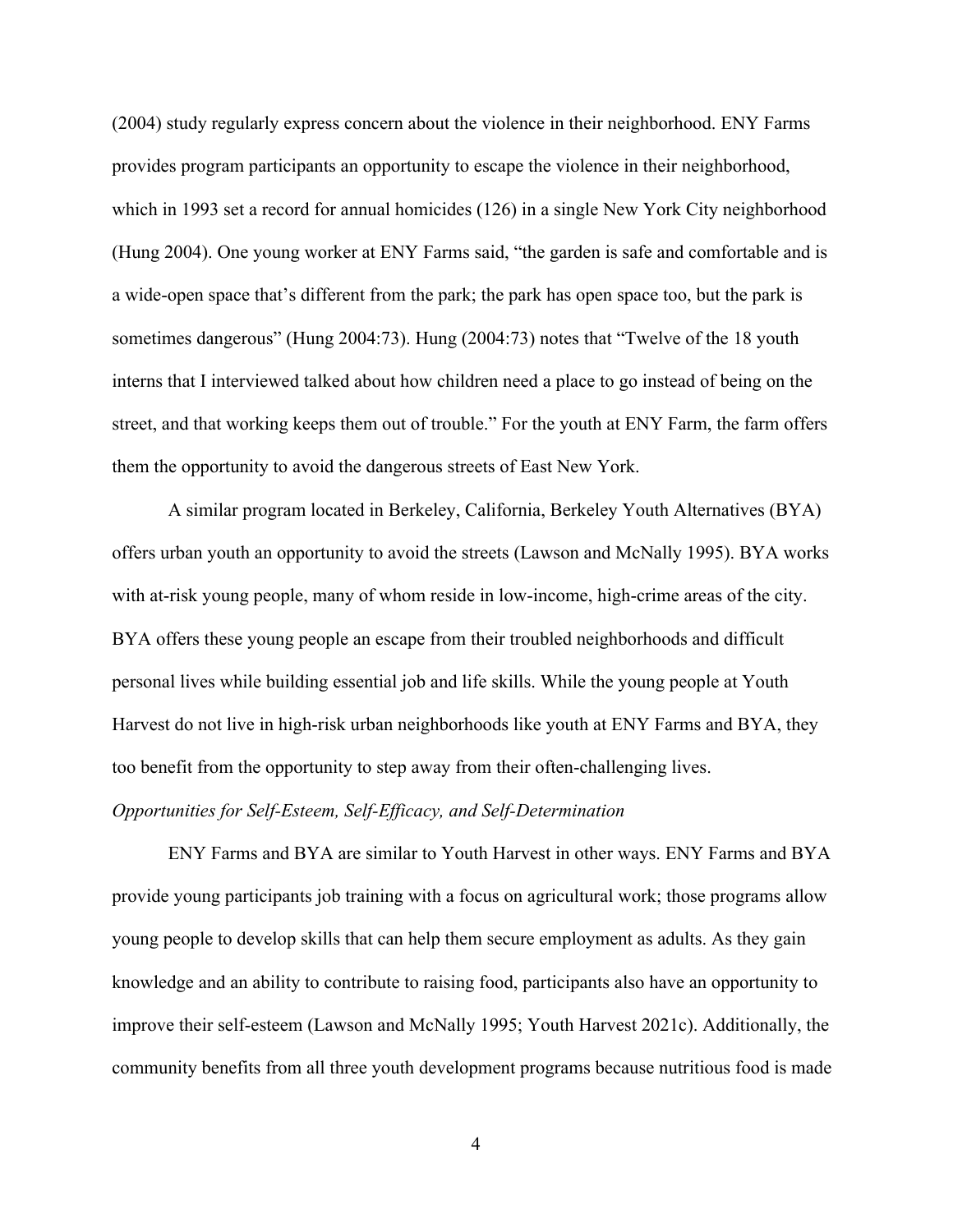(2004) study regularly express concern about the violence in their neighborhood. ENY Farms provides program participants an opportunity to escape the violence in their neighborhood, which in 1993 set a record for annual homicides (126) in a single New York City neighborhood (Hung 2004). One young worker at ENY Farms said, "the garden is safe and comfortable and is a wide-open space that's different from the park; the park has open space too, but the park is sometimes dangerous" (Hung 2004:73). Hung (2004:73) notes that "Twelve of the 18 youth interns that I interviewed talked about how children need a place to go instead of being on the street, and that working keeps them out of trouble." For the youth at ENY Farm, the farm offers them the opportunity to avoid the dangerous streets of East New York.

A similar program located in Berkeley, California, Berkeley Youth Alternatives (BYA) offers urban youth an opportunity to avoid the streets (Lawson and McNally 1995). BYA works with at-risk young people, many of whom reside in low-income, high-crime areas of the city. BYA offers these young people an escape from their troubled neighborhoods and difficult personal lives while building essential job and life skills. While the young people at Youth Harvest do not live in high-risk urban neighborhoods like youth at ENY Farms and BYA, they too benefit from the opportunity to step away from their often-challenging lives.

#### *Opportunities for Self-Esteem, Self-Efficacy, and Self-Determination*

ENY Farms and BYA are similar to Youth Harvest in other ways. ENY Farms and BYA provide young participants job training with a focus on agricultural work; those programs allow young people to develop skills that can help them secure employment as adults. As they gain knowledge and an ability to contribute to raising food, participants also have an opportunity to improve their self-esteem (Lawson and McNally 1995; Youth Harvest 2021c). Additionally, the community benefits from all three youth development programs because nutritious food is made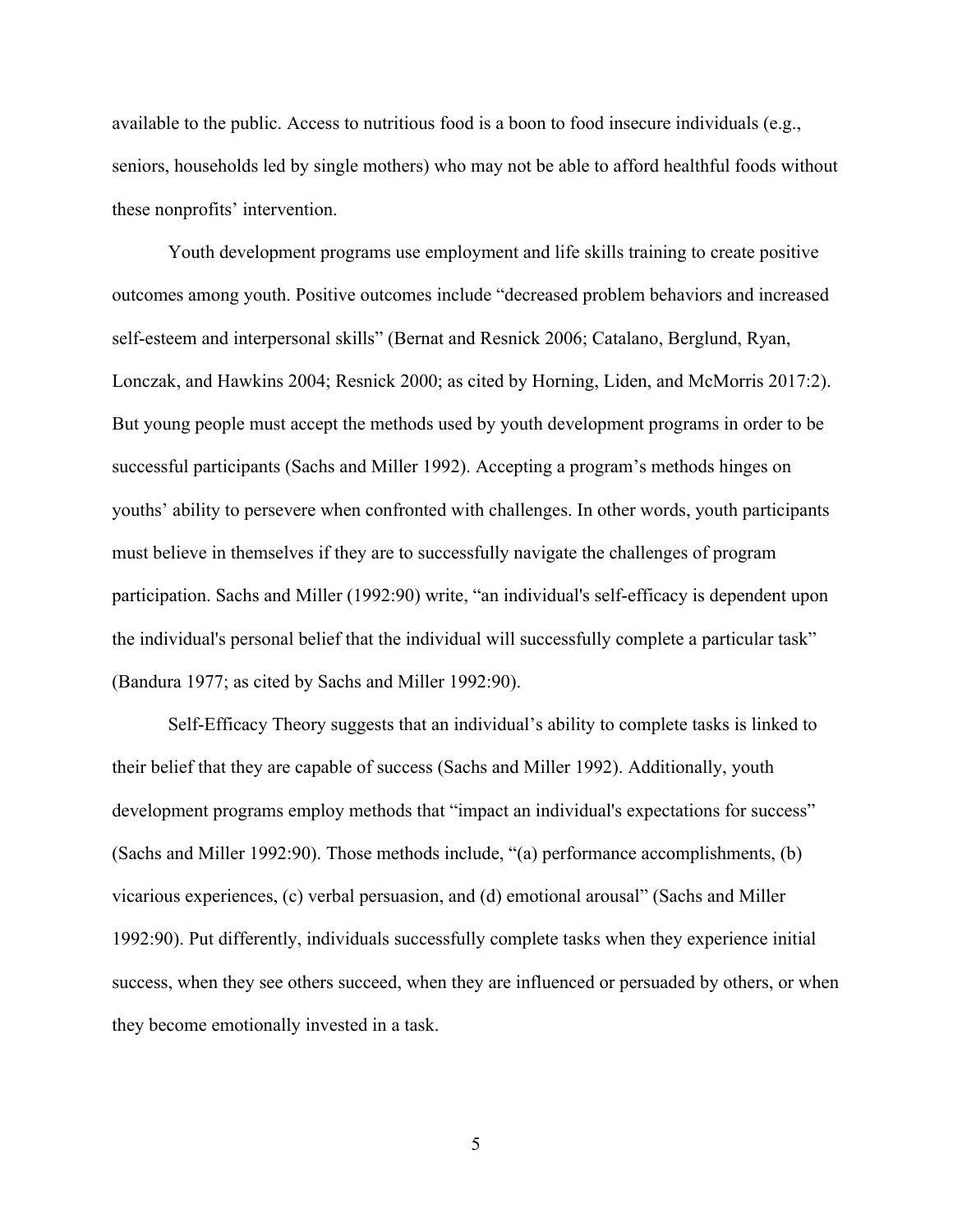available to the public. Access to nutritious food is a boon to food insecure individuals (e.g., seniors, households led by single mothers) who may not be able to afford healthful foods without these nonprofits' intervention.

Youth development programs use employment and life skills training to create positive outcomes among youth. Positive outcomes include "decreased problem behaviors and increased self-esteem and interpersonal skills" (Bernat and Resnick 2006; Catalano, Berglund, Ryan, Lonczak, and Hawkins 2004; Resnick 2000; as cited by Horning, Liden, and McMorris 2017:2). But young people must accept the methods used by youth development programs in order to be successful participants (Sachs and Miller 1992). Accepting a program's methods hinges on youths' ability to persevere when confronted with challenges. In other words, youth participants must believe in themselves if they are to successfully navigate the challenges of program participation. Sachs and Miller (1992:90) write, "an individual's self-efficacy is dependent upon the individual's personal belief that the individual will successfully complete a particular task" (Bandura 1977; as cited by Sachs and Miller 1992:90).

Self-Efficacy Theory suggests that an individual's ability to complete tasks is linked to their belief that they are capable of success (Sachs and Miller 1992). Additionally, youth development programs employ methods that "impact an individual's expectations for success" (Sachs and Miller 1992:90). Those methods include, "(a) performance accomplishments, (b) vicarious experiences, (c) verbal persuasion, and (d) emotional arousal" (Sachs and Miller 1992:90). Put differently, individuals successfully complete tasks when they experience initial success, when they see others succeed, when they are influenced or persuaded by others, or when they become emotionally invested in a task.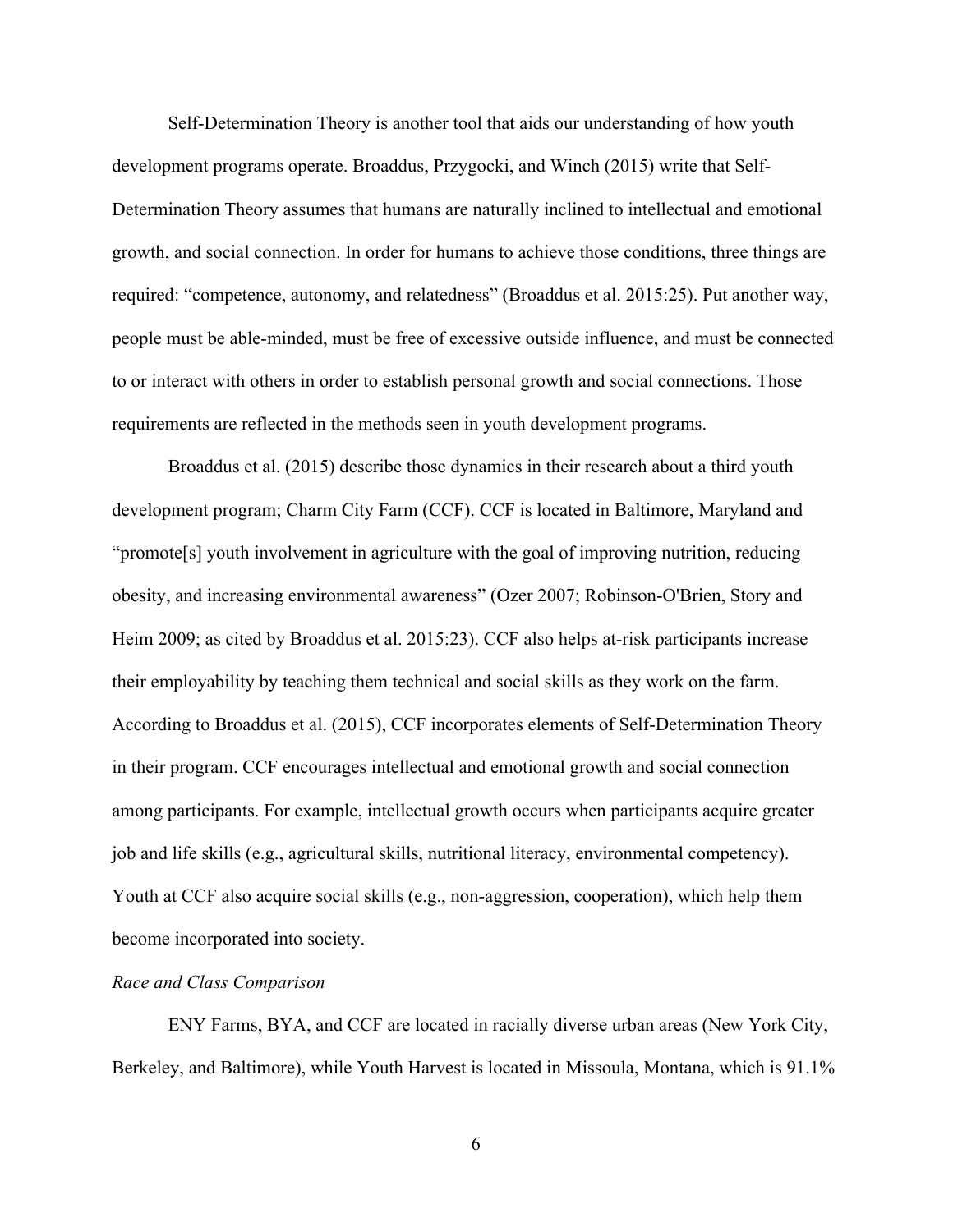Self-Determination Theory is another tool that aids our understanding of how youth development programs operate. Broaddus, Przygocki, and Winch (2015) write that Self-Determination Theory assumes that humans are naturally inclined to intellectual and emotional growth, and social connection. In order for humans to achieve those conditions, three things are required: "competence, autonomy, and relatedness" (Broaddus et al. 2015:25). Put another way, people must be able-minded, must be free of excessive outside influence, and must be connected to or interact with others in order to establish personal growth and social connections. Those requirements are reflected in the methods seen in youth development programs.

Broaddus et al. (2015) describe those dynamics in their research about a third youth development program; Charm City Farm (CCF). CCF is located in Baltimore, Maryland and "promote[s] youth involvement in agriculture with the goal of improving nutrition, reducing obesity, and increasing environmental awareness" (Ozer 2007; Robinson-O'Brien, Story and Heim 2009; as cited by Broaddus et al. 2015:23). CCF also helps at-risk participants increase their employability by teaching them technical and social skills as they work on the farm. According to Broaddus et al. (2015), CCF incorporates elements of Self-Determination Theory in their program. CCF encourages intellectual and emotional growth and social connection among participants. For example, intellectual growth occurs when participants acquire greater job and life skills (e.g., agricultural skills, nutritional literacy, environmental competency). Youth at CCF also acquire social skills (e.g., non-aggression, cooperation), which help them become incorporated into society.

#### *Race and Class Comparison*

ENY Farms, BYA, and CCF are located in racially diverse urban areas (New York City, Berkeley, and Baltimore), while Youth Harvest is located in Missoula, Montana, which is 91.1%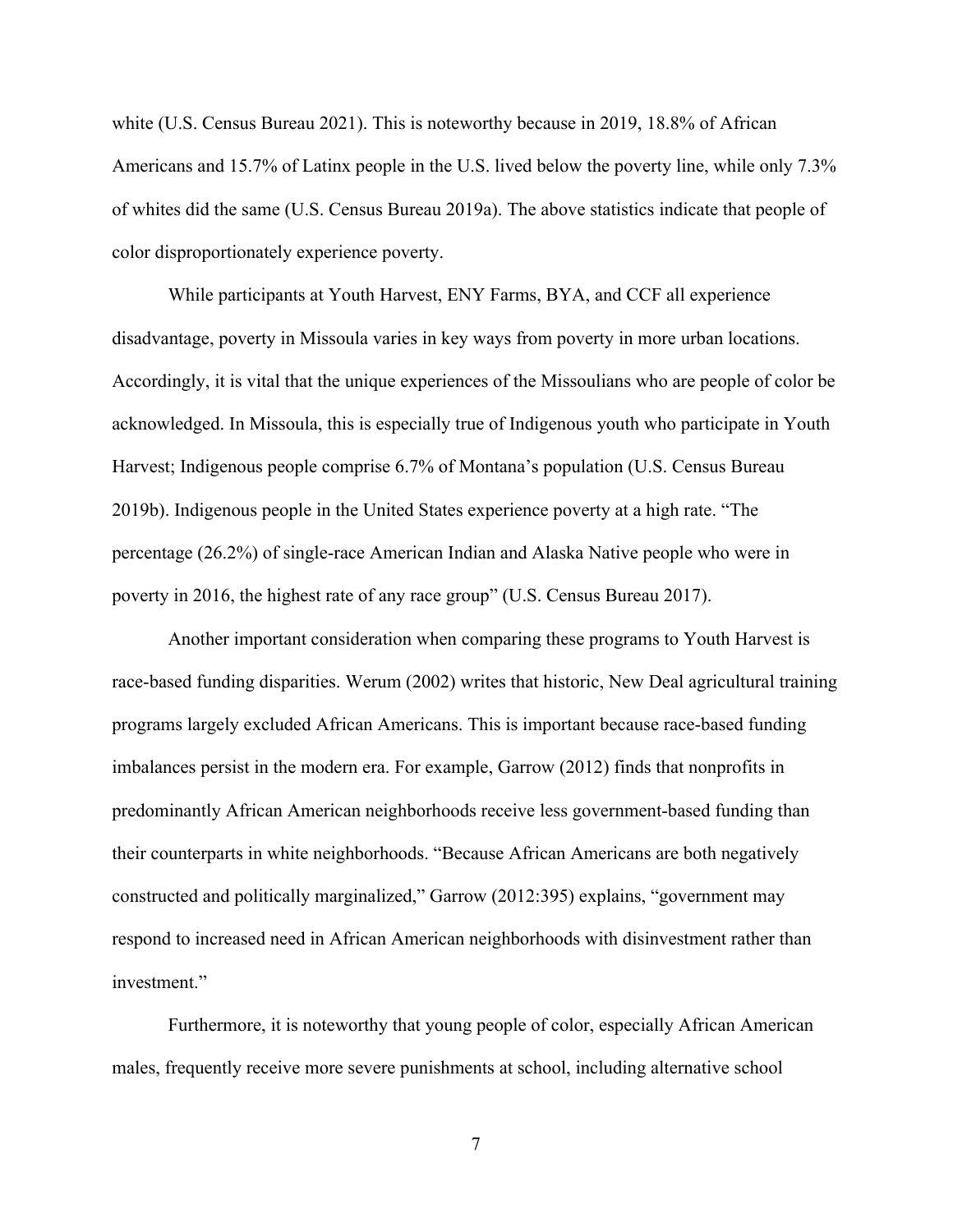white (U.S. Census Bureau 2021). This is noteworthy because in 2019, 18.8% of African Americans and 15.7% of Latinx people in the U.S. lived below the poverty line, while only 7.3% of whites did the same (U.S. Census Bureau 2019a). The above statistics indicate that people of color disproportionately experience poverty.

While participants at Youth Harvest, ENY Farms, BYA, and CCF all experience disadvantage, poverty in Missoula varies in key ways from poverty in more urban locations. Accordingly, it is vital that the unique experiences of the Missoulians who are people of color be acknowledged. In Missoula, this is especially true of Indigenous youth who participate in Youth Harvest; Indigenous people comprise 6.7% of Montana's population (U.S. Census Bureau 2019b). Indigenous people in the United States experience poverty at a high rate. "The percentage (26.2%) of single-race American Indian and Alaska Native people who were in poverty in 2016, the highest rate of any race group" (U.S. Census Bureau 2017).

Another important consideration when comparing these programs to Youth Harvest is race-based funding disparities. Werum (2002) writes that historic, New Deal agricultural training programs largely excluded African Americans. This is important because race-based funding imbalances persist in the modern era. For example, Garrow (2012) finds that nonprofits in predominantly African American neighborhoods receive less government-based funding than their counterparts in white neighborhoods. "Because African Americans are both negatively constructed and politically marginalized," Garrow (2012:395) explains, "government may respond to increased need in African American neighborhoods with disinvestment rather than investment."

Furthermore, it is noteworthy that young people of color, especially African American males, frequently receive more severe punishments at school, including alternative school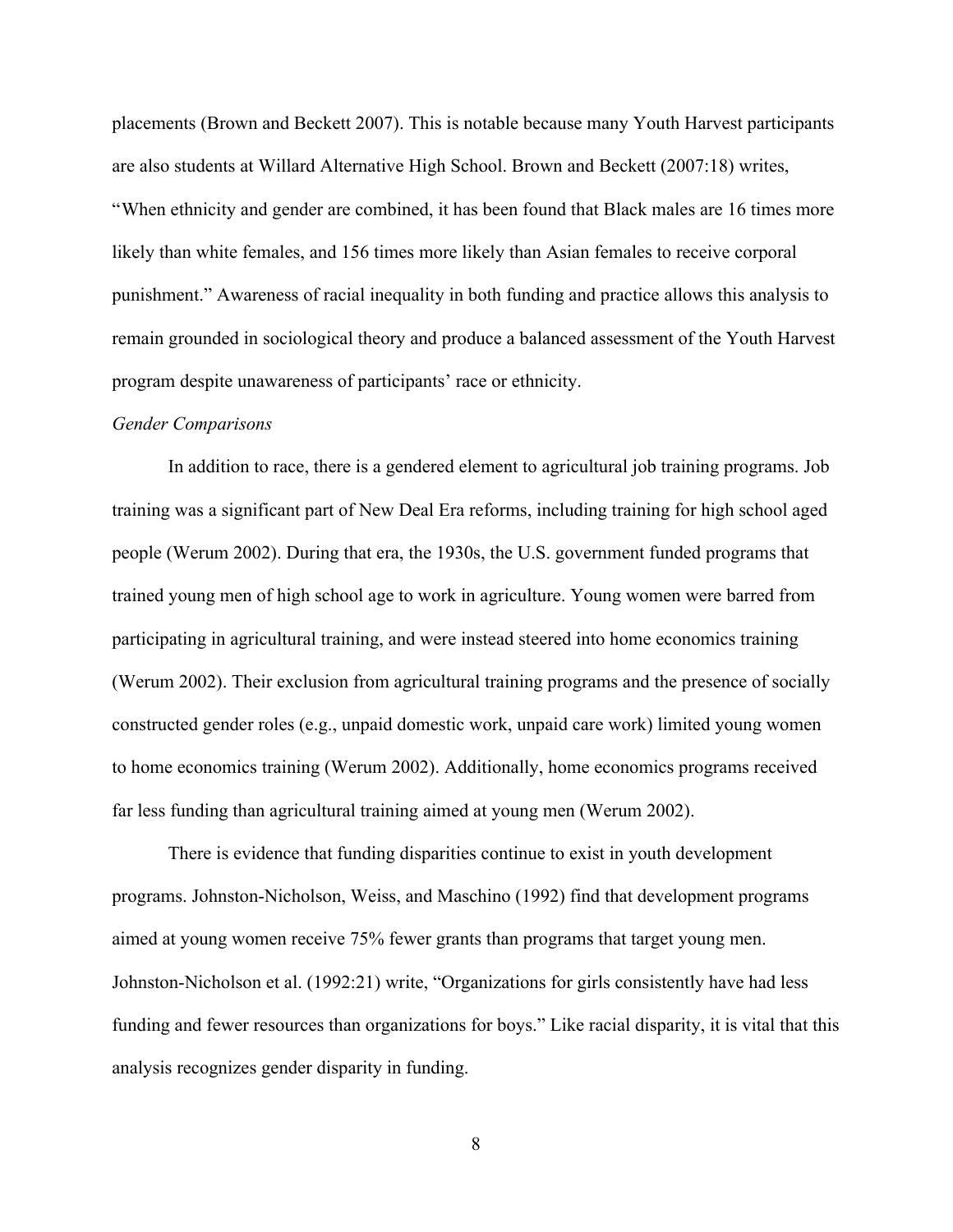placements (Brown and Beckett 2007). This is notable because many Youth Harvest participants are also students at Willard Alternative High School. Brown and Beckett (2007:18) writes, "When ethnicity and gender are combined, it has been found that Black males are 16 times more likely than white females, and 156 times more likely than Asian females to receive corporal punishment." Awareness of racial inequality in both funding and practice allows this analysis to remain grounded in sociological theory and produce a balanced assessment of the Youth Harvest program despite unawareness of participants' race or ethnicity.

#### *Gender Comparisons*

In addition to race, there is a gendered element to agricultural job training programs. Job training was a significant part of New Deal Era reforms, including training for high school aged people (Werum 2002). During that era, the 1930s, the U.S. government funded programs that trained young men of high school age to work in agriculture. Young women were barred from participating in agricultural training, and were instead steered into home economics training (Werum 2002). Their exclusion from agricultural training programs and the presence of socially constructed gender roles (e.g., unpaid domestic work, unpaid care work) limited young women to home economics training (Werum 2002). Additionally, home economics programs received far less funding than agricultural training aimed at young men (Werum 2002).

There is evidence that funding disparities continue to exist in youth development programs. Johnston-Nicholson, Weiss, and Maschino (1992) find that development programs aimed at young women receive 75% fewer grants than programs that target young men. Johnston-Nicholson et al. (1992:21) write, "Organizations for girls consistently have had less funding and fewer resources than organizations for boys." Like racial disparity, it is vital that this analysis recognizes gender disparity in funding.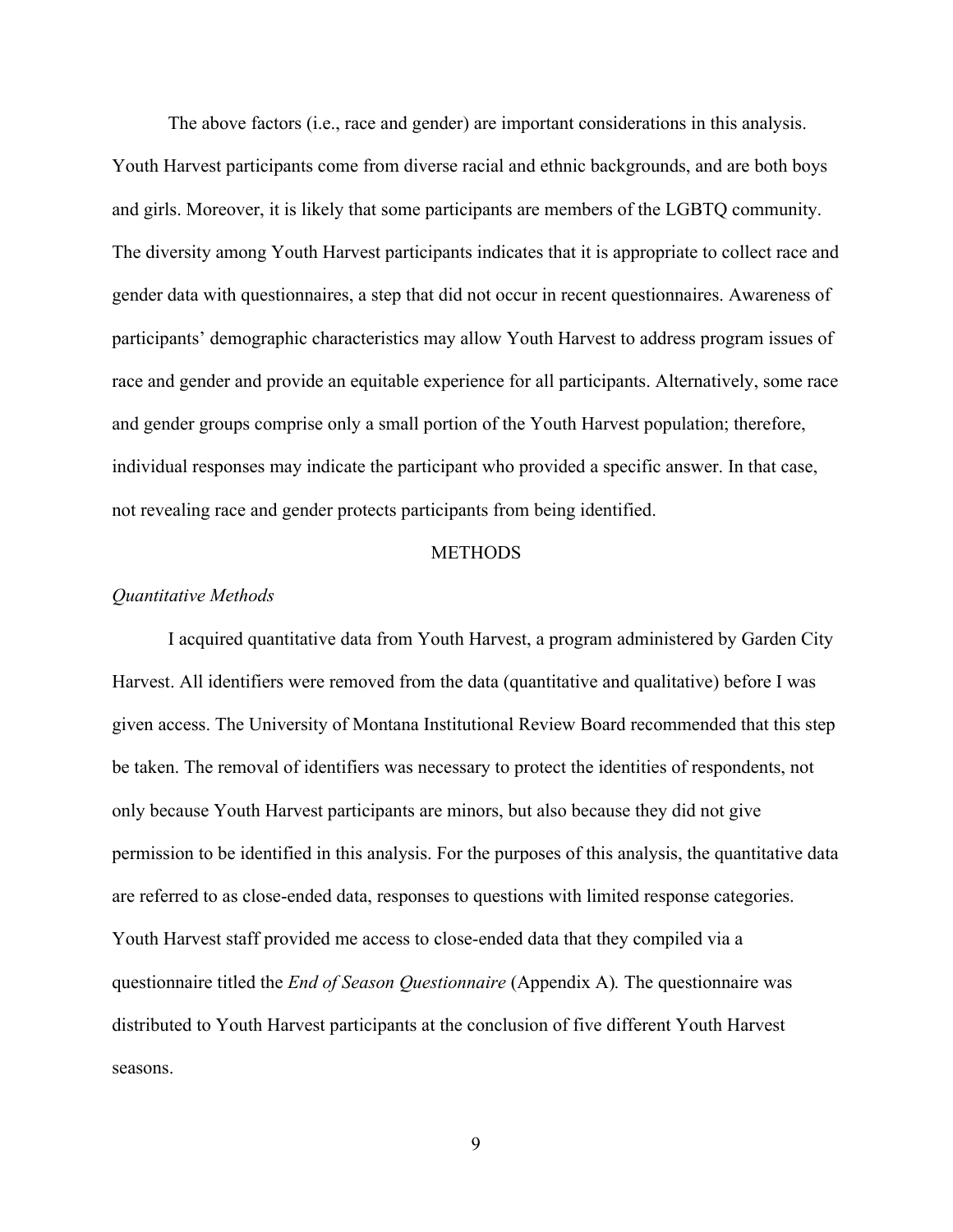The above factors (i.e., race and gender) are important considerations in this analysis. Youth Harvest participants come from diverse racial and ethnic backgrounds, and are both boys and girls. Moreover, it is likely that some participants are members of the LGBTQ community. The diversity among Youth Harvest participants indicates that it is appropriate to collect race and gender data with questionnaires, a step that did not occur in recent questionnaires. Awareness of participants' demographic characteristics may allow Youth Harvest to address program issues of race and gender and provide an equitable experience for all participants. Alternatively, some race and gender groups comprise only a small portion of the Youth Harvest population; therefore, individual responses may indicate the participant who provided a specific answer. In that case, not revealing race and gender protects participants from being identified.

#### **METHODS**

#### *Quantitative Methods*

I acquired quantitative data from Youth Harvest, a program administered by Garden City Harvest. All identifiers were removed from the data (quantitative and qualitative) before I was given access. The University of Montana Institutional Review Board recommended that this step be taken. The removal of identifiers was necessary to protect the identities of respondents, not only because Youth Harvest participants are minors, but also because they did not give permission to be identified in this analysis. For the purposes of this analysis, the quantitative data are referred to as close-ended data, responses to questions with limited response categories. Youth Harvest staff provided me access to close-ended data that they compiled via a questionnaire titled the *End of Season Questionnaire* (Appendix A)*.* The questionnaire was distributed to Youth Harvest participants at the conclusion of five different Youth Harvest seasons.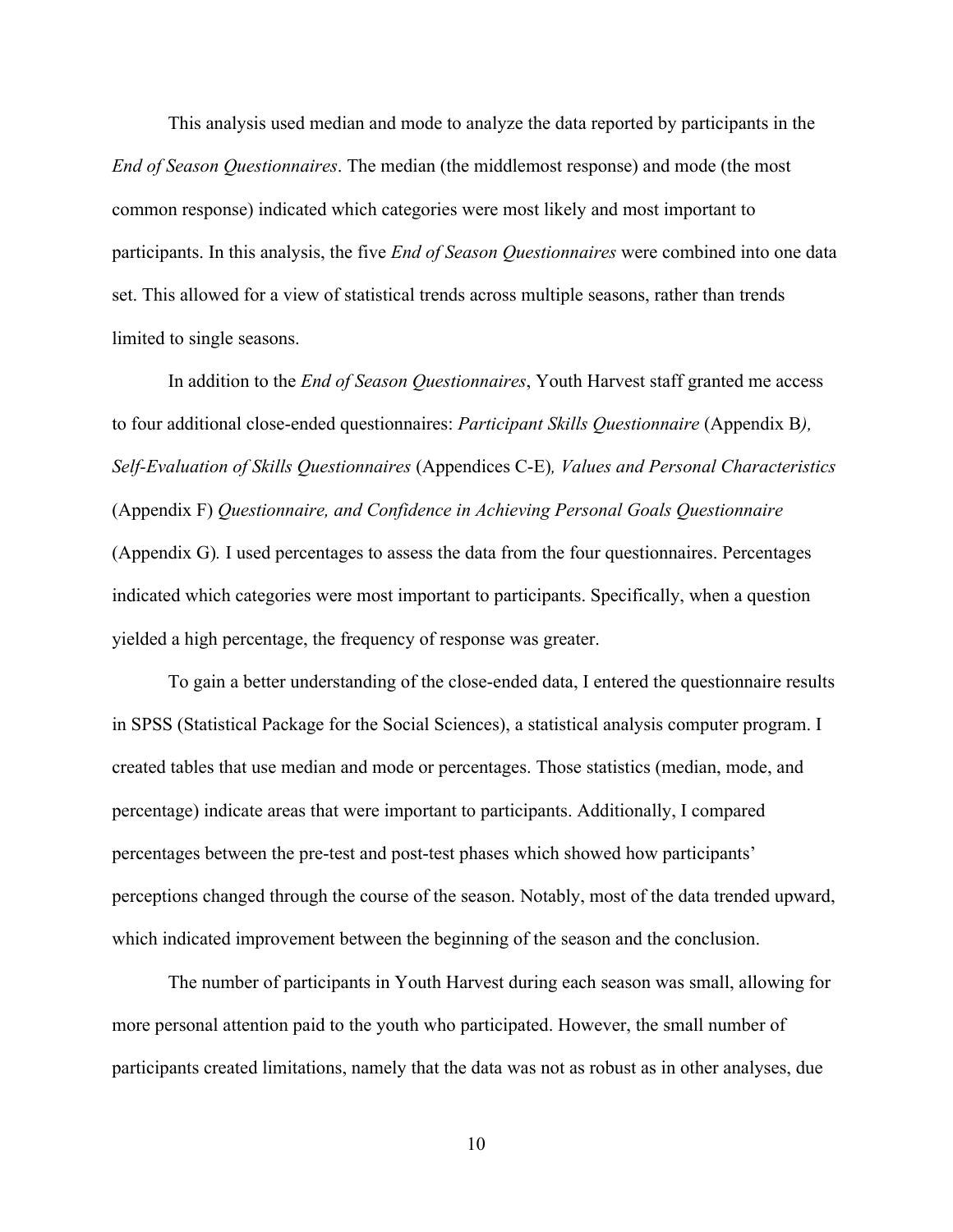This analysis used median and mode to analyze the data reported by participants in the *End of Season Questionnaires*. The median (the middlemost response) and mode (the most common response) indicated which categories were most likely and most important to participants. In this analysis, the five *End of Season Questionnaires* were combined into one data set. This allowed for a view of statistical trends across multiple seasons, rather than trends limited to single seasons.

In addition to the *End of Season Questionnaires*, Youth Harvest staff granted me access to four additional close-ended questionnaires: *Participant Skills Questionnaire* (Appendix B*), Self-Evaluation of Skills Questionnaires* (Appendices C-E)*, Values and Personal Characteristics* (Appendix F) *Questionnaire, and Confidence in Achieving Personal Goals Questionnaire* (Appendix G)*.* I used percentages to assess the data from the four questionnaires. Percentages indicated which categories were most important to participants. Specifically, when a question yielded a high percentage, the frequency of response was greater.

To gain a better understanding of the close-ended data, I entered the questionnaire results in SPSS (Statistical Package for the Social Sciences), a statistical analysis computer program. I created tables that use median and mode or percentages. Those statistics (median, mode, and percentage) indicate areas that were important to participants. Additionally, I compared percentages between the pre-test and post-test phases which showed how participants' perceptions changed through the course of the season. Notably, most of the data trended upward, which indicated improvement between the beginning of the season and the conclusion.

The number of participants in Youth Harvest during each season was small, allowing for more personal attention paid to the youth who participated. However, the small number of participants created limitations, namely that the data was not as robust as in other analyses, due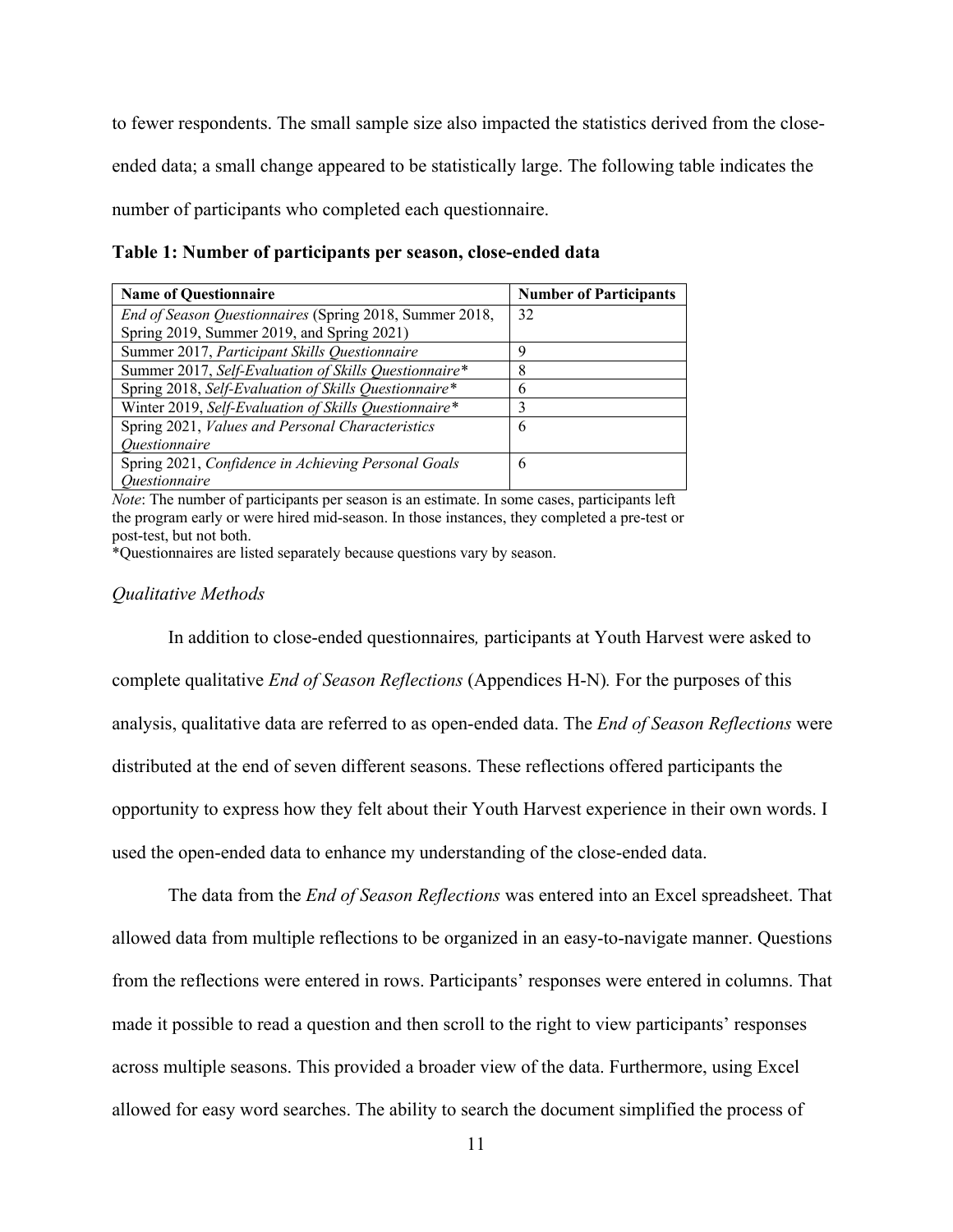to fewer respondents. The small sample size also impacted the statistics derived from the closeended data; a small change appeared to be statistically large. The following table indicates the number of participants who completed each questionnaire.

**Table 1: Number of participants per season, close-ended data**

| <b>Name of Questionnaire</b>                            | <b>Number of Participants</b> |
|---------------------------------------------------------|-------------------------------|
| End of Season Questionnaires (Spring 2018, Summer 2018, | 32                            |
| Spring 2019, Summer 2019, and Spring 2021)              |                               |
| Summer 2017, Participant Skills Questionnaire           |                               |
| Summer 2017, Self-Evaluation of Skills Questionnaire*   |                               |
| Spring 2018, Self-Evaluation of Skills Questionnaire*   | h                             |
| Winter 2019, Self-Evaluation of Skills Questionnaire*   |                               |
| Spring 2021, Values and Personal Characteristics        | 6                             |
| <i><u><b>Ouestionnaire</b></u></i>                      |                               |
| Spring 2021, Confidence in Achieving Personal Goals     | 6                             |
| <i><u><b>Ouestionnaire</b></u></i>                      |                               |

*Note*: The number of participants per season is an estimate. In some cases, participants left the program early or were hired mid-season. In those instances, they completed a pre-test or post-test, but not both.

\*Questionnaires are listed separately because questions vary by season.

#### *Qualitative Methods*

In addition to close-ended questionnaires*,* participants at Youth Harvest were asked to complete qualitative *End of Season Reflections* (Appendices H-N)*.* For the purposes of this analysis, qualitative data are referred to as open-ended data. The *End of Season Reflections* were distributed at the end of seven different seasons. These reflections offered participants the opportunity to express how they felt about their Youth Harvest experience in their own words. I used the open-ended data to enhance my understanding of the close-ended data.

The data from the *End of Season Reflections* was entered into an Excel spreadsheet. That allowed data from multiple reflections to be organized in an easy-to-navigate manner. Questions from the reflections were entered in rows. Participants' responses were entered in columns. That made it possible to read a question and then scroll to the right to view participants' responses across multiple seasons. This provided a broader view of the data. Furthermore, using Excel allowed for easy word searches. The ability to search the document simplified the process of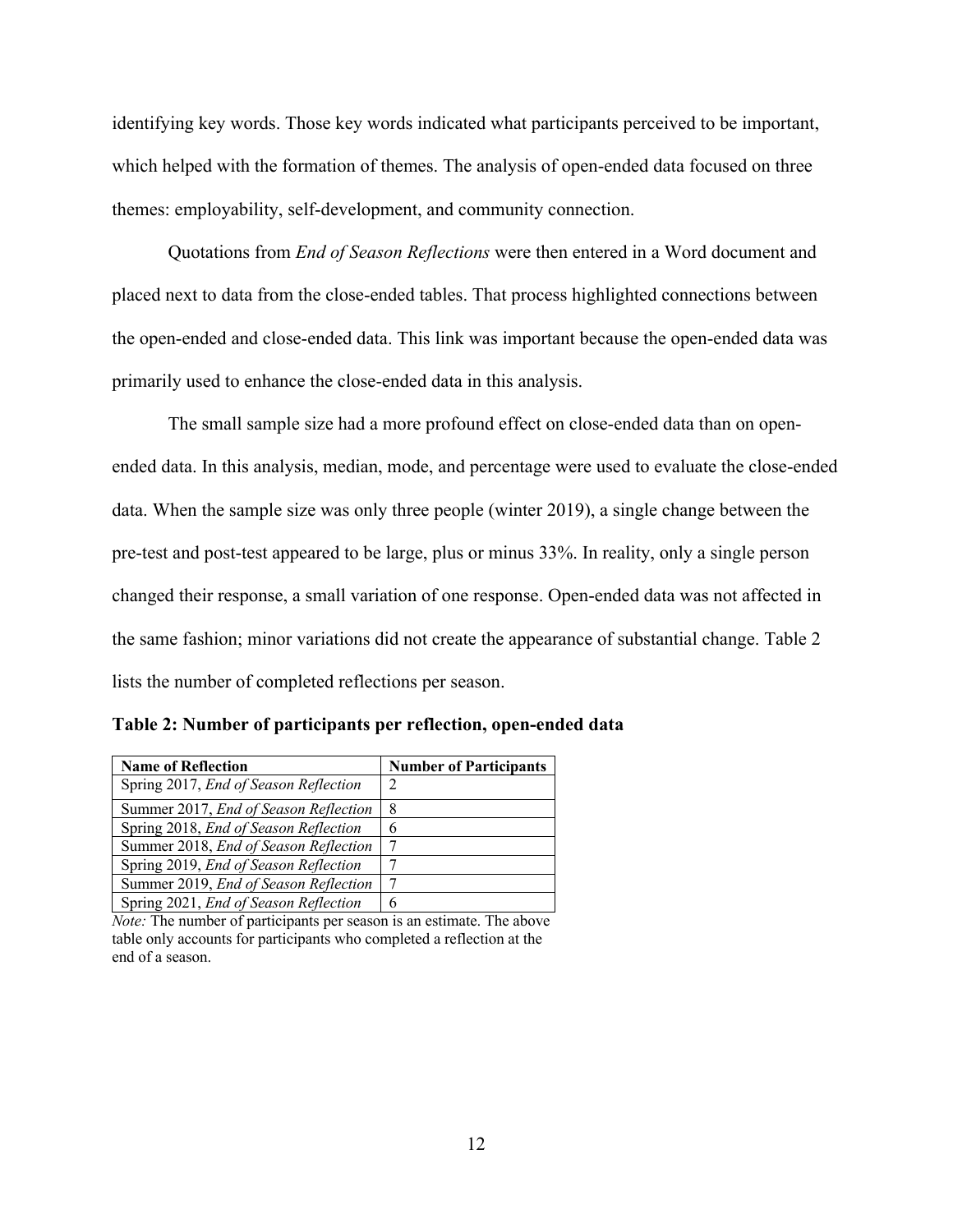identifying key words. Those key words indicated what participants perceived to be important, which helped with the formation of themes. The analysis of open-ended data focused on three themes: employability, self-development, and community connection.

Quotations from *End of Season Reflections* were then entered in a Word document and placed next to data from the close-ended tables. That process highlighted connections between the open-ended and close-ended data. This link was important because the open-ended data was primarily used to enhance the close-ended data in this analysis.

The small sample size had a more profound effect on close-ended data than on openended data. In this analysis, median, mode, and percentage were used to evaluate the close-ended data. When the sample size was only three people (winter 2019), a single change between the pre-test and post-test appeared to be large, plus or minus 33%. In reality, only a single person changed their response, a small variation of one response. Open-ended data was not affected in the same fashion; minor variations did not create the appearance of substantial change. Table 2 lists the number of completed reflections per season.

| <b>Name of Reflection</b>                    | <b>Number of Participants</b> |
|----------------------------------------------|-------------------------------|
| Spring 2017, End of Season Reflection        |                               |
| Summer 2017, <i>End of Season Reflection</i> | 8                             |
| Spring 2018, End of Season Reflection        |                               |
| Summer 2018, End of Season Reflection        |                               |
| Spring 2019, End of Season Reflection        |                               |
| Summer 2019, End of Season Reflection        |                               |
| Spring 2021, End of Season Reflection        | 6                             |

**Table 2: Number of participants per reflection, open-ended data**

*Note:* The number of participants per season is an estimate. The above table only accounts for participants who completed a reflection at the end of a season.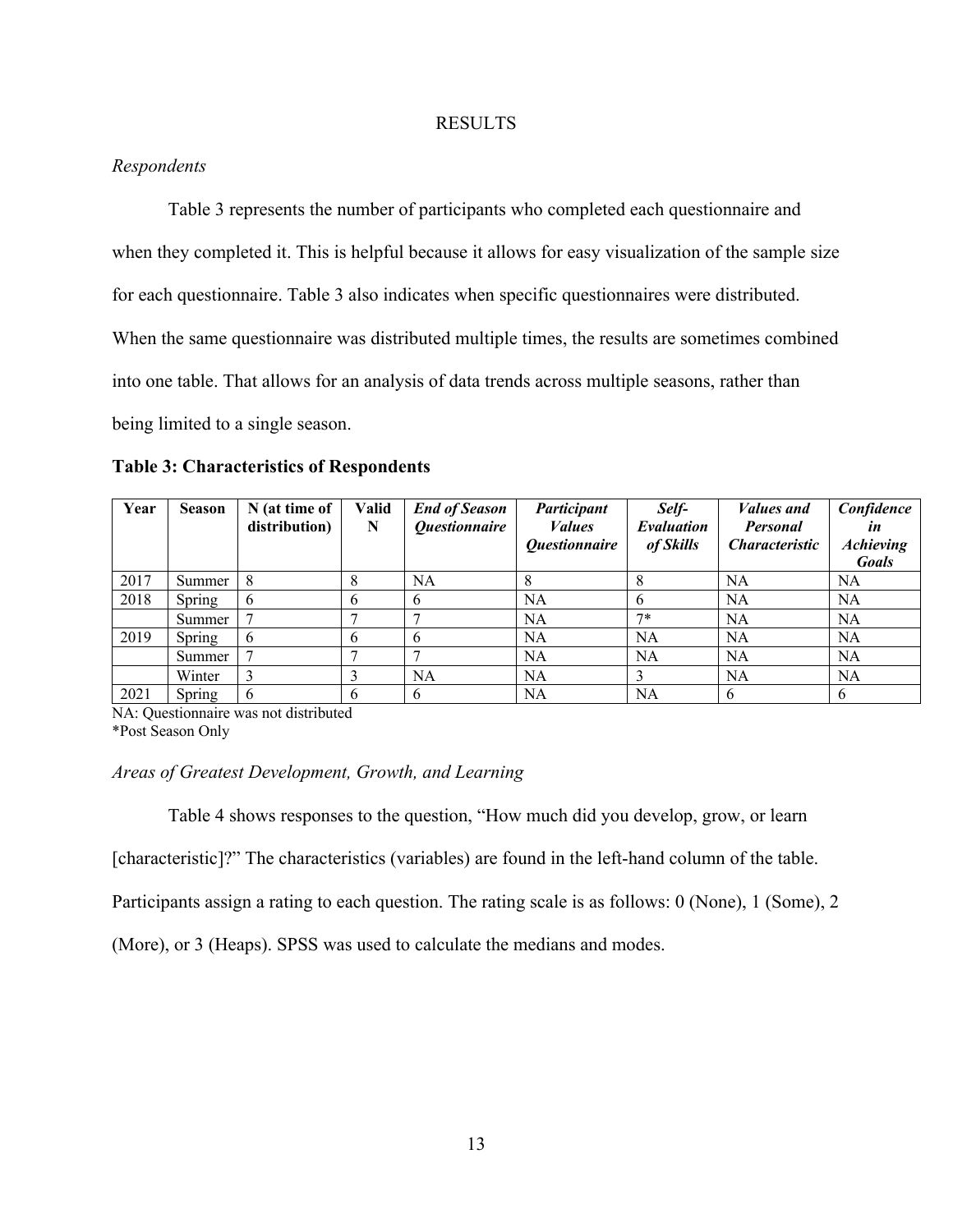#### RESULTS

### *Respondents*

Table 3 represents the number of participants who completed each questionnaire and when they completed it. This is helpful because it allows for easy visualization of the sample size for each questionnaire. Table 3 also indicates when specific questionnaires were distributed. When the same questionnaire was distributed multiple times, the results are sometimes combined into one table. That allows for an analysis of data trends across multiple seasons, rather than being limited to a single season.

| <b>Table 3: Characteristics of Respondents</b> |  |  |
|------------------------------------------------|--|--|
|------------------------------------------------|--|--|

| Year | <b>Season</b> | N (at time of<br>distribution) | Valid<br>N | <b>End of Season</b><br><i><b>Questionnaire</b></i> | Participant<br><i>Values</i><br><i><b>Ouestionnaire</b></i> | Self-<br>Evaluation<br>of Skills | <i>Values and</i><br><b>Personal</b><br><i>Characteristic</i> | Confidence<br>in<br><b>Achieving</b><br><b>Goals</b> |
|------|---------------|--------------------------------|------------|-----------------------------------------------------|-------------------------------------------------------------|----------------------------------|---------------------------------------------------------------|------------------------------------------------------|
| 2017 | Summer        |                                |            | NA                                                  |                                                             |                                  | <b>NA</b>                                                     | NA                                                   |
| 2018 | Spring        | -6                             | 6          | 6                                                   | NA                                                          | <sub>0</sub>                     | NA                                                            | NA                                                   |
|      | Summer        |                                |            |                                                     | NA                                                          | $7*$                             | <b>NA</b>                                                     | <b>NA</b>                                            |
| 2019 | Spring        | -6                             | 6          | 6                                                   | <b>NA</b>                                                   | <b>NA</b>                        | NA                                                            | <b>NA</b>                                            |
|      | Summer        |                                |            |                                                     | NA                                                          | <b>NA</b>                        | <b>NA</b>                                                     | <b>NA</b>                                            |
|      | Winter        | 3                              |            | NA                                                  | NA                                                          |                                  | <b>NA</b>                                                     | <b>NA</b>                                            |
| 2021 | Spring        | $\mathbf b$                    | 6          | 6                                                   | NA                                                          | <b>NA</b>                        |                                                               | 6                                                    |

NA: Questionnaire was not distributed \*Post Season Only

#### *Areas of Greatest Development, Growth, and Learning*

Table 4 shows responses to the question, "How much did you develop, grow, or learn

[characteristic]?" The characteristics (variables) are found in the left-hand column of the table.

Participants assign a rating to each question. The rating scale is as follows: 0 (None), 1 (Some), 2

(More), or 3 (Heaps). SPSS was used to calculate the medians and modes.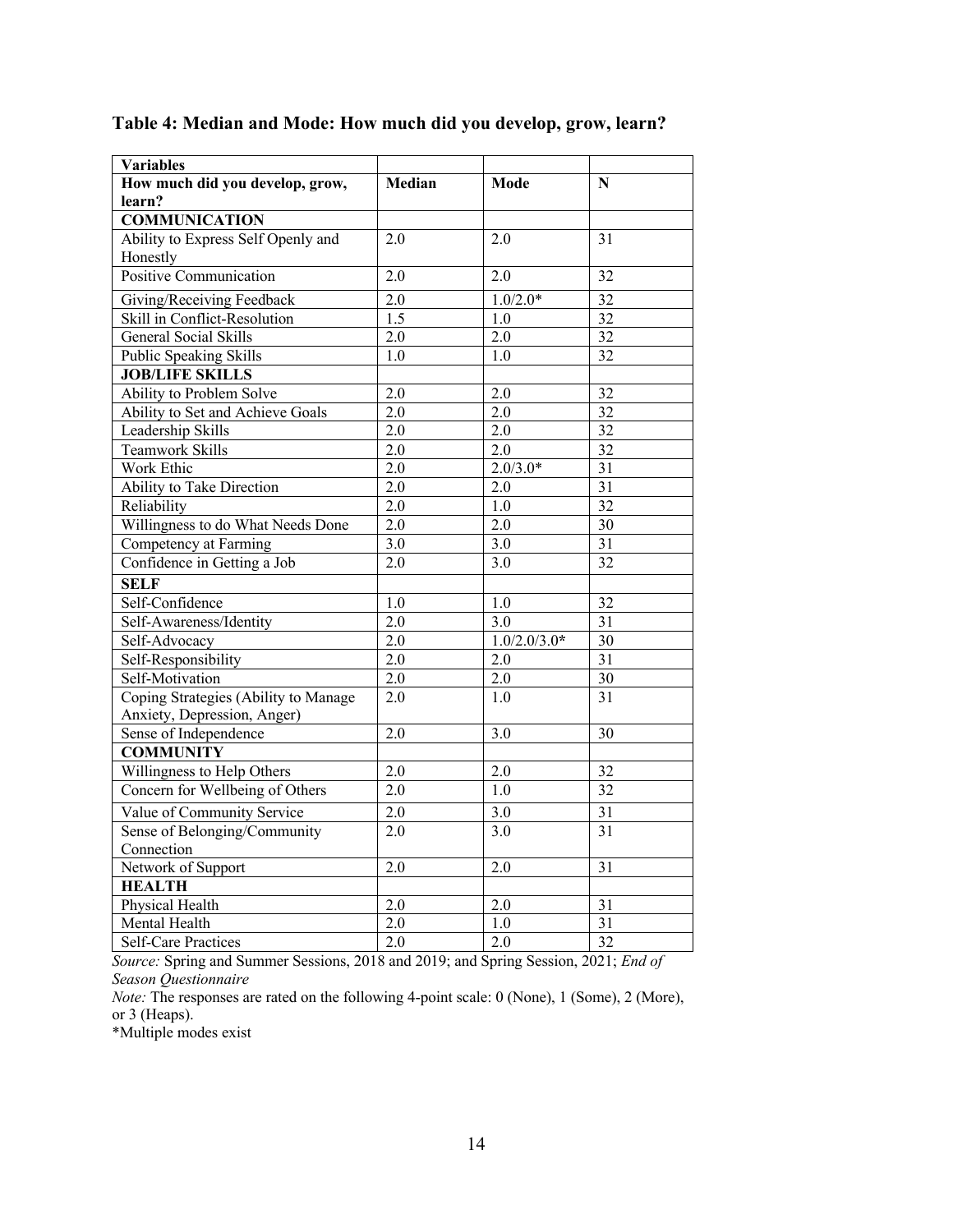| <b>Variables</b>                     |                  |                  |                 |
|--------------------------------------|------------------|------------------|-----------------|
| How much did you develop, grow,      | Median           | Mode             | N               |
| learn?                               |                  |                  |                 |
| <b>COMMUNICATION</b>                 |                  |                  |                 |
| Ability to Express Self Openly and   | 2.0              | 2.0              | 31              |
| Honestly                             |                  |                  |                 |
| Positive Communication               | 2.0              | 2.0              | 32              |
| Giving/Receiving Feedback            | 2.0              | $1.0/2.0*$       | 32              |
| Skill in Conflict-Resolution         | 1.5              | 1.0              | 32              |
| <b>General Social Skills</b>         | 2.0              | 2.0              | 32              |
| Public Speaking Skills               | 1.0              | 1.0              | 32              |
| <b>JOB/LIFE SKILLS</b>               |                  |                  |                 |
| Ability to Problem Solve             | 2.0              | 2.0              | 32              |
| Ability to Set and Achieve Goals     | 2.0              | 2.0              | 32              |
| Leadership Skills                    | 2.0              | 2.0              | 32              |
| <b>Teamwork Skills</b>               | $\overline{2.0}$ | $\overline{2.0}$ | $\overline{32}$ |
| Work Ethic                           | 2.0              | $2.0/3.0*$       | 31              |
| Ability to Take Direction            | 2.0              | 2.0              | $\overline{31}$ |
| Reliability                          | 2.0              | 1.0              | $\overline{32}$ |
| Willingness to do What Needs Done    | 2.0              | 2.0              | 30              |
| Competency at Farming                | 3.0              | 3.0              | 31              |
| Confidence in Getting a Job          | 2.0              | 3.0              | 32              |
| <b>SELF</b>                          |                  |                  |                 |
| Self-Confidence                      | 1.0              | 1.0              | 32              |
| Self-Awareness/Identity              | 2.0              | 3.0              | $\overline{31}$ |
| Self-Advocacy                        | 2.0              | $1.0/2.0/3.0*$   | $\overline{30}$ |
| Self-Responsibility                  | 2.0              | 2.0              | $\overline{31}$ |
| Self-Motivation                      | 2.0              | 2.0              | 30              |
| Coping Strategies (Ability to Manage | 2.0              | 1.0              | 31              |
| Anxiety, Depression, Anger)          |                  |                  |                 |
| Sense of Independence                | 2.0              | $3.0\,$          | 30              |
| <b>COMMUNITY</b>                     |                  |                  |                 |
| Willingness to Help Others           | 2.0              | 2.0              | 32              |
| Concern for Wellbeing of Others      | 2.0              | 1.0              | 32              |
| Value of Community Service           | 2.0              | 3.0              | 31              |
| Sense of Belonging/Community         | 2.0              | 3.0              | 31              |
| Connection                           |                  |                  |                 |
| Network of Support                   | $\overline{2.0}$ | 2.0              | $\overline{31}$ |
| <b>HEALTH</b>                        |                  |                  |                 |
| Physical Health                      | 2.0              | 2.0              | 31              |
| <b>Mental Health</b>                 | $\overline{2.0}$ | $\overline{1.0}$ | $\overline{31}$ |
| <b>Self-Care Practices</b>           | $\overline{2.0}$ | 2.0              | $\overline{32}$ |

# **Table 4: Median and Mode: How much did you develop, grow, learn?**

*Source:* Spring and Summer Sessions, 2018 and 2019; and Spring Session, 2021; *End of Season Questionnaire*

*Note:* The responses are rated on the following 4-point scale: 0 (None), 1 (Some), 2 (More), or 3 (Heaps).

\*Multiple modes exist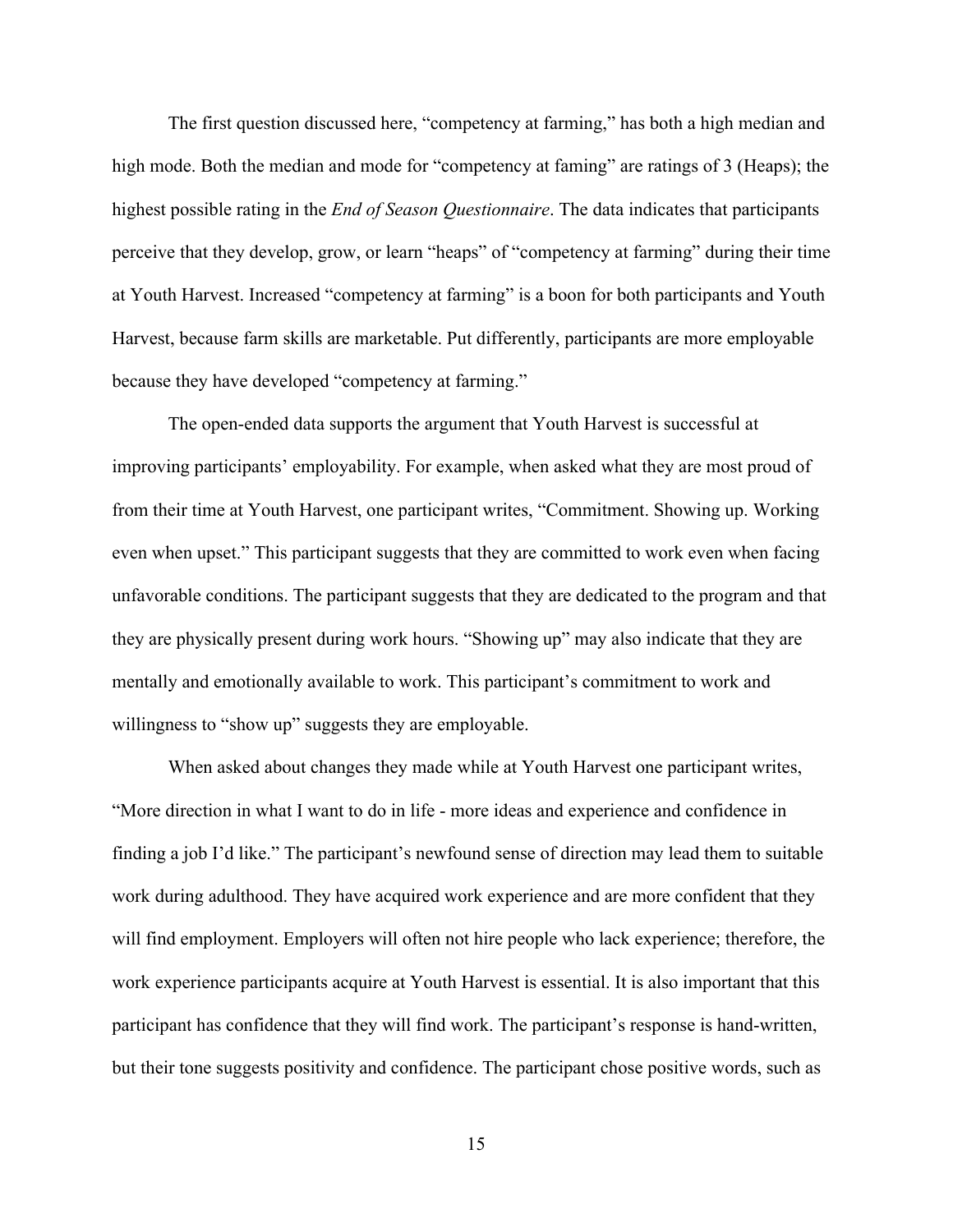The first question discussed here, "competency at farming," has both a high median and high mode. Both the median and mode for "competency at faming" are ratings of 3 (Heaps); the highest possible rating in the *End of Season Questionnaire*. The data indicates that participants perceive that they develop, grow, or learn "heaps" of "competency at farming" during their time at Youth Harvest. Increased "competency at farming" is a boon for both participants and Youth Harvest, because farm skills are marketable. Put differently, participants are more employable because they have developed "competency at farming."

The open-ended data supports the argument that Youth Harvest is successful at improving participants' employability. For example, when asked what they are most proud of from their time at Youth Harvest, one participant writes, "Commitment. Showing up. Working even when upset." This participant suggests that they are committed to work even when facing unfavorable conditions. The participant suggests that they are dedicated to the program and that they are physically present during work hours. "Showing up" may also indicate that they are mentally and emotionally available to work. This participant's commitment to work and willingness to "show up" suggests they are employable.

When asked about changes they made while at Youth Harvest one participant writes, "More direction in what I want to do in life - more ideas and experience and confidence in finding a job I'd like." The participant's newfound sense of direction may lead them to suitable work during adulthood. They have acquired work experience and are more confident that they will find employment. Employers will often not hire people who lack experience; therefore, the work experience participants acquire at Youth Harvest is essential. It is also important that this participant has confidence that they will find work. The participant's response is hand-written, but their tone suggests positivity and confidence. The participant chose positive words, such as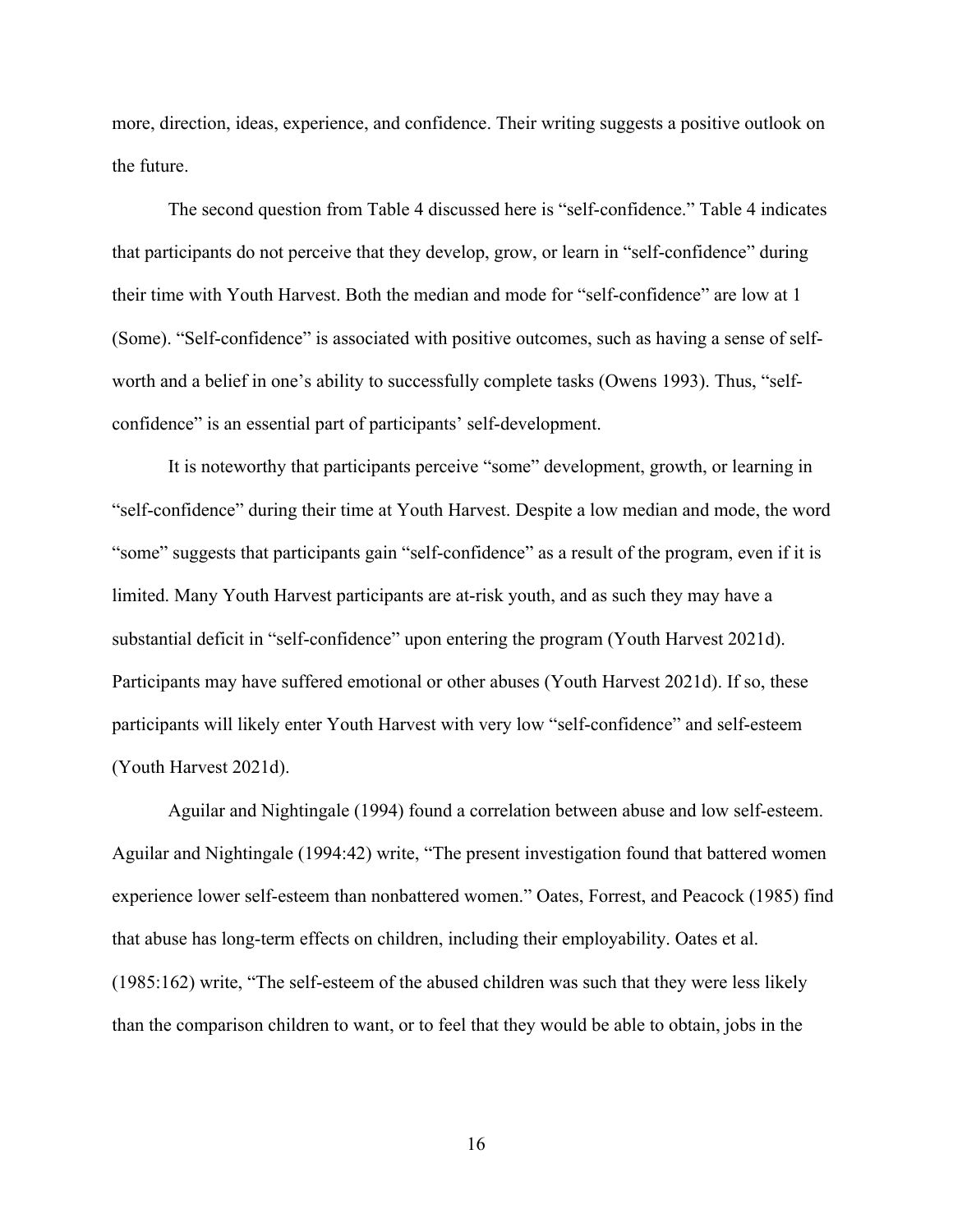more, direction, ideas, experience, and confidence. Their writing suggests a positive outlook on the future.

The second question from Table 4 discussed here is "self-confidence." Table 4 indicates that participants do not perceive that they develop, grow, or learn in "self-confidence" during their time with Youth Harvest. Both the median and mode for "self-confidence" are low at 1 (Some). "Self-confidence" is associated with positive outcomes, such as having a sense of selfworth and a belief in one's ability to successfully complete tasks (Owens 1993). Thus, "selfconfidence" is an essential part of participants' self-development.

It is noteworthy that participants perceive "some" development, growth, or learning in "self-confidence" during their time at Youth Harvest. Despite a low median and mode, the word "some" suggests that participants gain "self-confidence" as a result of the program, even if it is limited. Many Youth Harvest participants are at-risk youth, and as such they may have a substantial deficit in "self-confidence" upon entering the program (Youth Harvest 2021d). Participants may have suffered emotional or other abuses (Youth Harvest 2021d). If so, these participants will likely enter Youth Harvest with very low "self-confidence" and self-esteem (Youth Harvest 2021d).

Aguilar and Nightingale (1994) found a correlation between abuse and low self-esteem. Aguilar and Nightingale (1994:42) write, "The present investigation found that battered women experience lower self-esteem than nonbattered women." Oates, Forrest, and Peacock (1985) find that abuse has long-term effects on children, including their employability. Oates et al. (1985:162) write, "The self-esteem of the abused children was such that they were less likely than the comparison children to want, or to feel that they would be able to obtain, jobs in the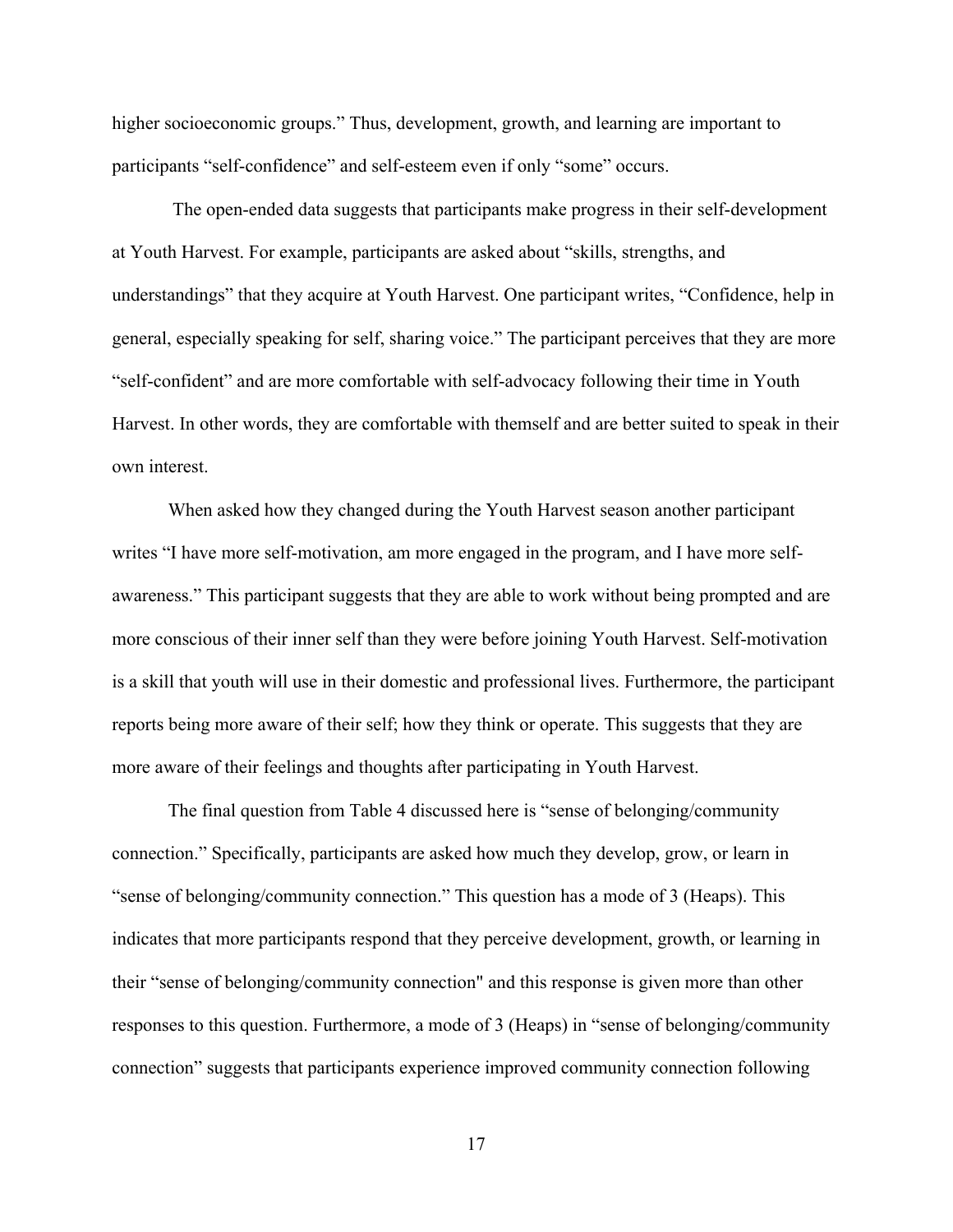higher socioeconomic groups." Thus, development, growth, and learning are important to participants "self-confidence" and self-esteem even if only "some" occurs.

The open-ended data suggests that participants make progress in their self-development at Youth Harvest. For example, participants are asked about "skills, strengths, and understandings" that they acquire at Youth Harvest. One participant writes, "Confidence, help in general, especially speaking for self, sharing voice." The participant perceives that they are more "self-confident" and are more comfortable with self-advocacy following their time in Youth Harvest. In other words, they are comfortable with themself and are better suited to speak in their own interest.

When asked how they changed during the Youth Harvest season another participant writes "I have more self-motivation, am more engaged in the program, and I have more selfawareness." This participant suggests that they are able to work without being prompted and are more conscious of their inner self than they were before joining Youth Harvest. Self-motivation is a skill that youth will use in their domestic and professional lives. Furthermore, the participant reports being more aware of their self; how they think or operate. This suggests that they are more aware of their feelings and thoughts after participating in Youth Harvest.

The final question from Table 4 discussed here is "sense of belonging/community connection." Specifically, participants are asked how much they develop, grow, or learn in "sense of belonging/community connection." This question has a mode of 3 (Heaps). This indicates that more participants respond that they perceive development, growth, or learning in their "sense of belonging/community connection" and this response is given more than other responses to this question. Furthermore, a mode of 3 (Heaps) in "sense of belonging/community connection" suggests that participants experience improved community connection following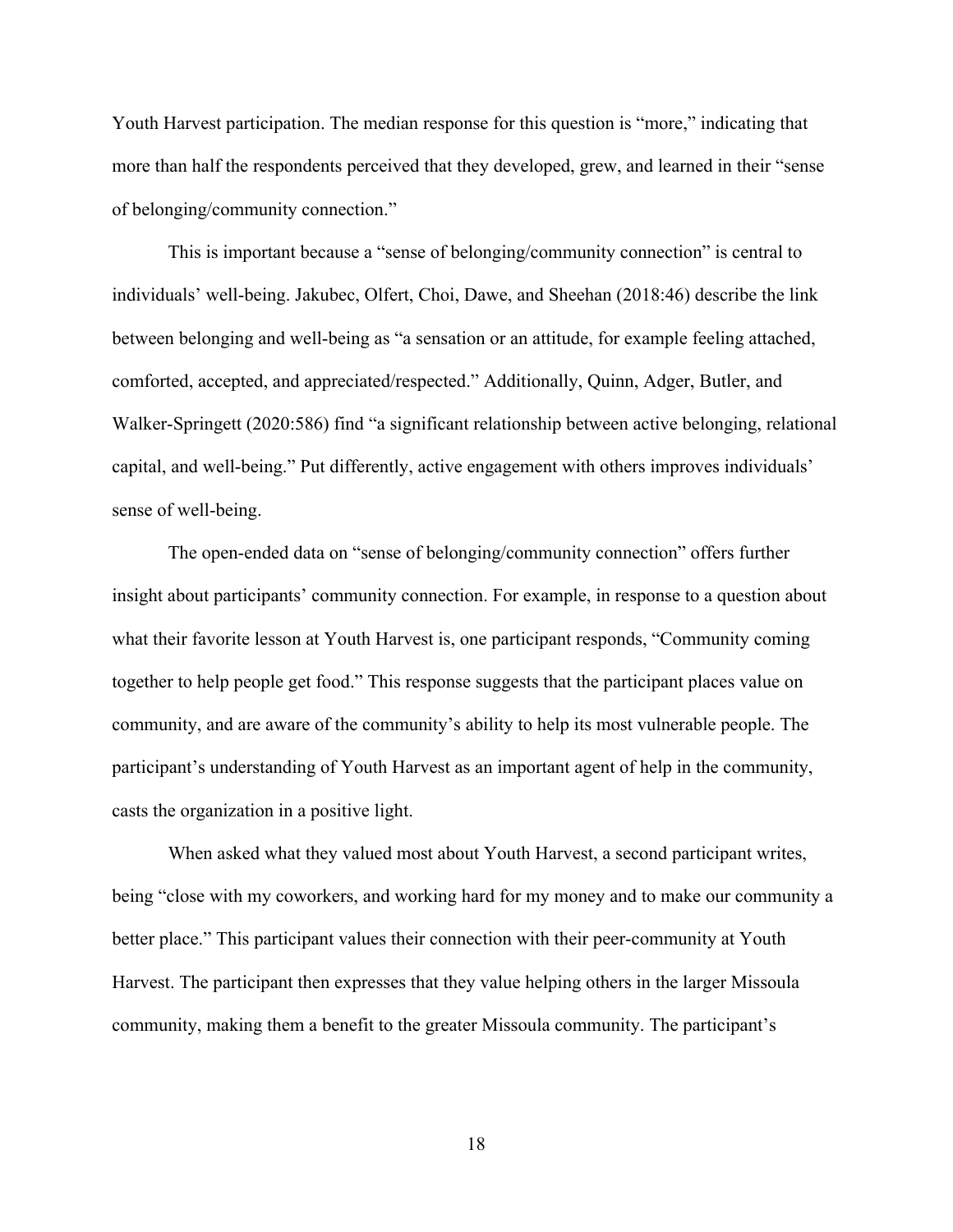Youth Harvest participation. The median response for this question is "more," indicating that more than half the respondents perceived that they developed, grew, and learned in their "sense of belonging/community connection."

This is important because a "sense of belonging/community connection" is central to individuals' well-being. Jakubec, Olfert, Choi, Dawe, and Sheehan (2018:46) describe the link between belonging and well-being as "a sensation or an attitude, for example feeling attached, comforted, accepted, and appreciated/respected." Additionally, Quinn, Adger, Butler, and Walker-Springett (2020:586) find "a significant relationship between active belonging, relational capital, and well-being." Put differently, active engagement with others improves individuals' sense of well-being.

The open-ended data on "sense of belonging/community connection" offers further insight about participants' community connection. For example, in response to a question about what their favorite lesson at Youth Harvest is, one participant responds, "Community coming together to help people get food." This response suggests that the participant places value on community, and are aware of the community's ability to help its most vulnerable people. The participant's understanding of Youth Harvest as an important agent of help in the community, casts the organization in a positive light.

When asked what they valued most about Youth Harvest, a second participant writes, being "close with my coworkers, and working hard for my money and to make our community a better place." This participant values their connection with their peer-community at Youth Harvest. The participant then expresses that they value helping others in the larger Missoula community, making them a benefit to the greater Missoula community. The participant's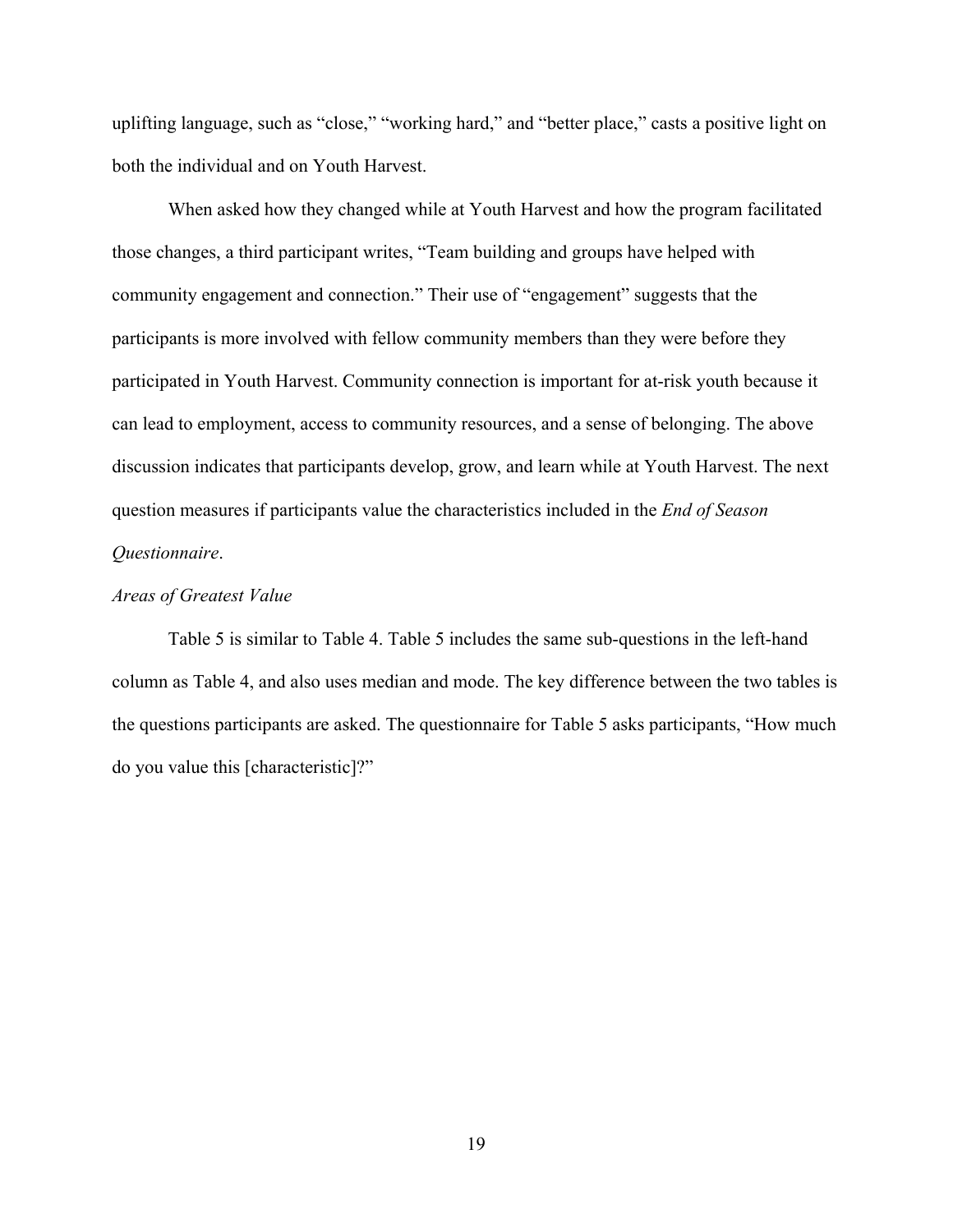uplifting language, such as "close," "working hard," and "better place," casts a positive light on both the individual and on Youth Harvest.

When asked how they changed while at Youth Harvest and how the program facilitated those changes, a third participant writes, "Team building and groups have helped with community engagement and connection." Their use of "engagement" suggests that the participants is more involved with fellow community members than they were before they participated in Youth Harvest. Community connection is important for at-risk youth because it can lead to employment, access to community resources, and a sense of belonging. The above discussion indicates that participants develop, grow, and learn while at Youth Harvest. The next question measures if participants value the characteristics included in the *End of Season Questionnaire*.

#### *Areas of Greatest Value*

Table 5 is similar to Table 4. Table 5 includes the same sub-questions in the left-hand column as Table 4, and also uses median and mode. The key difference between the two tables is the questions participants are asked. The questionnaire for Table 5 asks participants, "How much do you value this [characteristic]?"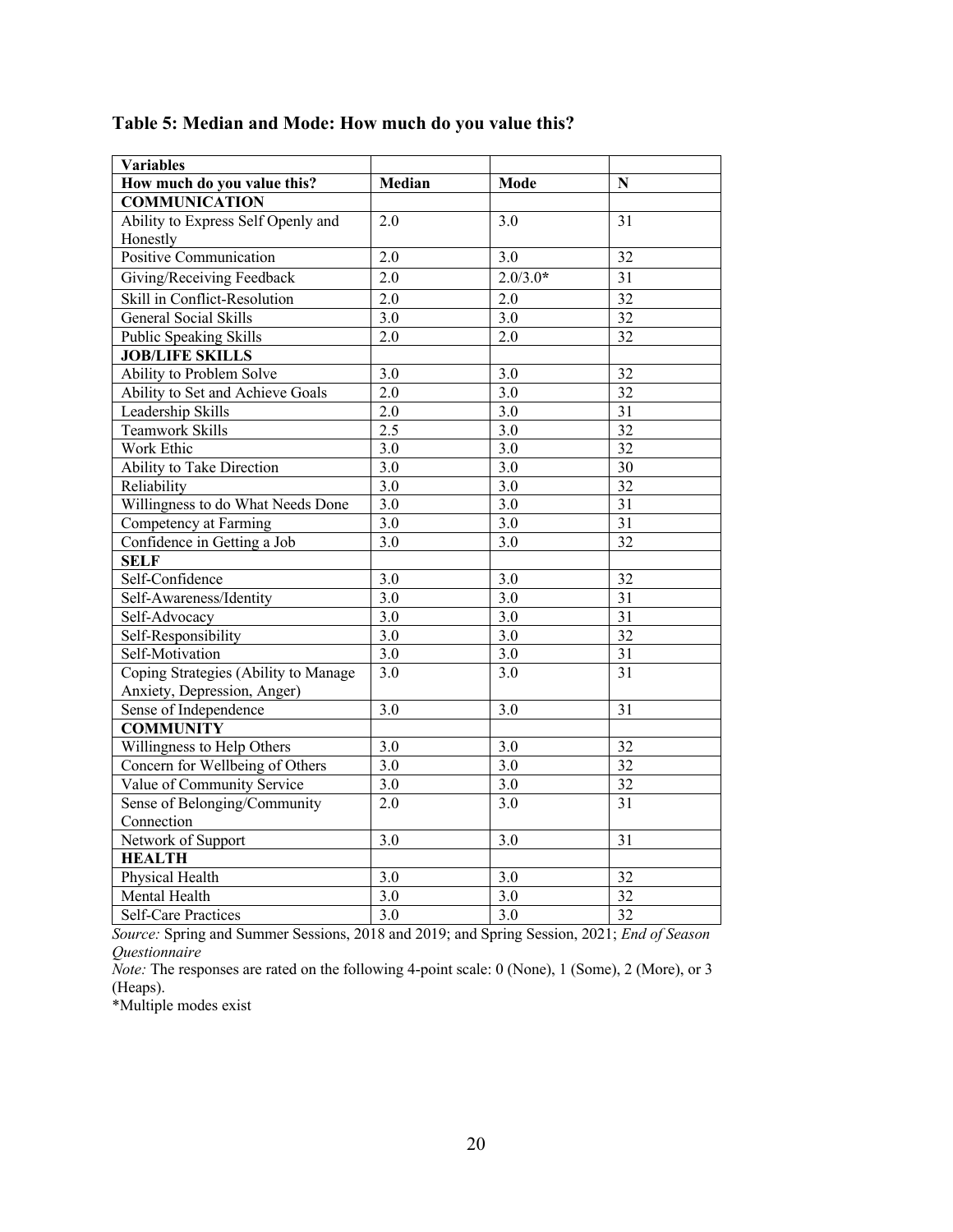| <b>Variables</b>                     |                  |                  |                 |
|--------------------------------------|------------------|------------------|-----------------|
| How much do you value this?          | Median           | <b>Mode</b>      | N               |
| <b>COMMUNICATION</b>                 |                  |                  |                 |
| Ability to Express Self Openly and   | 2.0              | 3.0              | 31              |
| Honestly                             |                  |                  |                 |
| Positive Communication               | 2.0              | 3.0              | 32              |
| Giving/Receiving Feedback            | $\overline{2.0}$ | $2.0/3.0*$       | $\overline{31}$ |
| Skill in Conflict-Resolution         | 2.0              | 2.0              | $\overline{32}$ |
| <b>General Social Skills</b>         | $\overline{3.0}$ | $\overline{3.0}$ | 32              |
| Public Speaking Skills               | $\overline{2.0}$ | $\overline{2.0}$ | 32              |
| <b>JOB/LIFE SKILLS</b>               |                  |                  |                 |
| Ability to Problem Solve             | 3.0              | 3.0              | 32              |
| Ability to Set and Achieve Goals     | 2.0              | $\overline{3.0}$ | 32              |
| Leadership Skills                    | 2.0              | $\overline{3.0}$ | $\overline{31}$ |
| <b>Teamwork Skills</b>               | 2.5              | $\overline{3.0}$ | $\overline{32}$ |
| Work Ethic                           | 3.0              | $\overline{3.0}$ | $\overline{32}$ |
| <b>Ability to Take Direction</b>     | $\overline{3.0}$ | $\overline{3.0}$ | $\overline{30}$ |
| Reliability                          | 3.0              | 3.0              | $\overline{32}$ |
| Willingness to do What Needs Done    | $\overline{3.0}$ | $\overline{3.0}$ | $\overline{31}$ |
| Competency at Farming                | $3.\overline{0}$ | 3.0              | $\overline{31}$ |
| Confidence in Getting a Job          | $\overline{3.0}$ | $\overline{3.0}$ | $\overline{32}$ |
| <b>SELF</b>                          |                  |                  |                 |
| Self-Confidence                      | 3.0              | $\overline{3.0}$ | $\overline{32}$ |
| Self-Awareness/Identity              | $\overline{3.0}$ | $\overline{3.0}$ | $\overline{31}$ |
| Self-Advocacy                        | 3.0              | 3.0              | $\overline{31}$ |
| Self-Responsibility                  | 3.0              | $\overline{3.0}$ | 32              |
| Self-Motivation                      | 3.0              | $\overline{3.0}$ | $\overline{31}$ |
| Coping Strategies (Ability to Manage | 3.0              | 3.0              | $\overline{31}$ |
| Anxiety, Depression, Anger)          |                  |                  |                 |
| Sense of Independence                | $\overline{3.0}$ | $\overline{3.0}$ | $\overline{31}$ |
| <b>COMMUNITY</b>                     |                  |                  |                 |
| Willingness to Help Others           | 3.0              | 3.0              | 32              |
| Concern for Wellbeing of Others      | 3.0              | 3.0              | 32              |
| Value of Community Service           | $\overline{3.0}$ | $\overline{3.0}$ | $\overline{32}$ |
| Sense of Belonging/Community         | 2.0              | $\overline{3.0}$ | $\overline{31}$ |
| Connection                           |                  |                  |                 |
| Network of Support                   | 3.0              | 3.0              | 31              |
| <b>HEALTH</b>                        |                  |                  |                 |
| Physical Health                      | 3.0              | 3.0              | 32              |
| Mental Health                        | 3.0              | 3.0              | 32              |
| <b>Self-Care Practices</b>           | $\overline{3.0}$ | 3.0              | $\overline{32}$ |

**Table 5: Median and Mode: How much do you value this?**

*Source:* Spring and Summer Sessions, 2018 and 2019; and Spring Session, 2021; *End of Season Questionnaire*

*Note:* The responses are rated on the following 4-point scale: 0 (None), 1 (Some), 2 (More), or 3 (Heaps).

\*Multiple modes exist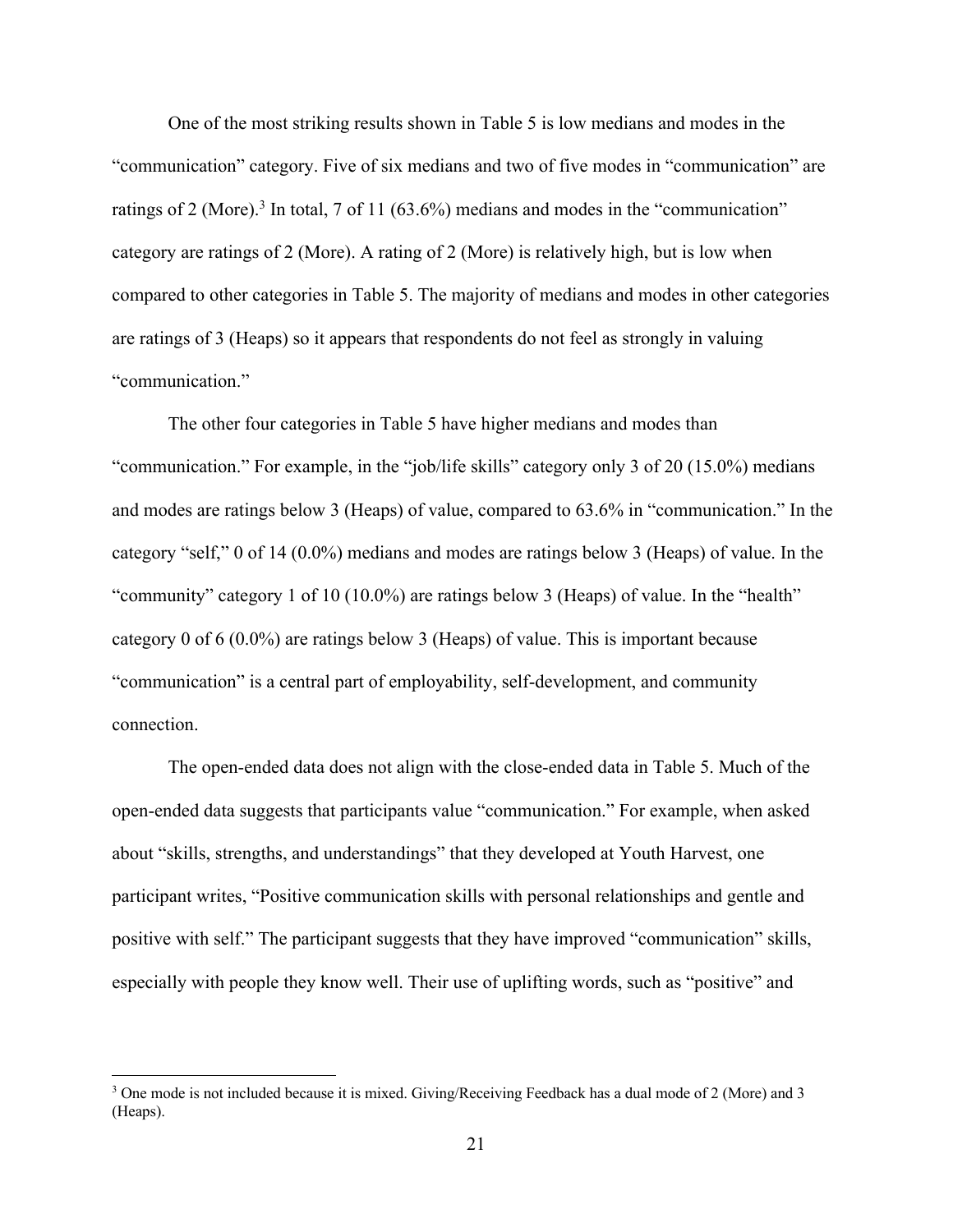One of the most striking results shown in Table 5 is low medians and modes in the "communication" category. Five of six medians and two of five modes in "communication" are ratings of 2 (More).<sup>3</sup> In total, 7 of 11 (63.6%) medians and modes in the "communication" category are ratings of 2 (More). A rating of 2 (More) is relatively high, but is low when compared to other categories in Table 5. The majority of medians and modes in other categories are ratings of 3 (Heaps) so it appears that respondents do not feel as strongly in valuing "communication."

The other four categories in Table 5 have higher medians and modes than "communication." For example, in the "job/life skills" category only 3 of 20 (15.0%) medians and modes are ratings below 3 (Heaps) of value, compared to 63.6% in "communication." In the category "self," 0 of 14 (0.0%) medians and modes are ratings below 3 (Heaps) of value. In the "community" category 1 of 10 (10.0%) are ratings below 3 (Heaps) of value. In the "health" category 0 of 6 (0.0%) are ratings below 3 (Heaps) of value. This is important because "communication" is a central part of employability, self-development, and community connection.

The open-ended data does not align with the close-ended data in Table 5. Much of the open-ended data suggests that participants value "communication." For example, when asked about "skills, strengths, and understandings" that they developed at Youth Harvest, one participant writes, "Positive communication skills with personal relationships and gentle and positive with self." The participant suggests that they have improved "communication" skills, especially with people they know well. Their use of uplifting words, such as "positive" and

<sup>3</sup> One mode is not included because it is mixed. Giving/Receiving Feedback has a dual mode of 2 (More) and 3 (Heaps).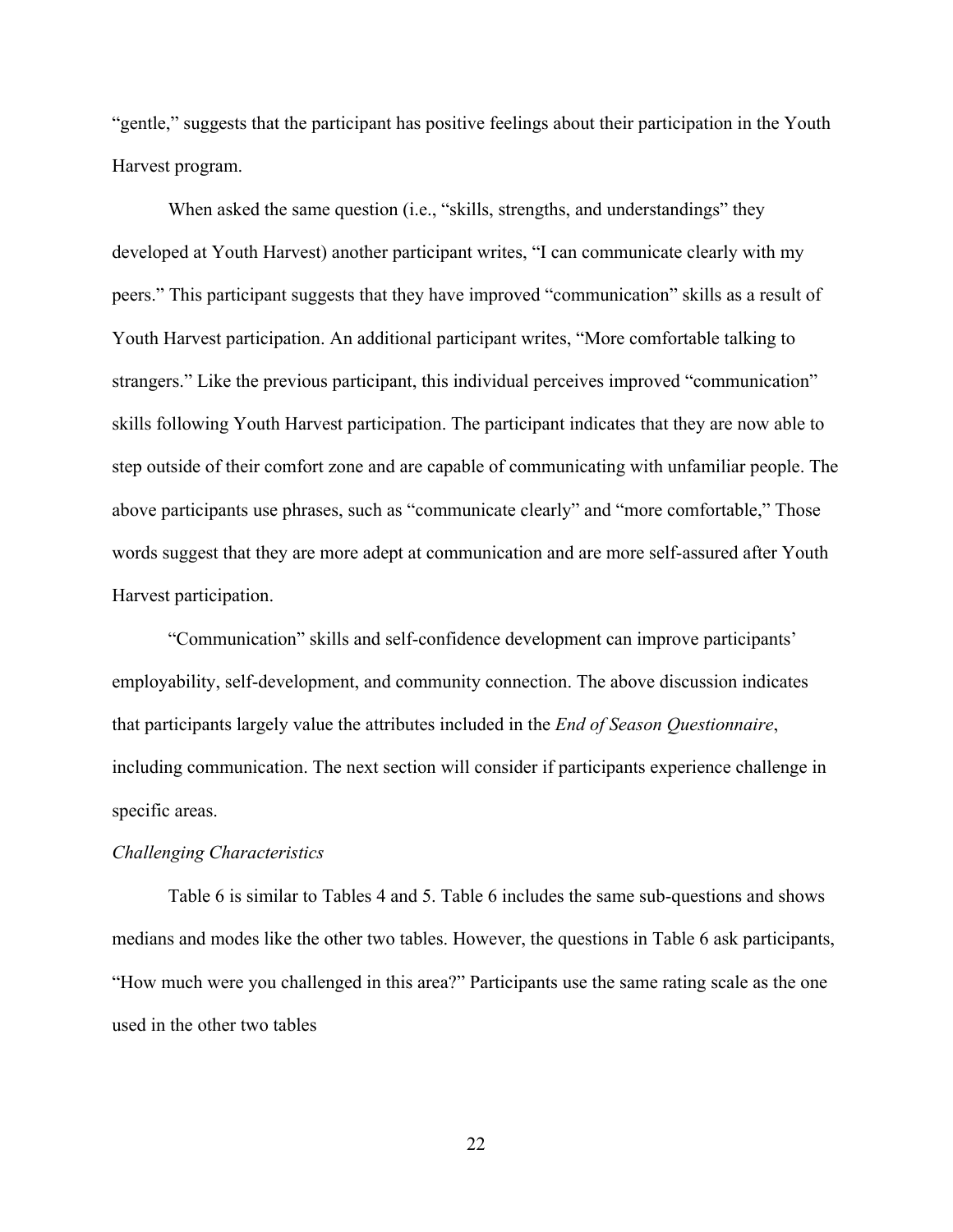"gentle," suggests that the participant has positive feelings about their participation in the Youth Harvest program.

When asked the same question (i.e., "skills, strengths, and understandings" they developed at Youth Harvest) another participant writes, "I can communicate clearly with my peers." This participant suggests that they have improved "communication" skills as a result of Youth Harvest participation. An additional participant writes, "More comfortable talking to strangers." Like the previous participant, this individual perceives improved "communication" skills following Youth Harvest participation. The participant indicates that they are now able to step outside of their comfort zone and are capable of communicating with unfamiliar people. The above participants use phrases, such as "communicate clearly" and "more comfortable," Those words suggest that they are more adept at communication and are more self-assured after Youth Harvest participation.

"Communication" skills and self-confidence development can improve participants' employability, self-development, and community connection. The above discussion indicates that participants largely value the attributes included in the *End of Season Questionnaire*, including communication. The next section will consider if participants experience challenge in specific areas.

#### *Challenging Characteristics*

Table 6 is similar to Tables 4 and 5. Table 6 includes the same sub-questions and shows medians and modes like the other two tables. However, the questions in Table 6 ask participants, "How much were you challenged in this area?" Participants use the same rating scale as the one used in the other two tables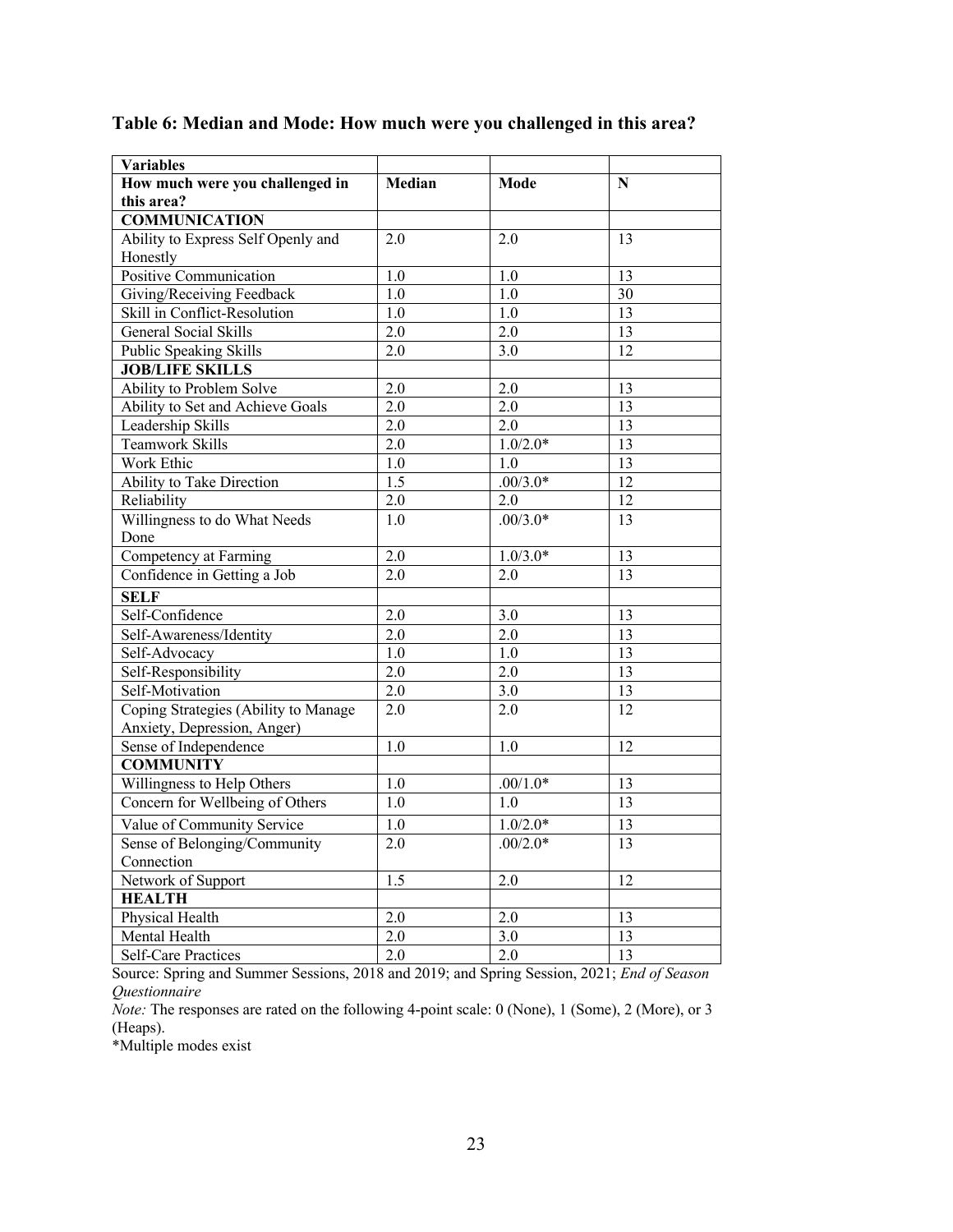| <b>Variables</b>                     |                  |            |                 |
|--------------------------------------|------------------|------------|-----------------|
| How much were you challenged in      | Median           | Mode       | N               |
| this area?                           |                  |            |                 |
| <b>COMMUNICATION</b>                 |                  |            |                 |
| Ability to Express Self Openly and   | 2.0              | 2.0        | 13              |
| Honestly                             |                  |            |                 |
| Positive Communication               | 1.0              | 1.0        | 13              |
| Giving/Receiving Feedback            | 1.0              | 1.0        | $\overline{30}$ |
| Skill in Conflict-Resolution         | 1.0              | 1.0        | 13              |
| <b>General Social Skills</b>         | 2.0              | 2.0        | 13              |
| Public Speaking Skills               | 2.0              | 3.0        | 12              |
| <b>JOB/LIFE SKILLS</b>               |                  |            |                 |
| Ability to Problem Solve             | 2.0              | 2.0        | 13              |
| Ability to Set and Achieve Goals     | 2.0              | 2.0        | 13              |
| Leadership Skills                    | 2.0              | 2.0        | 13              |
| <b>Teamwork Skills</b>               | $\overline{2.0}$ | $1.0/2.0*$ | $\overline{13}$ |
| Work Ethic                           | 1.0              | 1.0        | 13              |
| Ability to Take Direction            | 1.5              | $.00/3.0*$ | $\overline{12}$ |
| Reliability                          | 2.0              | 2.0        | 12              |
| Willingness to do What Needs         | 1.0              | $.00/3.0*$ | 13              |
| Done                                 |                  |            |                 |
| Competency at Farming                | 2.0              | $1.0/3.0*$ | 13              |
| Confidence in Getting a Job          | $\overline{2.0}$ | 2.0        | $\overline{13}$ |
| <b>SELF</b>                          |                  |            |                 |
| Self-Confidence                      | 2.0              | 3.0        | 13              |
| Self-Awareness/Identity              | 2.0              | 2.0        | 13              |
| Self-Advocacy                        | 1.0              | 1.0        | 13              |
| Self-Responsibility                  | 2.0              | 2.0        | 13              |
| Self-Motivation                      | 2.0              | 3.0        | 13              |
| Coping Strategies (Ability to Manage | 2.0              | 2.0        | 12              |
| Anxiety, Depression, Anger)          |                  |            |                 |
| Sense of Independence                | 1.0              | 1.0        | 12              |
| <b>COMMUNITY</b>                     |                  |            |                 |
| Willingness to Help Others           | 1.0              | $.00/1.0*$ | 13              |
| Concern for Wellbeing of Others      | 1.0              | 1.0        | 13              |
| Value of Community Service           | $\overline{1.0}$ | $1.0/2.0*$ | $\overline{13}$ |
| Sense of Belonging/Community         | 2.0              | $.00/2.0*$ | 13              |
| Connection                           |                  |            |                 |
| Network of Support                   | 1.5              | 2.0        | 12              |
| <b>HEALTH</b>                        |                  |            |                 |
| Physical Health                      | 2.0              | 2.0        | 13              |
| Mental Health                        | 2.0              | 3.0        | 13              |
| <b>Self-Care Practices</b>           | $\overline{2.0}$ | 2.0        | 13              |

# **Table 6: Median and Mode: How much were you challenged in this area?**

Source: Spring and Summer Sessions, 2018 and 2019; and Spring Session, 2021; *End of Season Questionnaire*

*Note:* The responses are rated on the following 4-point scale: 0 (None), 1 (Some), 2 (More), or 3 (Heaps).

\*Multiple modes exist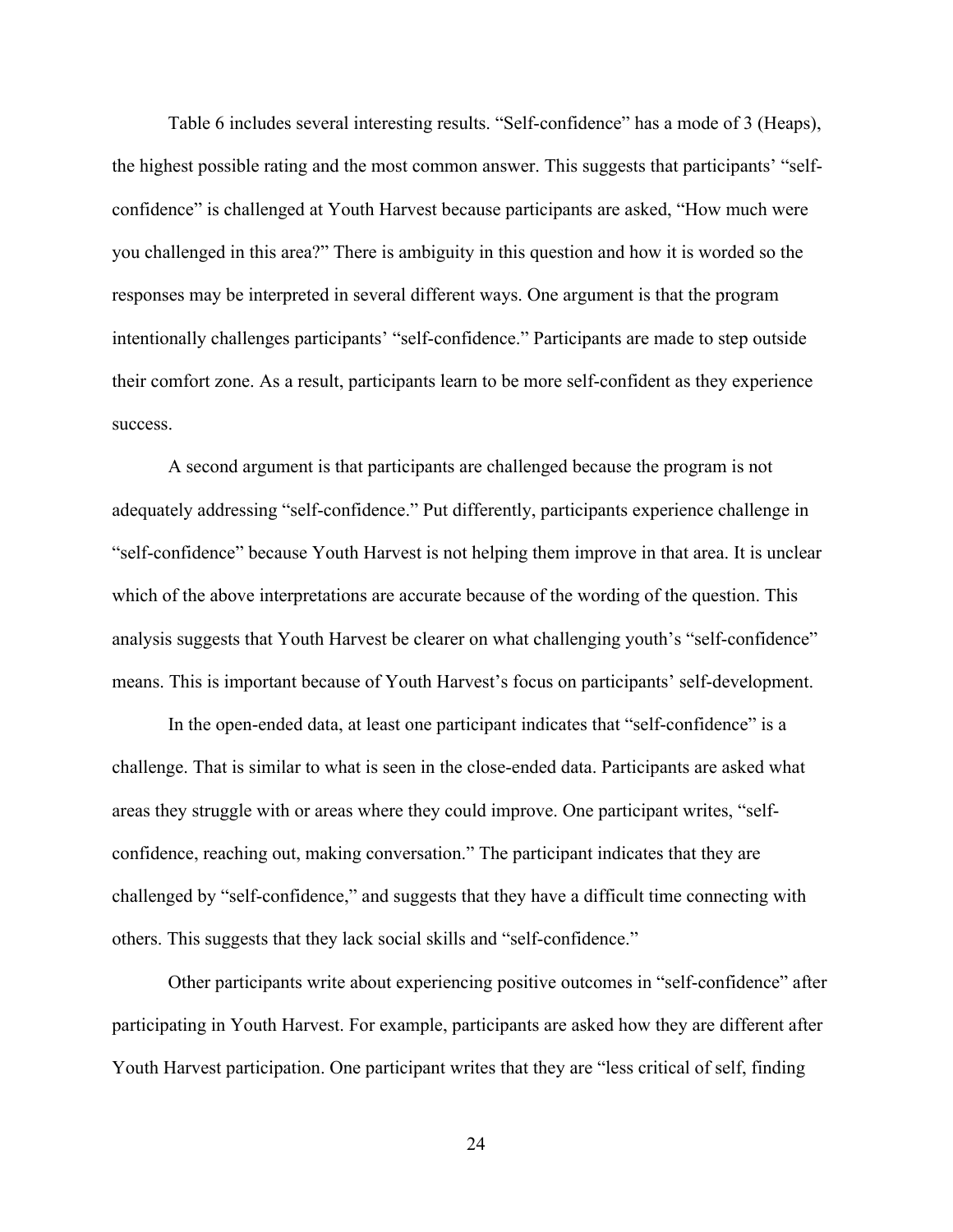Table 6 includes several interesting results. "Self-confidence" has a mode of 3 (Heaps), the highest possible rating and the most common answer. This suggests that participants' "selfconfidence" is challenged at Youth Harvest because participants are asked, "How much were you challenged in this area?" There is ambiguity in this question and how it is worded so the responses may be interpreted in several different ways. One argument is that the program intentionally challenges participants' "self-confidence." Participants are made to step outside their comfort zone. As a result, participants learn to be more self-confident as they experience success.

A second argument is that participants are challenged because the program is not adequately addressing "self-confidence." Put differently, participants experience challenge in "self-confidence" because Youth Harvest is not helping them improve in that area. It is unclear which of the above interpretations are accurate because of the wording of the question. This analysis suggests that Youth Harvest be clearer on what challenging youth's "self-confidence" means. This is important because of Youth Harvest's focus on participants' self-development.

In the open-ended data, at least one participant indicates that "self-confidence" is a challenge. That is similar to what is seen in the close-ended data. Participants are asked what areas they struggle with or areas where they could improve. One participant writes, "selfconfidence, reaching out, making conversation." The participant indicates that they are challenged by "self-confidence," and suggests that they have a difficult time connecting with others. This suggests that they lack social skills and "self-confidence."

Other participants write about experiencing positive outcomes in "self-confidence" after participating in Youth Harvest. For example, participants are asked how they are different after Youth Harvest participation. One participant writes that they are "less critical of self, finding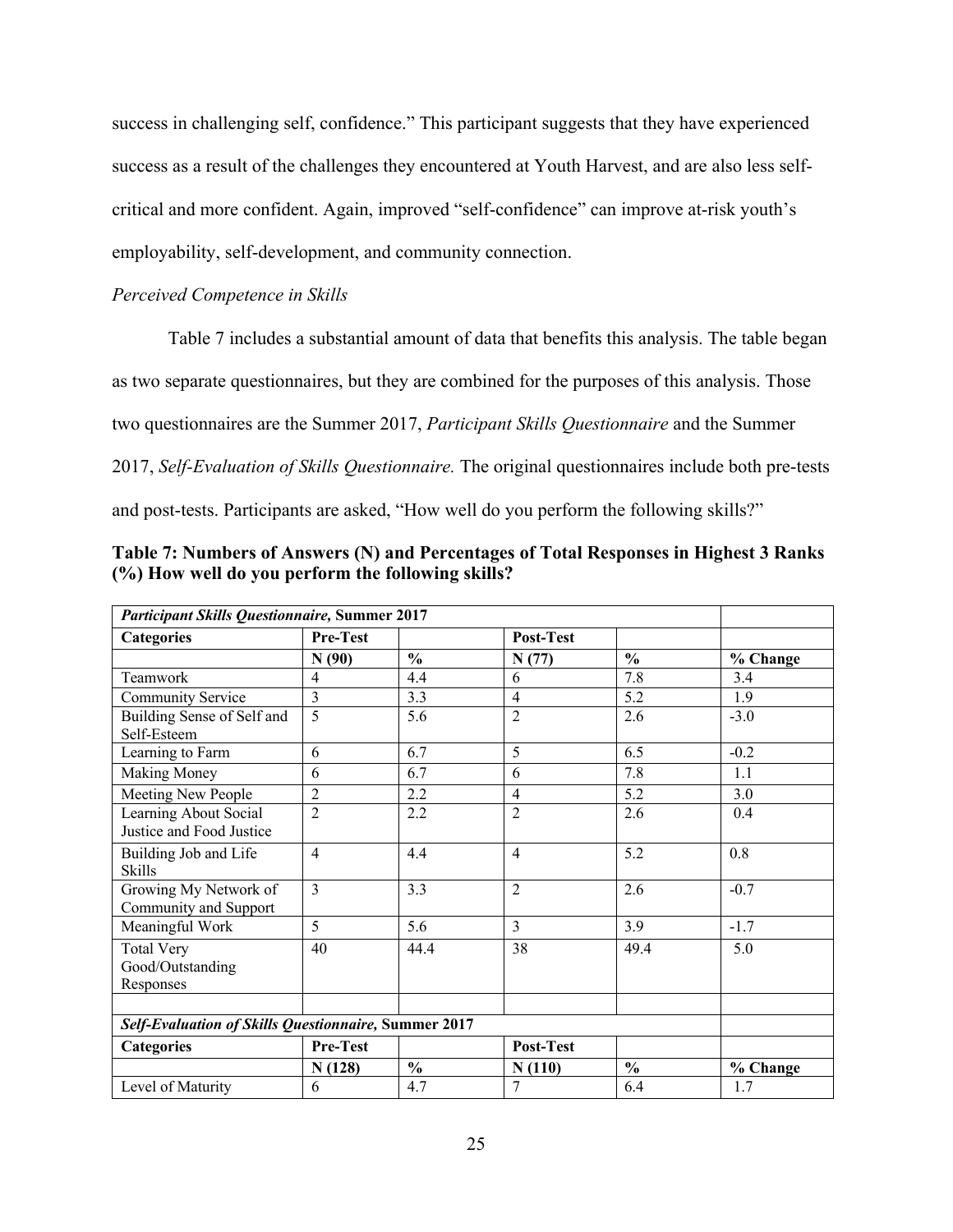success in challenging self, confidence." This participant suggests that they have experienced success as a result of the challenges they encountered at Youth Harvest, and are also less selfcritical and more confident. Again, improved "self-confidence" can improve at-risk youth's employability, self-development, and community connection.

#### *Perceived Competence in Skills*

Table 7 includes a substantial amount of data that benefits this analysis. The table began

as two separate questionnaires, but they are combined for the purposes of this analysis. Those

two questionnaires are the Summer 2017, *Participant Skills Questionnaire* and the Summer

2017, *Self-Evaluation of Skills Questionnaire.* The original questionnaires include both pre-tests

and post-tests. Participants are asked, "How well do you perform the following skills?"

| <b>Participant Skills Questionnaire, Summer 2017</b> |                 |               |                |               |          |
|------------------------------------------------------|-----------------|---------------|----------------|---------------|----------|
| <b>Categories</b>                                    | <b>Pre-Test</b> |               | Post-Test      |               |          |
|                                                      | N(90)           | $\frac{0}{0}$ | N(77)          | $\frac{0}{0}$ | % Change |
| Teamwork                                             | $\overline{4}$  | 4.4           | 6              | 7.8           | 3.4      |
| <b>Community Service</b>                             | 3               | 3.3           | $\overline{4}$ | 5.2           | 1.9      |
| Building Sense of Self and<br>Self-Esteem            | 5               | 5.6           | $\overline{2}$ | 2.6           | $-3.0$   |
| Learning to Farm                                     | 6               | 6.7           | 5              | 6.5           | $-0.2$   |
| <b>Making Money</b>                                  | 6               | 6.7           | 6              | 7.8           | 1.1      |
| Meeting New People                                   | 2               | 2.2           | $\overline{4}$ | 5.2           | 3.0      |
| Learning About Social<br>Justice and Food Justice    | $\overline{c}$  | 2.2           | $\overline{2}$ | 2.6           | 0.4      |
| Building Job and Life<br><b>Skills</b>               | $\overline{4}$  | 4.4           | $\overline{4}$ | 5.2           | 0.8      |
| Growing My Network of<br>Community and Support       | 3               | 3.3           | $\overline{2}$ | 2.6           | $-0.7$   |
| Meaningful Work                                      | 5               | 5.6           | 3              | 3.9           | $-1.7$   |
| <b>Total Very</b><br>Good/Outstanding<br>Responses   | 40              | 44.4          | 38             | 49.4          | 5.0      |
| Self-Evaluation of Skills Questionnaire, Summer 2017 |                 |               |                |               |          |
| <b>Categories</b>                                    | Pre-Test        |               | Post-Test      |               |          |
|                                                      | N(128)          | $\frac{0}{0}$ | N(110)         | $\frac{0}{0}$ | % Change |
| Level of Maturity                                    | 6               | 4.7           | 7              | 6.4           | 1.7      |

**Table 7: Numbers of Answers (N) and Percentages of Total Responses in Highest 3 Ranks (%) How well do you perform the following skills?**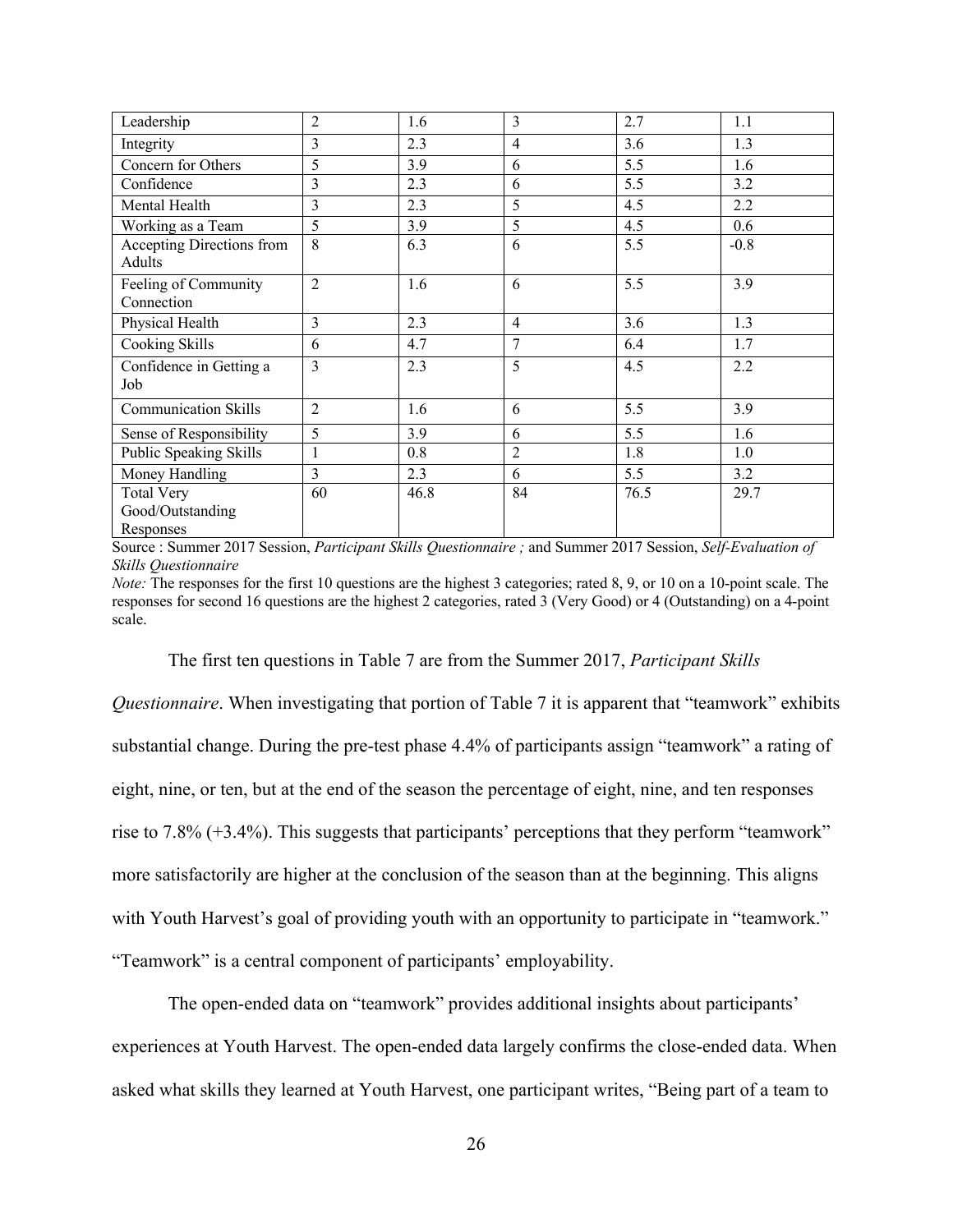| Leadership                                         | $\overline{2}$ | 1.6  | 3              | 2.7  | 1.1    |
|----------------------------------------------------|----------------|------|----------------|------|--------|
| Integrity                                          | 3              | 2.3  | 4              | 3.6  | 1.3    |
| Concern for Others                                 | 5              | 3.9  | 6              | 5.5  | 1.6    |
| Confidence                                         | 3              | 2.3  | 6              | 5.5  | 3.2    |
| Mental Health                                      | 3              | 2.3  | 5              | 4.5  | 2.2    |
| Working as a Team                                  | 5              | 3.9  | 5              | 4.5  | 0.6    |
| Accepting Directions from<br>Adults                | 8              | 6.3  | 6              | 5.5  | $-0.8$ |
| Feeling of Community<br>Connection                 | $\overline{c}$ | 1.6  | 6              | 5.5  | 3.9    |
| Physical Health                                    | 3              | 2.3  | $\overline{4}$ | 3.6  | 1.3    |
| Cooking Skills                                     | 6              | 4.7  | 7              | 6.4  | 1.7    |
| Confidence in Getting a<br>Job                     | 3              | 2.3  | 5              | 4.5  | 2.2    |
| <b>Communication Skills</b>                        | $\overline{2}$ | 1.6  | 6              | 5.5  | 3.9    |
| Sense of Responsibility                            | 5              | 3.9  | 6              | 5.5  | 1.6    |
| Public Speaking Skills                             | $\mathbf{1}$   | 0.8  | $\overline{2}$ | 1.8  | 1.0    |
| Money Handling                                     | 3              | 2.3  | 6              | 5.5  | 3.2    |
| <b>Total Very</b><br>Good/Outstanding<br>Responses | 60             | 46.8 | 84             | 76.5 | 29.7   |

Source : Summer 2017 Session, *Participant Skills Questionnaire ;* and Summer 2017 Session, *Self-Evaluation of Skills Questionnaire*

*Note:* The responses for the first 10 questions are the highest 3 categories; rated 8, 9, or 10 on a 10-point scale. The responses for second 16 questions are the highest 2 categories, rated 3 (Very Good) or 4 (Outstanding) on a 4-point scale.

The first ten questions in Table 7 are from the Summer 2017, *Participant Skills* 

*Questionnaire*. When investigating that portion of Table 7 it is apparent that "teamwork" exhibits substantial change. During the pre-test phase 4.4% of participants assign "teamwork" a rating of eight, nine, or ten, but at the end of the season the percentage of eight, nine, and ten responses rise to 7.8% (+3.4%). This suggests that participants' perceptions that they perform "teamwork" more satisfactorily are higher at the conclusion of the season than at the beginning. This aligns with Youth Harvest's goal of providing youth with an opportunity to participate in "teamwork." "Teamwork" is a central component of participants' employability.

The open-ended data on "teamwork" provides additional insights about participants' experiences at Youth Harvest. The open-ended data largely confirms the close-ended data. When asked what skills they learned at Youth Harvest, one participant writes, "Being part of a team to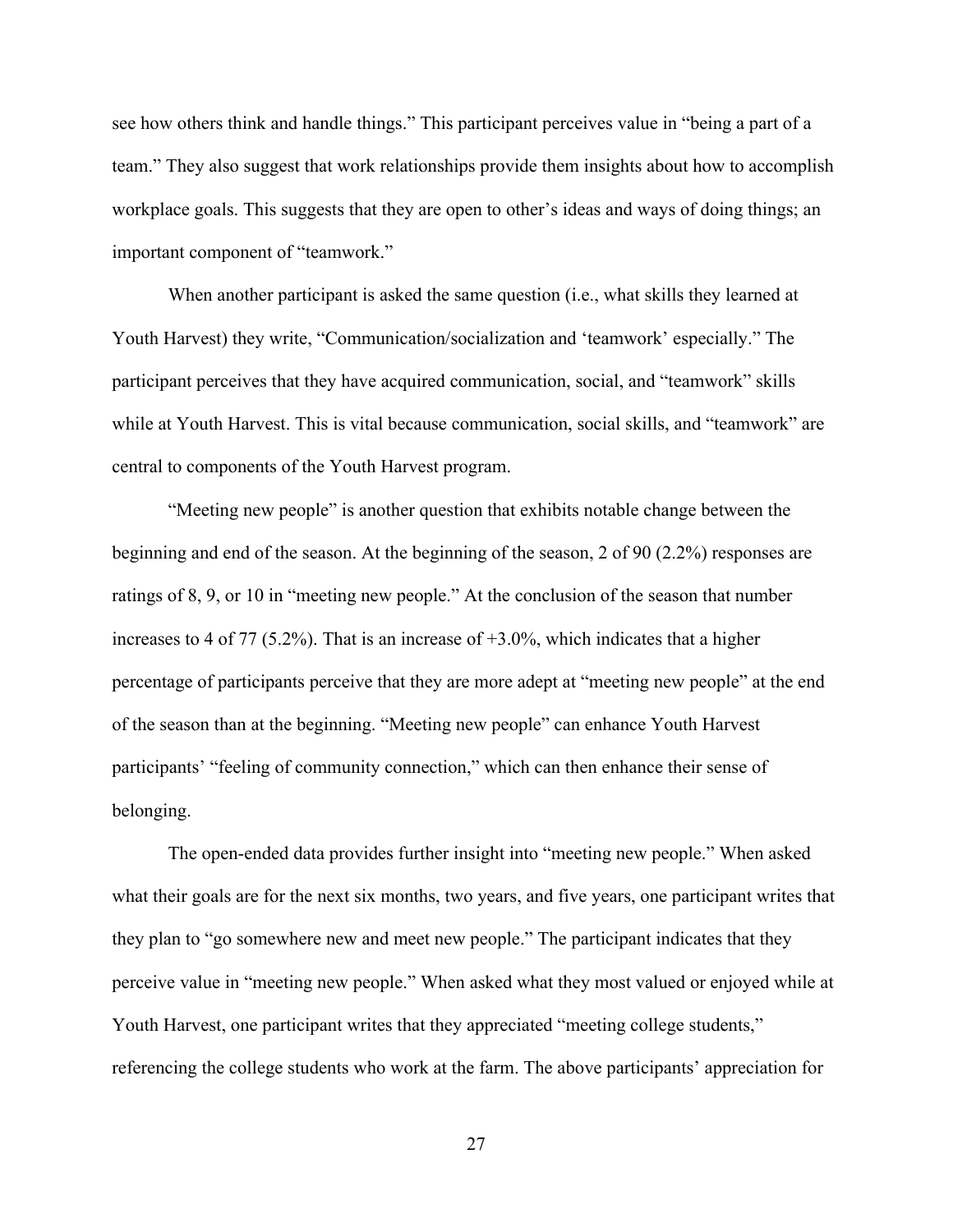see how others think and handle things." This participant perceives value in "being a part of a team." They also suggest that work relationships provide them insights about how to accomplish workplace goals. This suggests that they are open to other's ideas and ways of doing things; an important component of "teamwork."

When another participant is asked the same question (i.e., what skills they learned at Youth Harvest) they write, "Communication/socialization and 'teamwork' especially." The participant perceives that they have acquired communication, social, and "teamwork" skills while at Youth Harvest. This is vital because communication, social skills, and "teamwork" are central to components of the Youth Harvest program.

"Meeting new people" is another question that exhibits notable change between the beginning and end of the season. At the beginning of the season, 2 of 90 (2.2%) responses are ratings of 8, 9, or 10 in "meeting new people." At the conclusion of the season that number increases to 4 of 77 (5.2%). That is an increase of  $+3.0\%$ , which indicates that a higher percentage of participants perceive that they are more adept at "meeting new people" at the end of the season than at the beginning. "Meeting new people" can enhance Youth Harvest participants' "feeling of community connection," which can then enhance their sense of belonging.

The open-ended data provides further insight into "meeting new people." When asked what their goals are for the next six months, two years, and five years, one participant writes that they plan to "go somewhere new and meet new people." The participant indicates that they perceive value in "meeting new people." When asked what they most valued or enjoyed while at Youth Harvest, one participant writes that they appreciated "meeting college students," referencing the college students who work at the farm. The above participants' appreciation for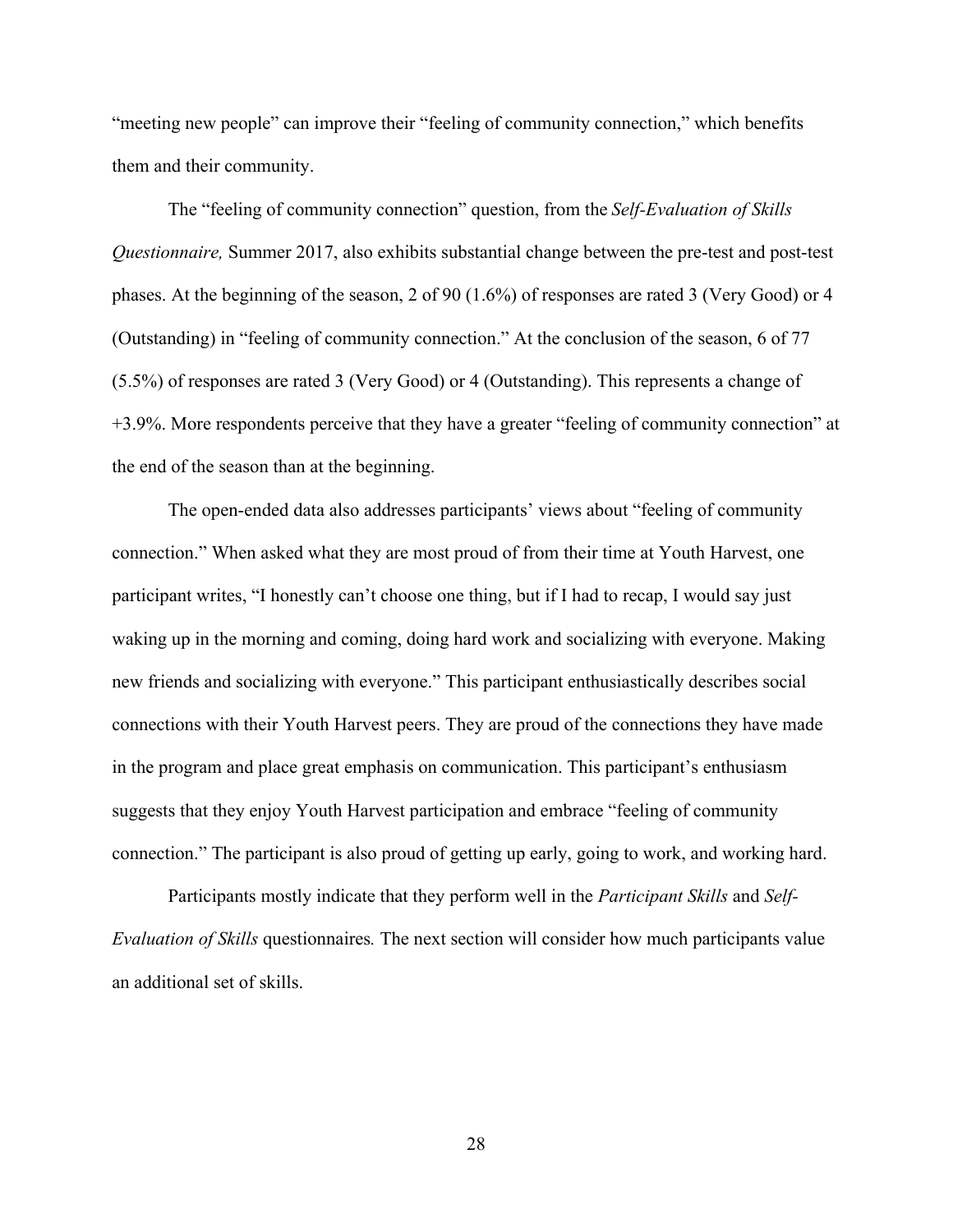"meeting new people" can improve their "feeling of community connection," which benefits them and their community.

The "feeling of community connection" question, from the *Self-Evaluation of Skills Questionnaire,* Summer 2017, also exhibits substantial change between the pre-test and post-test phases. At the beginning of the season, 2 of 90 (1.6%) of responses are rated 3 (Very Good) or 4 (Outstanding) in "feeling of community connection." At the conclusion of the season, 6 of 77 (5.5%) of responses are rated 3 (Very Good) or 4 (Outstanding). This represents a change of +3.9%. More respondents perceive that they have a greater "feeling of community connection" at the end of the season than at the beginning.

The open-ended data also addresses participants' views about "feeling of community connection." When asked what they are most proud of from their time at Youth Harvest, one participant writes, "I honestly can't choose one thing, but if I had to recap, I would say just waking up in the morning and coming, doing hard work and socializing with everyone. Making new friends and socializing with everyone." This participant enthusiastically describes social connections with their Youth Harvest peers. They are proud of the connections they have made in the program and place great emphasis on communication. This participant's enthusiasm suggests that they enjoy Youth Harvest participation and embrace "feeling of community connection." The participant is also proud of getting up early, going to work, and working hard.

Participants mostly indicate that they perform well in the *Participant Skills* and *Self-Evaluation of Skills* questionnaires*.* The next section will consider how much participants value an additional set of skills.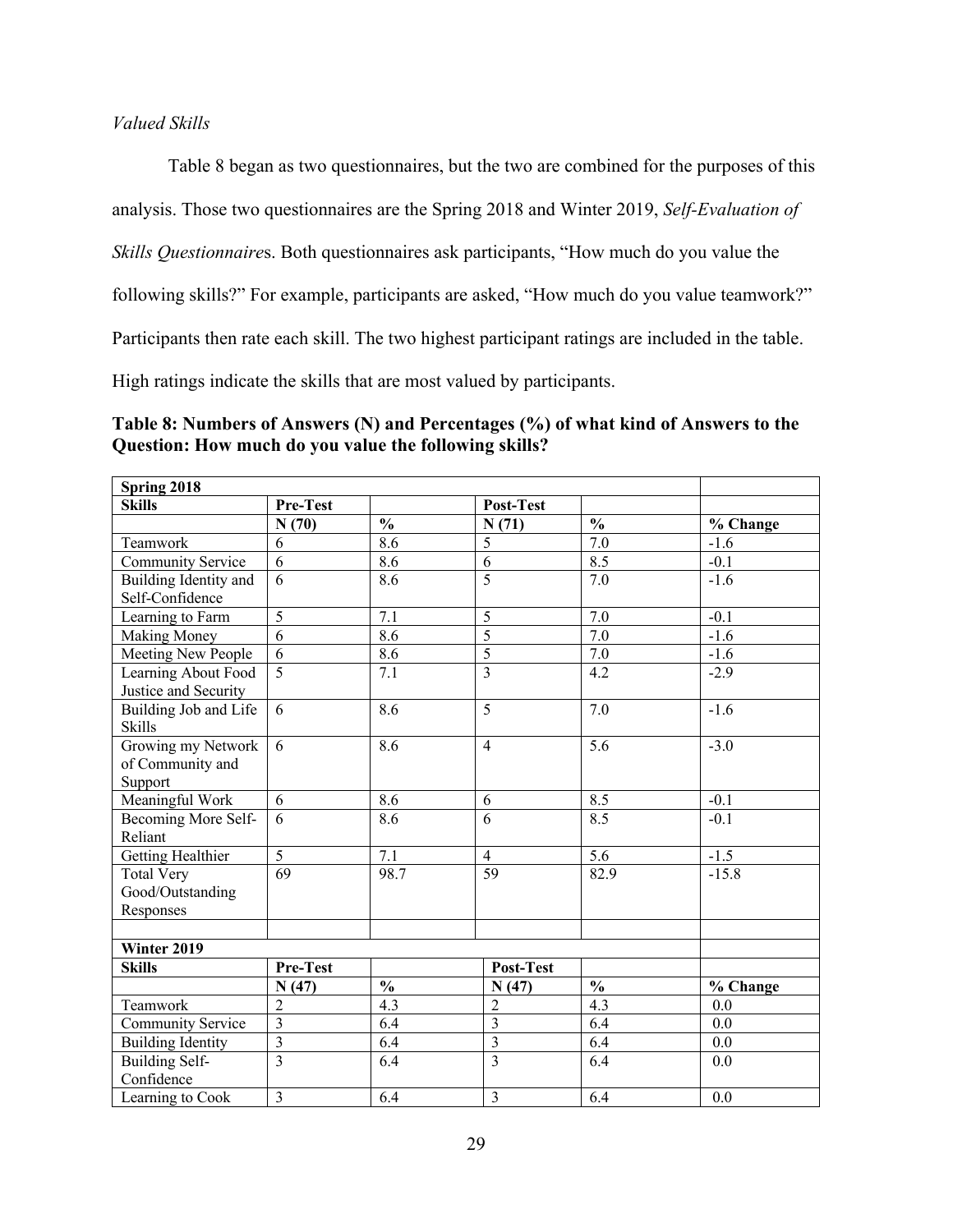#### *Valued Skills*

Table 8 began as two questionnaires, but the two are combined for the purposes of this

analysis. Those two questionnaires are the Spring 2018 and Winter 2019, *Self-Evaluation of* 

*Skills Questionnaire*s. Both questionnaires ask participants, "How much do you value the

following skills?" For example, participants are asked, "How much do you value teamwork?"

Participants then rate each skill. The two highest participant ratings are included in the table.

High ratings indicate the skills that are most valued by participants.

**Table 8: Numbers of Answers (N) and Percentages (%) of what kind of Answers to the Question: How much do you value the following skills?**

| Spring 2018              |                         |               |                         |               |          |
|--------------------------|-------------------------|---------------|-------------------------|---------------|----------|
| <b>Skills</b>            | Pre-Test                |               | Post-Test               |               |          |
|                          | N(70)                   | $\frac{0}{0}$ | N(71)                   | $\frac{0}{0}$ | % Change |
| Teamwork                 | 6                       | 8.6           | 5                       | 7.0           | $-1.6$   |
| Community Service        | 6                       | 8.6           | 6                       | 8.5           | $-0.1$   |
| Building Identity and    | 6                       | 8.6           | $\overline{5}$          | 7.0           | $-1.6$   |
| Self-Confidence          |                         |               |                         |               |          |
| Learning to Farm         | 5                       | 7.1           | 5                       | 7.0           | $-0.1$   |
| <b>Making Money</b>      | $\overline{6}$          | 8.6           | $\overline{5}$          | 7.0           | $-1.6$   |
| Meeting New People       | 6                       | 8.6           | $\overline{5}$          | 7.0           | $-1.6$   |
| Learning About Food      | $\overline{5}$          | 7.1           | $\overline{3}$          | 4.2           | $-2.9$   |
| Justice and Security     |                         |               |                         |               |          |
| Building Job and Life    | 6                       | 8.6           | 5                       | 7.0           | $-1.6$   |
| <b>Skills</b>            |                         |               |                         |               |          |
| Growing my Network       | 6                       | 8.6           | $\overline{4}$          | 5.6           | $-3.0$   |
| of Community and         |                         |               |                         |               |          |
| Support                  |                         |               |                         |               |          |
| Meaningful Work          | 6                       | 8.6           | 6                       | 8.5           | $-0.1$   |
| Becoming More Self-      | 6                       | 8.6           | 6                       | 8.5           | $-0.1$   |
| Reliant                  |                         |               |                         |               |          |
| Getting Healthier        | 5                       | 7.1           | $\overline{4}$          | 5.6           | $-1.5$   |
| <b>Total Very</b>        | 69                      | 98.7          | 59                      | 82.9          | $-15.8$  |
| Good/Outstanding         |                         |               |                         |               |          |
| Responses                |                         |               |                         |               |          |
|                          |                         |               |                         |               |          |
| Winter 2019              |                         |               |                         |               |          |
| <b>Skills</b>            | Pre-Test                |               | Post-Test               |               |          |
|                          | N(47)                   | $\frac{0}{0}$ | N(47)                   | $\frac{0}{0}$ | % Change |
| Teamwork                 | $\overline{2}$          | 4.3           | $\overline{2}$          | 4.3           | 0.0      |
| Community Service        | 3                       | 6.4           | $\overline{3}$          | 6.4           | 0.0      |
| <b>Building Identity</b> | $\overline{\mathbf{3}}$ | 6.4           | $\overline{\mathbf{3}}$ | 6.4           | 0.0      |
| <b>Building Self-</b>    | $\overline{3}$          | 6.4           | $\overline{\mathbf{3}}$ | 6.4           | 0.0      |
| Confidence               |                         |               |                         |               |          |
| Learning to Cook         | $\mathfrak{Z}$          | 6.4           | $\overline{3}$          | 6.4           | 0.0      |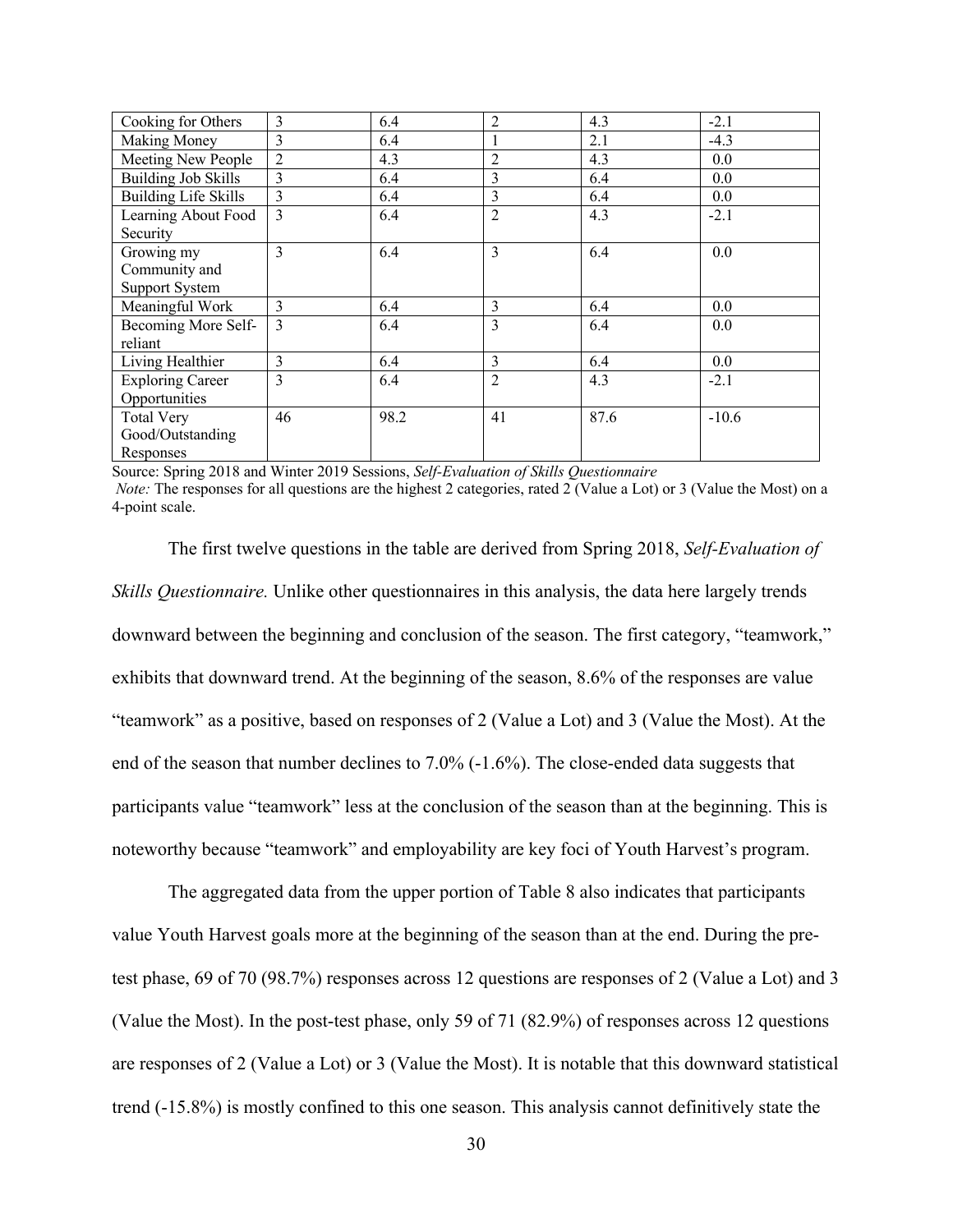| Cooking for Others          | 3              | 6.4  | $\overline{2}$ | 4.3  | $-2.1$  |
|-----------------------------|----------------|------|----------------|------|---------|
| <b>Making Money</b>         | 3              | 6.4  | $\mathbf{1}$   | 2.1  | $-4.3$  |
| Meeting New People          | $\overline{2}$ | 4.3  | $\overline{2}$ | 4.3  | 0.0     |
| <b>Building Job Skills</b>  | $\mathcal{F}$  | 6.4  | 3              | 6.4  | 0.0     |
| <b>Building Life Skills</b> | 3              | 6.4  | 3              | 6.4  | 0.0     |
| Learning About Food         | 3              | 6.4  | $\overline{2}$ | 4.3  | $-2.1$  |
| Security                    |                |      |                |      |         |
| Growing my                  | 3              | 6.4  | 3              | 6.4  | 0.0     |
| Community and               |                |      |                |      |         |
| <b>Support System</b>       |                |      |                |      |         |
| Meaningful Work             | 3              | 6.4  | 3              | 6.4  | 0.0     |
| Becoming More Self-         | $\mathcal{E}$  | 6.4  | $\overline{3}$ | 6.4  | 0.0     |
| reliant                     |                |      |                |      |         |
| Living Healthier            | $\overline{3}$ | 6.4  | 3              | 6.4  | 0.0     |
| <b>Exploring Career</b>     | 3              | 6.4  | $\overline{2}$ | 4.3  | $-2.1$  |
| Opportunities               |                |      |                |      |         |
| <b>Total Very</b>           | 46             | 98.2 | 41             | 87.6 | $-10.6$ |
| Good/Outstanding            |                |      |                |      |         |
| Responses                   |                |      |                |      |         |

Source: Spring 2018 and Winter 2019 Sessions, *Self-Evaluation of Skills Questionnaire Note:* The responses for all questions are the highest 2 categories, rated 2 (Value a Lot) or 3 (Value the Most) on a 4-point scale.

The first twelve questions in the table are derived from Spring 2018, *Self-Evaluation of Skills Questionnaire.* Unlike other questionnaires in this analysis, the data here largely trends downward between the beginning and conclusion of the season. The first category, "teamwork," exhibits that downward trend. At the beginning of the season, 8.6% of the responses are value "teamwork" as a positive, based on responses of 2 (Value a Lot) and 3 (Value the Most). At the end of the season that number declines to 7.0% (-1.6%). The close-ended data suggests that participants value "teamwork" less at the conclusion of the season than at the beginning. This is noteworthy because "teamwork" and employability are key foci of Youth Harvest's program.

The aggregated data from the upper portion of Table 8 also indicates that participants value Youth Harvest goals more at the beginning of the season than at the end. During the pretest phase, 69 of 70 (98.7%) responses across 12 questions are responses of 2 (Value a Lot) and 3 (Value the Most). In the post-test phase, only 59 of 71 (82.9%) of responses across 12 questions are responses of 2 (Value a Lot) or 3 (Value the Most). It is notable that this downward statistical trend (-15.8%) is mostly confined to this one season. This analysis cannot definitively state the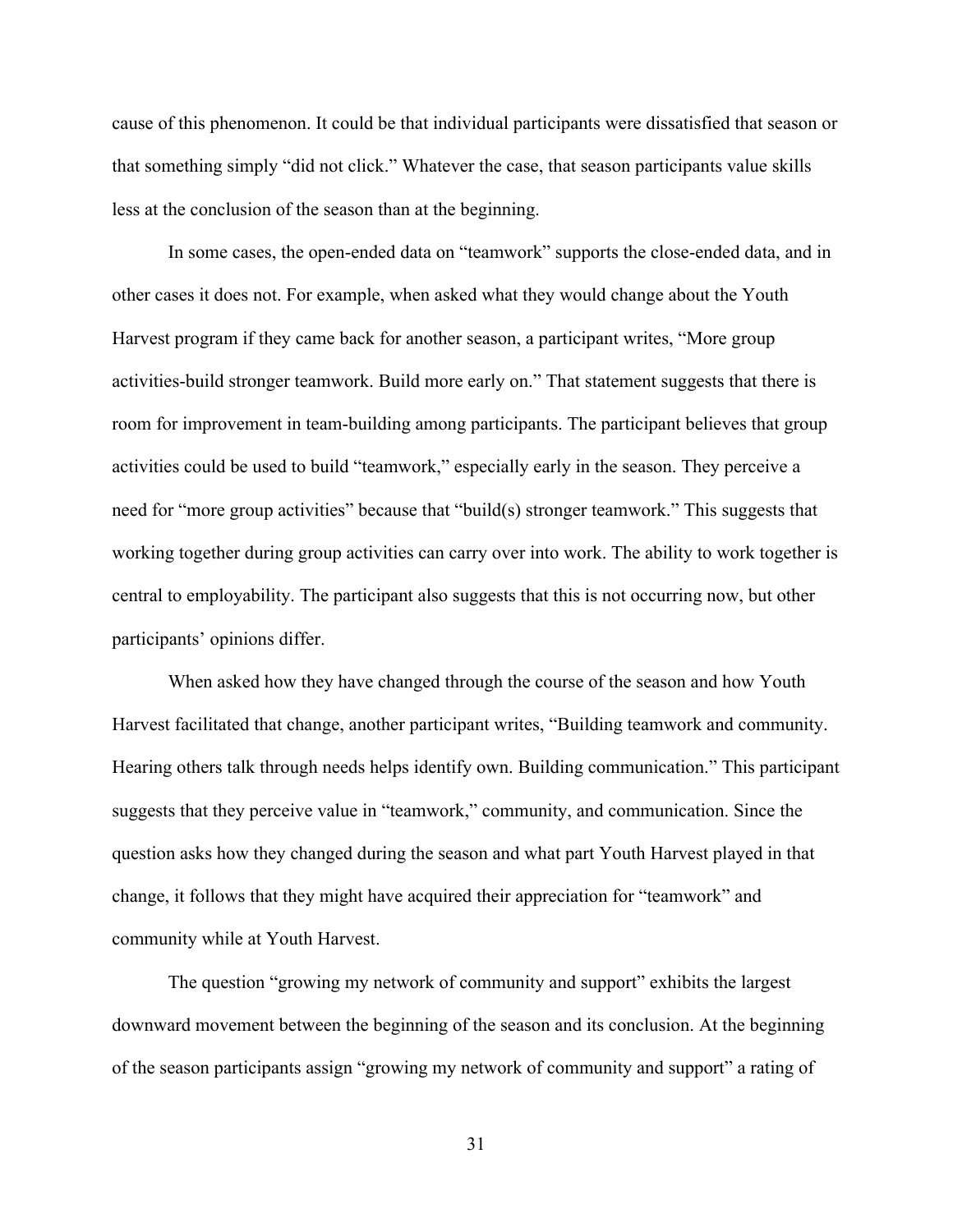cause of this phenomenon. It could be that individual participants were dissatisfied that season or that something simply "did not click." Whatever the case, that season participants value skills less at the conclusion of the season than at the beginning.

In some cases, the open-ended data on "teamwork" supports the close-ended data, and in other cases it does not. For example, when asked what they would change about the Youth Harvest program if they came back for another season, a participant writes, "More group activities-build stronger teamwork. Build more early on." That statement suggests that there is room for improvement in team-building among participants. The participant believes that group activities could be used to build "teamwork," especially early in the season. They perceive a need for "more group activities" because that "build(s) stronger teamwork." This suggests that working together during group activities can carry over into work. The ability to work together is central to employability. The participant also suggests that this is not occurring now, but other participants' opinions differ.

When asked how they have changed through the course of the season and how Youth Harvest facilitated that change, another participant writes, "Building teamwork and community. Hearing others talk through needs helps identify own. Building communication." This participant suggests that they perceive value in "teamwork," community, and communication. Since the question asks how they changed during the season and what part Youth Harvest played in that change, it follows that they might have acquired their appreciation for "teamwork" and community while at Youth Harvest.

The question "growing my network of community and support" exhibits the largest downward movement between the beginning of the season and its conclusion. At the beginning of the season participants assign "growing my network of community and support" a rating of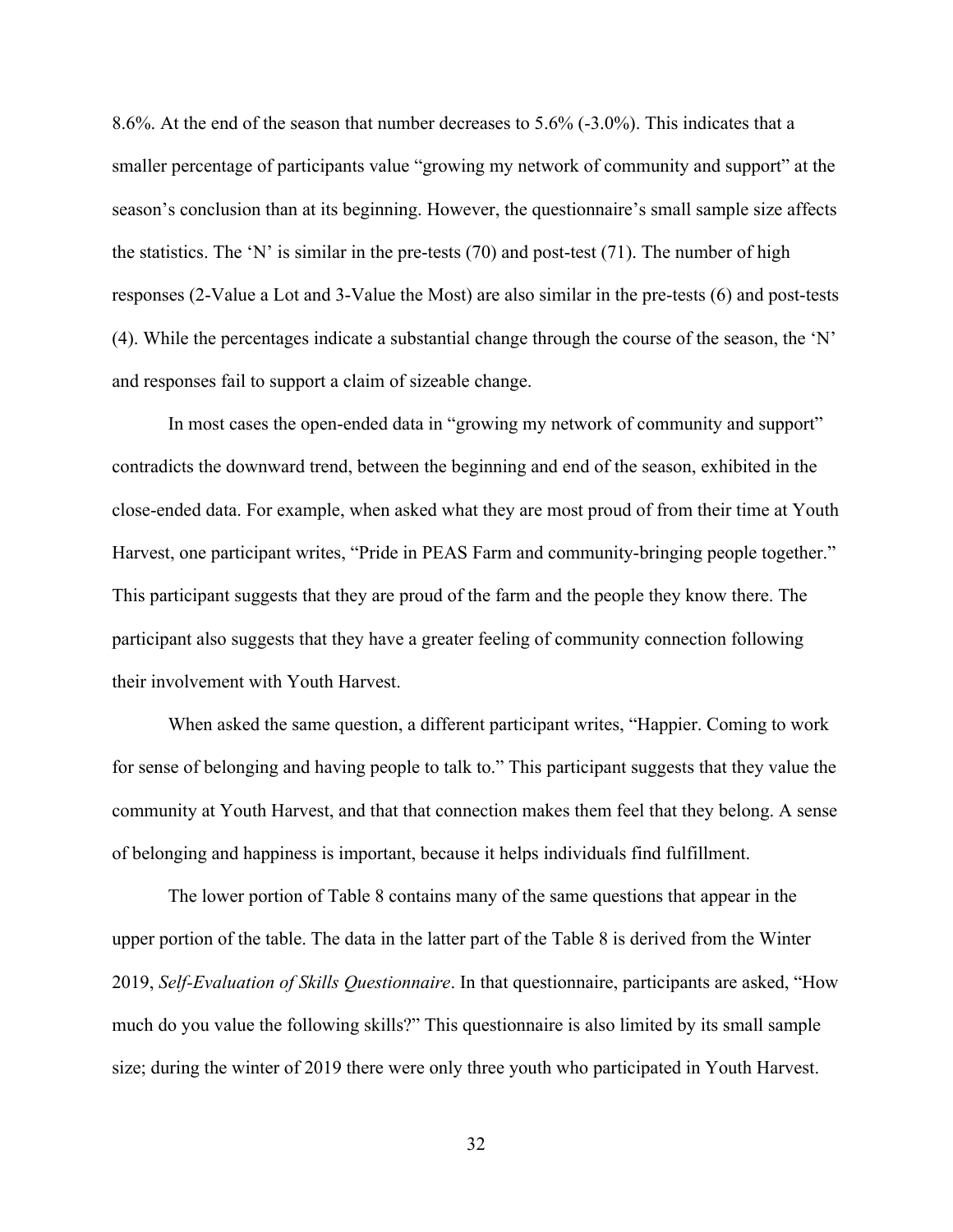8.6%. At the end of the season that number decreases to 5.6% (-3.0%). This indicates that a smaller percentage of participants value "growing my network of community and support" at the season's conclusion than at its beginning. However, the questionnaire's small sample size affects the statistics. The 'N' is similar in the pre-tests  $(70)$  and post-test  $(71)$ . The number of high responses (2-Value a Lot and 3-Value the Most) are also similar in the pre-tests (6) and post-tests (4). While the percentages indicate a substantial change through the course of the season, the 'N' and responses fail to support a claim of sizeable change.

In most cases the open-ended data in "growing my network of community and support" contradicts the downward trend, between the beginning and end of the season, exhibited in the close-ended data. For example, when asked what they are most proud of from their time at Youth Harvest, one participant writes, "Pride in PEAS Farm and community-bringing people together." This participant suggests that they are proud of the farm and the people they know there. The participant also suggests that they have a greater feeling of community connection following their involvement with Youth Harvest.

When asked the same question, a different participant writes, "Happier. Coming to work for sense of belonging and having people to talk to." This participant suggests that they value the community at Youth Harvest, and that that connection makes them feel that they belong. A sense of belonging and happiness is important, because it helps individuals find fulfillment.

The lower portion of Table 8 contains many of the same questions that appear in the upper portion of the table. The data in the latter part of the Table 8 is derived from the Winter 2019, *Self-Evaluation of Skills Questionnaire*. In that questionnaire, participants are asked, "How much do you value the following skills?" This questionnaire is also limited by its small sample size; during the winter of 2019 there were only three youth who participated in Youth Harvest.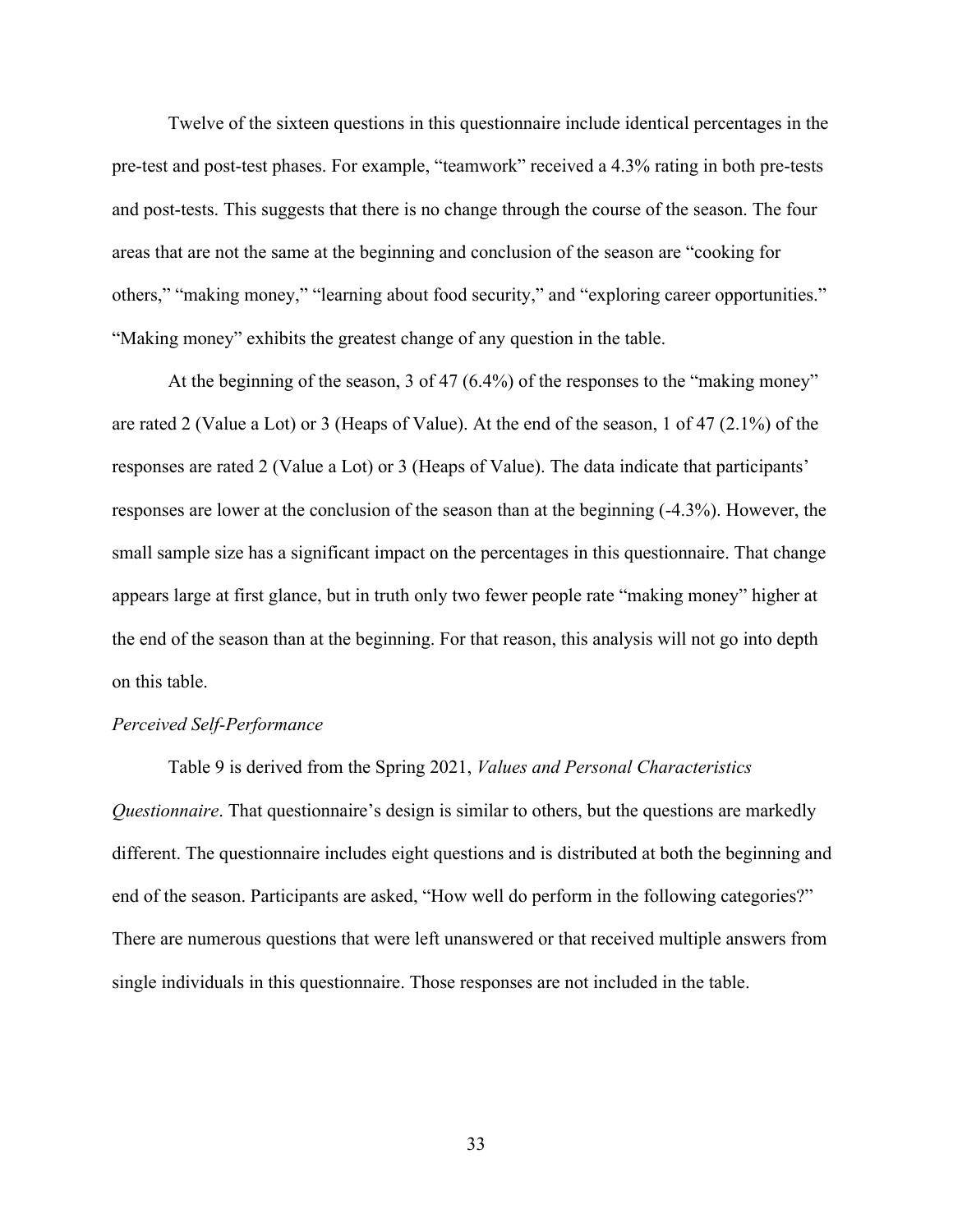Twelve of the sixteen questions in this questionnaire include identical percentages in the pre-test and post-test phases. For example, "teamwork" received a 4.3% rating in both pre-tests and post-tests. This suggests that there is no change through the course of the season. The four areas that are not the same at the beginning and conclusion of the season are "cooking for others," "making money," "learning about food security," and "exploring career opportunities." "Making money" exhibits the greatest change of any question in the table.

At the beginning of the season, 3 of 47 (6.4%) of the responses to the "making money" are rated 2 (Value a Lot) or 3 (Heaps of Value). At the end of the season, 1 of 47 (2.1%) of the responses are rated 2 (Value a Lot) or 3 (Heaps of Value). The data indicate that participants' responses are lower at the conclusion of the season than at the beginning (-4.3%). However, the small sample size has a significant impact on the percentages in this questionnaire. That change appears large at first glance, but in truth only two fewer people rate "making money" higher at the end of the season than at the beginning. For that reason, this analysis will not go into depth on this table.

### *Perceived Self-Performance*

Table 9 is derived from the Spring 2021, *Values and Personal Characteristics Questionnaire*. That questionnaire's design is similar to others, but the questions are markedly different. The questionnaire includes eight questions and is distributed at both the beginning and end of the season. Participants are asked, "How well do perform in the following categories?" There are numerous questions that were left unanswered or that received multiple answers from single individuals in this questionnaire. Those responses are not included in the table.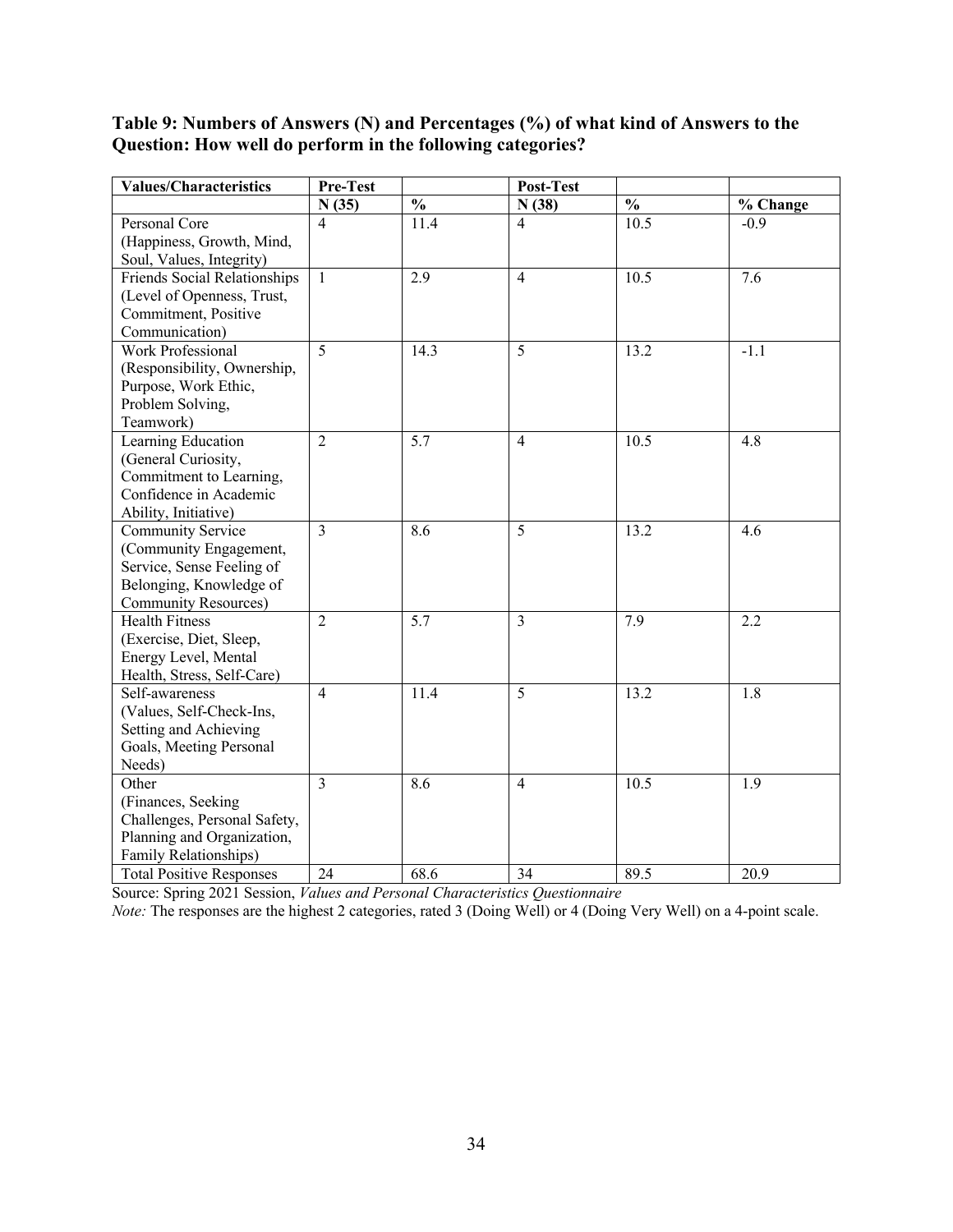## **Table 9: Numbers of Answers (N) and Percentages (%) of what kind of Answers to the Question: How well do perform in the following categories?**

| Values/Characteristics          | Pre-Test       |               | Post-Test      |                          |          |
|---------------------------------|----------------|---------------|----------------|--------------------------|----------|
|                                 | N(35)          | $\frac{0}{0}$ | N(38)          | $\overline{\frac{0}{0}}$ | % Change |
| Personal Core                   | $\overline{4}$ | 11.4          | $\overline{4}$ | 10.5                     | $-0.9$   |
| (Happiness, Growth, Mind,       |                |               |                |                          |          |
| Soul, Values, Integrity)        |                |               |                |                          |          |
| Friends Social Relationships    | $\mathbf{1}$   | 2.9           | $\overline{4}$ | 10.5                     | 7.6      |
| (Level of Openness, Trust,      |                |               |                |                          |          |
| Commitment, Positive            |                |               |                |                          |          |
| Communication)                  |                |               |                |                          |          |
| <b>Work Professional</b>        | 5              | 14.3          | 5              | 13.2                     | $-1.1$   |
| (Responsibility, Ownership,     |                |               |                |                          |          |
| Purpose, Work Ethic,            |                |               |                |                          |          |
| Problem Solving,                |                |               |                |                          |          |
| Teamwork)                       |                |               |                |                          |          |
| Learning Education              | $\overline{2}$ | 5.7           | $\overline{4}$ | 10.5                     | 4.8      |
| (General Curiosity,             |                |               |                |                          |          |
| Commitment to Learning,         |                |               |                |                          |          |
| Confidence in Academic          |                |               |                |                          |          |
| Ability, Initiative)            |                |               |                |                          |          |
| Community Service               | 3              | 8.6           | 5              | 13.2                     | 4.6      |
| (Community Engagement,          |                |               |                |                          |          |
| Service, Sense Feeling of       |                |               |                |                          |          |
| Belonging, Knowledge of         |                |               |                |                          |          |
| <b>Community Resources</b> )    |                |               |                |                          |          |
| <b>Health Fitness</b>           | $\overline{2}$ | 5.7           | $\overline{3}$ | 7.9                      | 2.2      |
| (Exercise, Diet, Sleep,         |                |               |                |                          |          |
| Energy Level, Mental            |                |               |                |                          |          |
| Health, Stress, Self-Care)      |                |               |                |                          |          |
| Self-awareness                  | $\overline{4}$ | 11.4          | 5              | 13.2                     | 1.8      |
| (Values, Self-Check-Ins,        |                |               |                |                          |          |
| Setting and Achieving           |                |               |                |                          |          |
| Goals, Meeting Personal         |                |               |                |                          |          |
| Needs)                          |                |               |                |                          |          |
| Other                           | 3              | 8.6           | $\overline{4}$ | 10.5                     | 1.9      |
| (Finances, Seeking              |                |               |                |                          |          |
| Challenges, Personal Safety,    |                |               |                |                          |          |
| Planning and Organization,      |                |               |                |                          |          |
| Family Relationships)           |                |               |                |                          |          |
| <b>Total Positive Responses</b> | 24             | 68.6          | 34             | 89.5                     | 20.9     |

Source: Spring 2021 Session, *Values and Personal Characteristics Questionnaire*

*Note:* The responses are the highest 2 categories, rated 3 (Doing Well) or 4 (Doing Very Well) on a 4-point scale.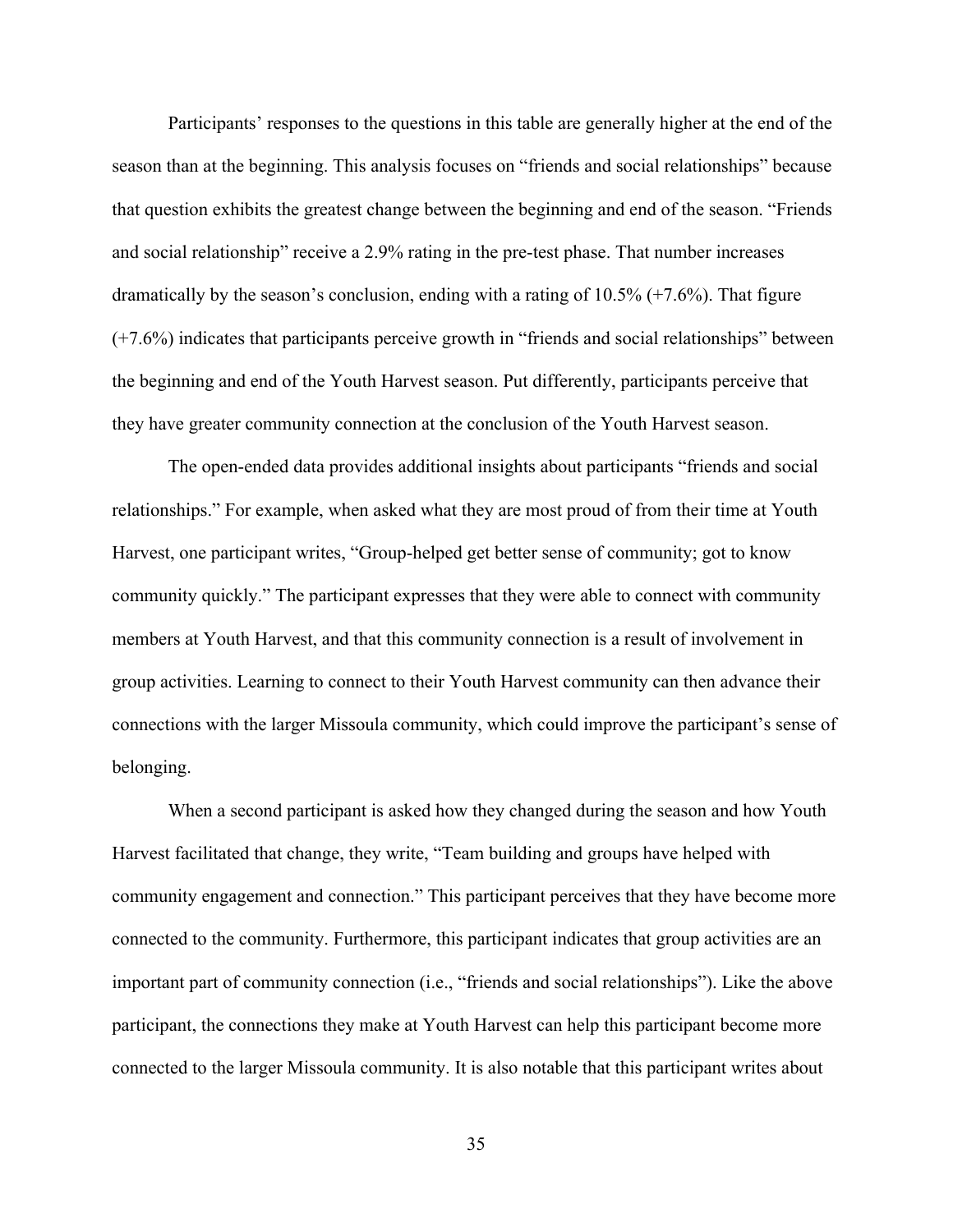Participants' responses to the questions in this table are generally higher at the end of the season than at the beginning. This analysis focuses on "friends and social relationships" because that question exhibits the greatest change between the beginning and end of the season. "Friends and social relationship" receive a 2.9% rating in the pre-test phase. That number increases dramatically by the season's conclusion, ending with a rating of 10.5% (+7.6%). That figure (+7.6%) indicates that participants perceive growth in "friends and social relationships" between the beginning and end of the Youth Harvest season. Put differently, participants perceive that they have greater community connection at the conclusion of the Youth Harvest season.

The open-ended data provides additional insights about participants "friends and social relationships." For example, when asked what they are most proud of from their time at Youth Harvest, one participant writes, "Group-helped get better sense of community; got to know community quickly." The participant expresses that they were able to connect with community members at Youth Harvest, and that this community connection is a result of involvement in group activities. Learning to connect to their Youth Harvest community can then advance their connections with the larger Missoula community, which could improve the participant's sense of belonging.

When a second participant is asked how they changed during the season and how Youth Harvest facilitated that change, they write, "Team building and groups have helped with community engagement and connection." This participant perceives that they have become more connected to the community. Furthermore, this participant indicates that group activities are an important part of community connection (i.e., "friends and social relationships"). Like the above participant, the connections they make at Youth Harvest can help this participant become more connected to the larger Missoula community. It is also notable that this participant writes about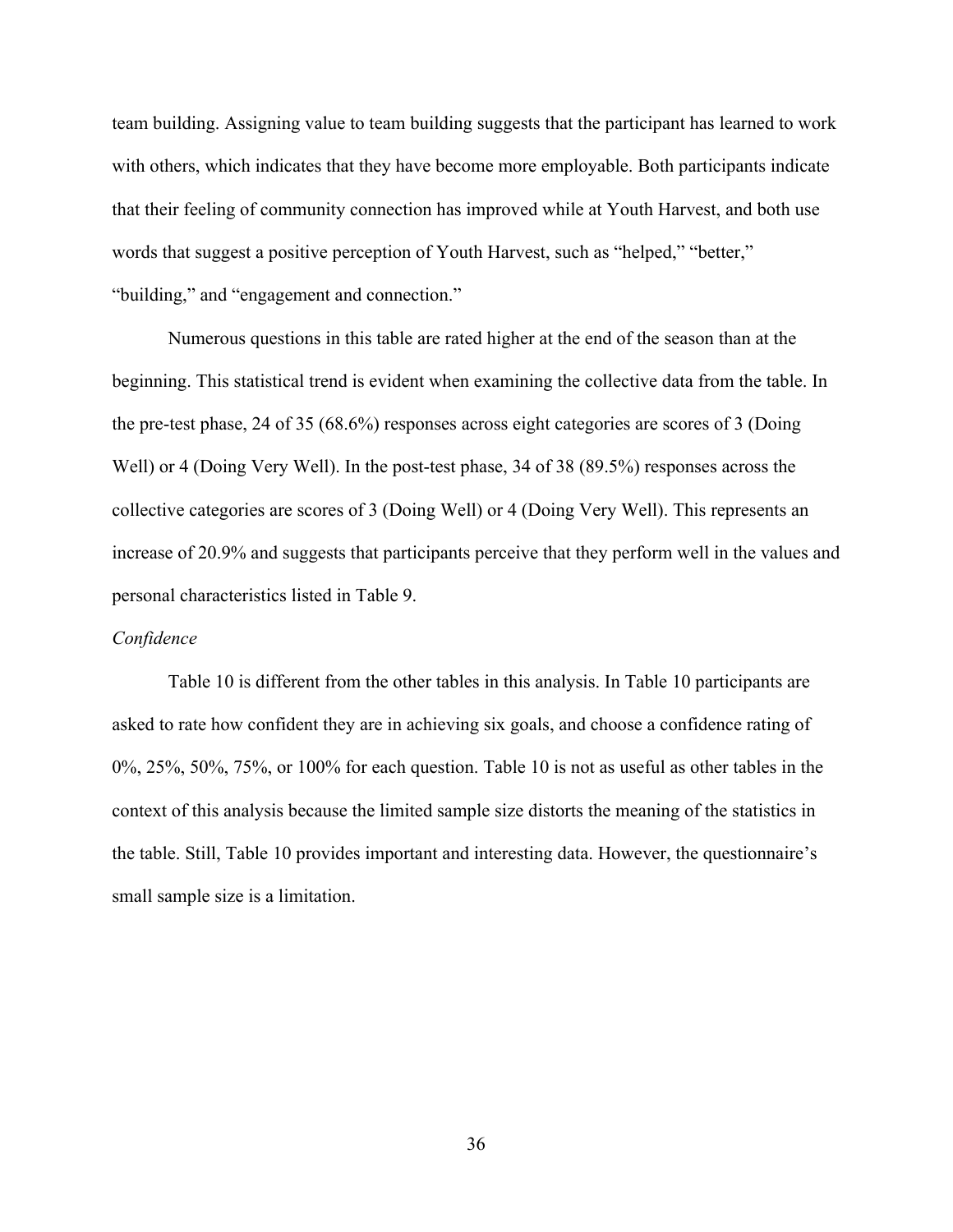team building. Assigning value to team building suggests that the participant has learned to work with others, which indicates that they have become more employable. Both participants indicate that their feeling of community connection has improved while at Youth Harvest, and both use words that suggest a positive perception of Youth Harvest, such as "helped," "better," "building," and "engagement and connection."

Numerous questions in this table are rated higher at the end of the season than at the beginning. This statistical trend is evident when examining the collective data from the table. In the pre-test phase, 24 of 35 (68.6%) responses across eight categories are scores of 3 (Doing Well) or 4 (Doing Very Well). In the post-test phase, 34 of 38 (89.5%) responses across the collective categories are scores of 3 (Doing Well) or 4 (Doing Very Well). This represents an increase of 20.9% and suggests that participants perceive that they perform well in the values and personal characteristics listed in Table 9.

### *Confidence*

Table 10 is different from the other tables in this analysis. In Table 10 participants are asked to rate how confident they are in achieving six goals, and choose a confidence rating of 0%, 25%, 50%, 75%, or 100% for each question. Table 10 is not as useful as other tables in the context of this analysis because the limited sample size distorts the meaning of the statistics in the table. Still, Table 10 provides important and interesting data. However, the questionnaire's small sample size is a limitation.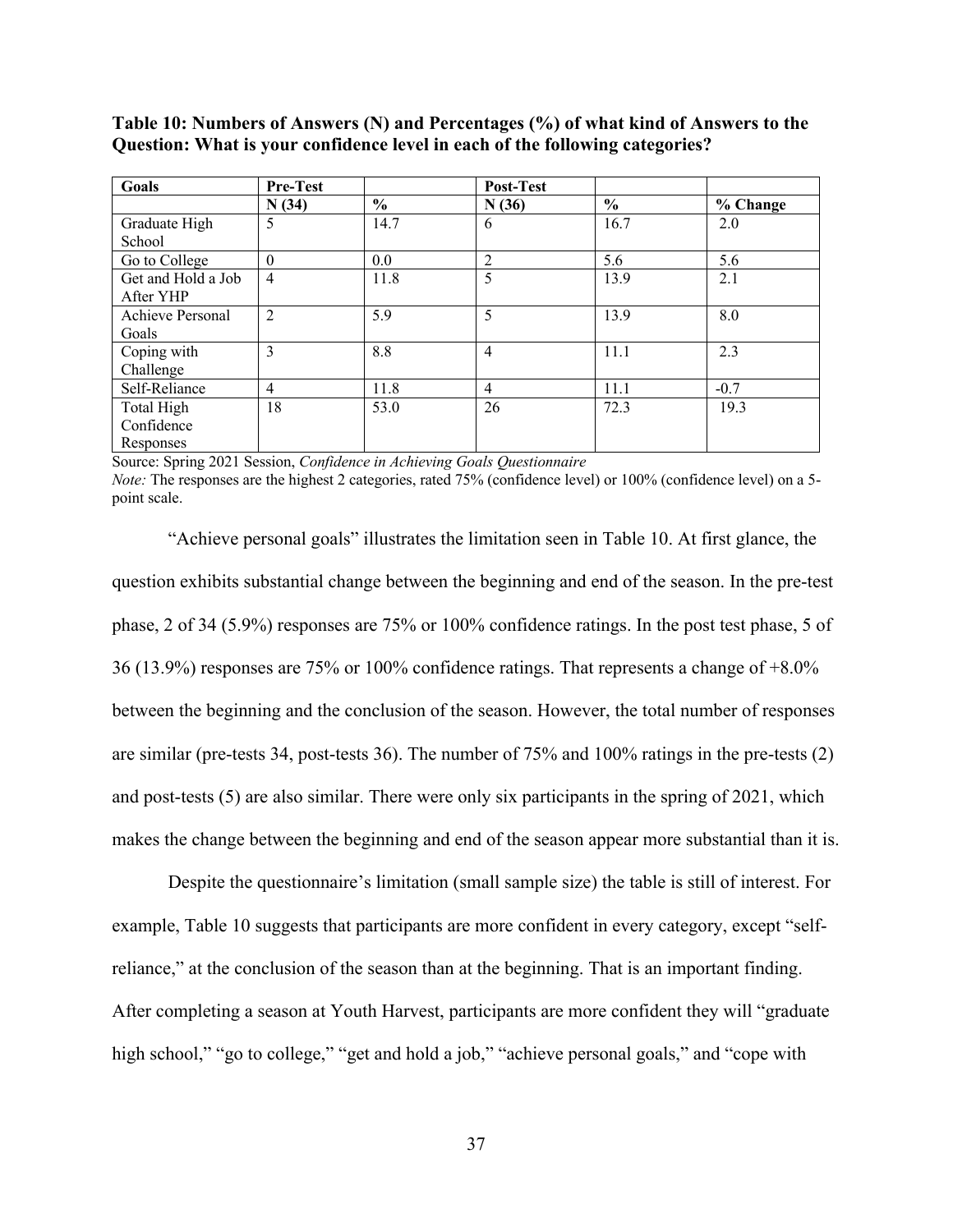| <b>Goals</b>       | <b>Pre-Test</b> |                | Post-Test      |               |          |
|--------------------|-----------------|----------------|----------------|---------------|----------|
|                    | N(34)           | $\frac{6}{10}$ | N(36)          | $\frac{0}{0}$ | % Change |
| Graduate High      | 5               | 14.7           | 6              | 16.7          | 2.0      |
| School             |                 |                |                |               |          |
| Go to College      | $\theta$        | $0.0\,$        | $\overline{2}$ | 5.6           | 5.6      |
| Get and Hold a Job | $\overline{4}$  | 11.8           | 5              | 13.9          | 2.1      |
| After YHP          |                 |                |                |               |          |
| Achieve Personal   | 2               | 5.9            | 5              | 13.9          | 8.0      |
| Goals              |                 |                |                |               |          |
| Coping with        | 3               | 8.8            | $\overline{4}$ | 11.1          | 2.3      |
| Challenge          |                 |                |                |               |          |
| Self-Reliance      | $\overline{4}$  | 11.8           | $\overline{4}$ | 11.1          | $-0.7$   |
| Total High         | 18              | 53.0           | 26             | 72.3          | 19.3     |
| Confidence         |                 |                |                |               |          |
| Responses          |                 |                |                |               |          |

**Table 10: Numbers of Answers (N) and Percentages (%) of what kind of Answers to the Question: What is your confidence level in each of the following categories?**

Source: Spring 2021 Session, *Confidence in Achieving Goals Questionnaire*

*Note:* The responses are the highest 2 categories, rated 75% (confidence level) or 100% (confidence level) on a 5 point scale.

"Achieve personal goals" illustrates the limitation seen in Table 10. At first glance, the question exhibits substantial change between the beginning and end of the season. In the pre-test phase, 2 of 34 (5.9%) responses are 75% or 100% confidence ratings. In the post test phase, 5 of 36 (13.9%) responses are 75% or 100% confidence ratings. That represents a change of +8.0% between the beginning and the conclusion of the season. However, the total number of responses are similar (pre-tests 34, post-tests 36). The number of 75% and 100% ratings in the pre-tests (2) and post-tests (5) are also similar. There were only six participants in the spring of 2021, which makes the change between the beginning and end of the season appear more substantial than it is.

Despite the questionnaire's limitation (small sample size) the table is still of interest. For example, Table 10 suggests that participants are more confident in every category, except "selfreliance," at the conclusion of the season than at the beginning. That is an important finding. After completing a season at Youth Harvest, participants are more confident they will "graduate high school," "go to college," "get and hold a job," "achieve personal goals," and "cope with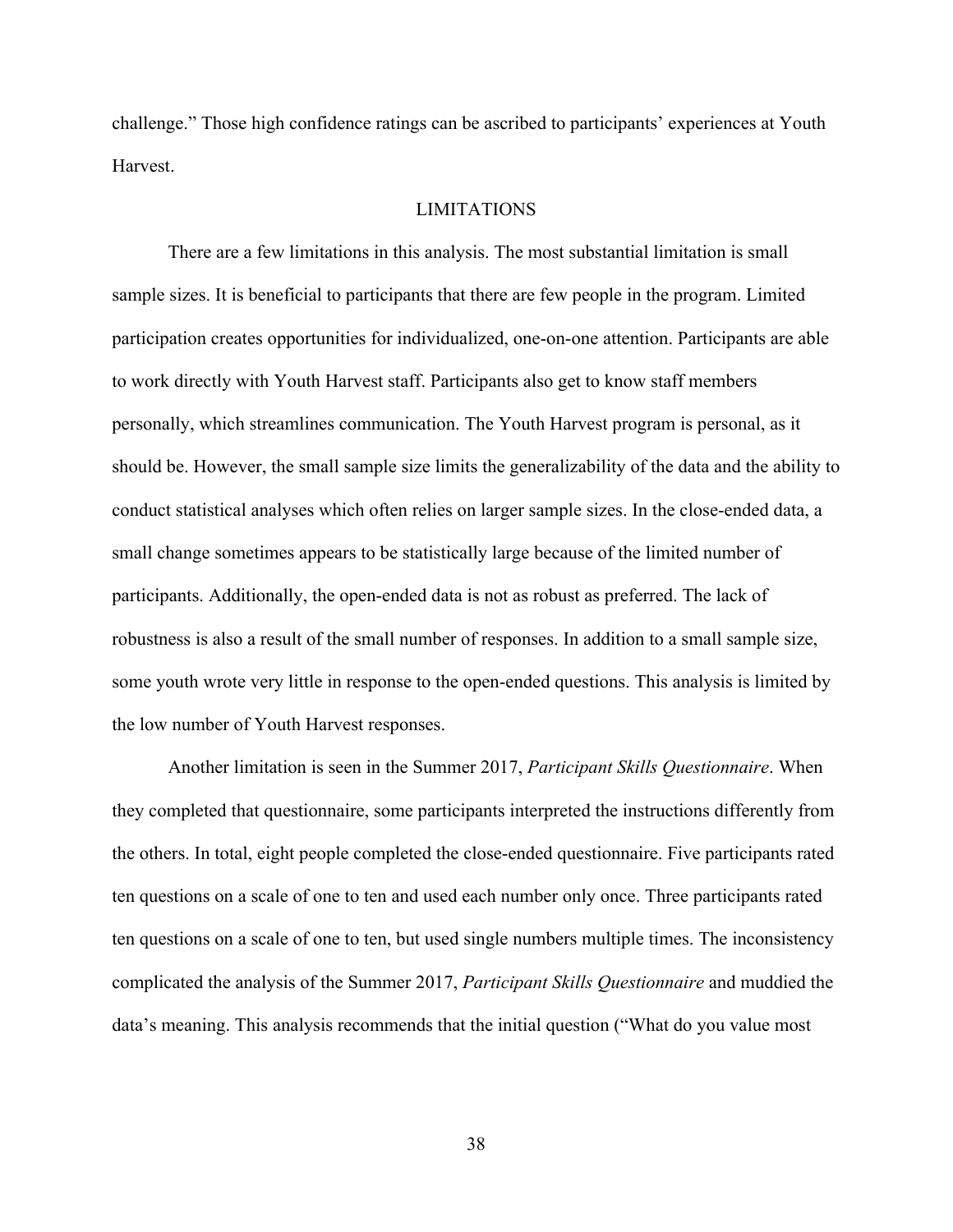challenge." Those high confidence ratings can be ascribed to participants' experiences at Youth Harvest.

### LIMITATIONS

There are a few limitations in this analysis. The most substantial limitation is small sample sizes. It is beneficial to participants that there are few people in the program. Limited participation creates opportunities for individualized, one-on-one attention. Participants are able to work directly with Youth Harvest staff. Participants also get to know staff members personally, which streamlines communication. The Youth Harvest program is personal, as it should be. However, the small sample size limits the generalizability of the data and the ability to conduct statistical analyses which often relies on larger sample sizes. In the close-ended data, a small change sometimes appears to be statistically large because of the limited number of participants. Additionally, the open-ended data is not as robust as preferred. The lack of robustness is also a result of the small number of responses. In addition to a small sample size, some youth wrote very little in response to the open-ended questions. This analysis is limited by the low number of Youth Harvest responses.

Another limitation is seen in the Summer 2017, *Participant Skills Questionnaire*. When they completed that questionnaire, some participants interpreted the instructions differently from the others. In total, eight people completed the close-ended questionnaire. Five participants rated ten questions on a scale of one to ten and used each number only once. Three participants rated ten questions on a scale of one to ten, but used single numbers multiple times. The inconsistency complicated the analysis of the Summer 2017, *Participant Skills Questionnaire* and muddied the data's meaning. This analysis recommends that the initial question ("What do you value most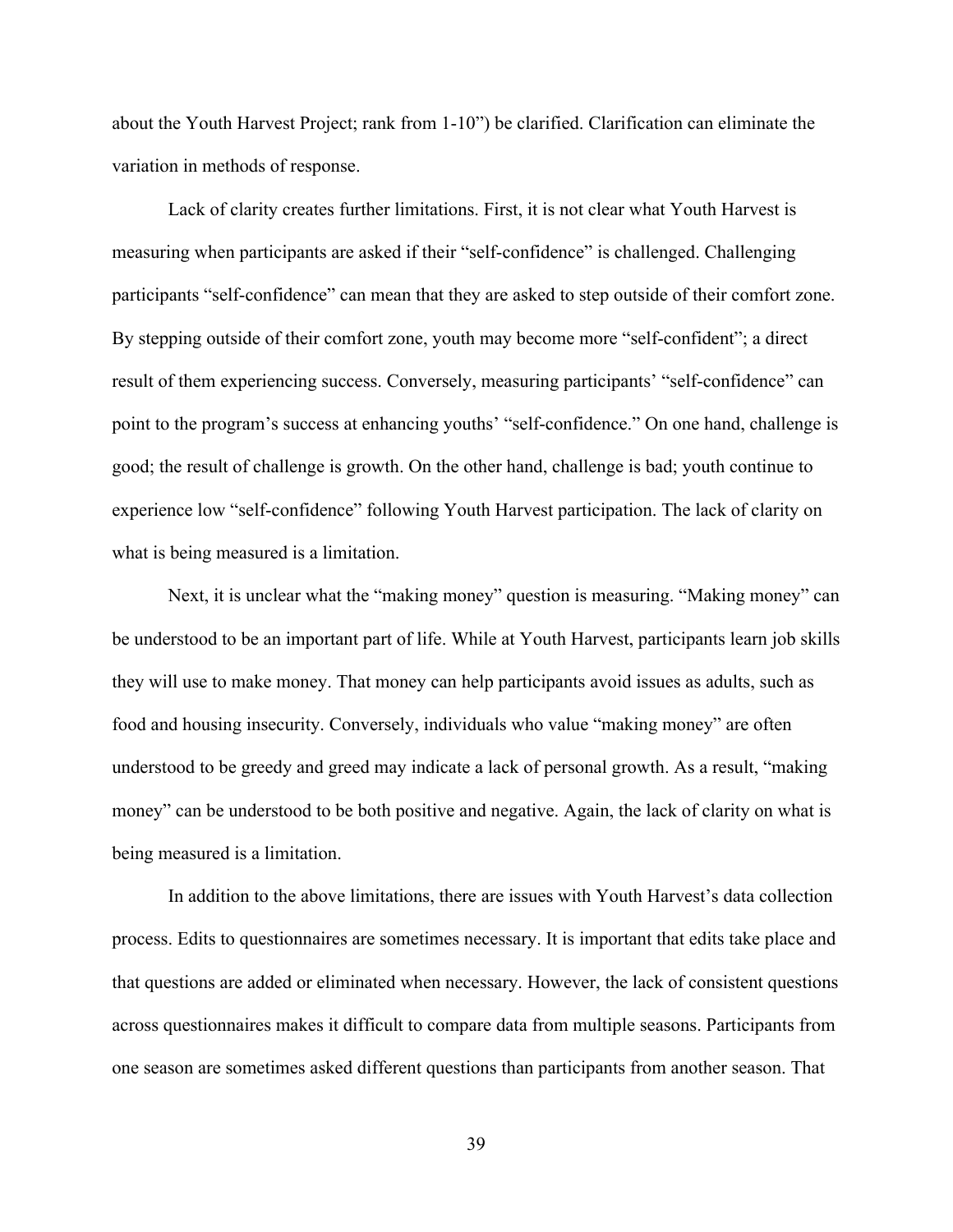about the Youth Harvest Project; rank from 1-10") be clarified. Clarification can eliminate the variation in methods of response.

Lack of clarity creates further limitations. First, it is not clear what Youth Harvest is measuring when participants are asked if their "self-confidence" is challenged. Challenging participants "self-confidence" can mean that they are asked to step outside of their comfort zone. By stepping outside of their comfort zone, youth may become more "self-confident"; a direct result of them experiencing success. Conversely, measuring participants' "self-confidence" can point to the program's success at enhancing youths' "self-confidence." On one hand, challenge is good; the result of challenge is growth. On the other hand, challenge is bad; youth continue to experience low "self-confidence" following Youth Harvest participation. The lack of clarity on what is being measured is a limitation.

Next, it is unclear what the "making money" question is measuring. "Making money" can be understood to be an important part of life. While at Youth Harvest, participants learn job skills they will use to make money. That money can help participants avoid issues as adults, such as food and housing insecurity. Conversely, individuals who value "making money" are often understood to be greedy and greed may indicate a lack of personal growth. As a result, "making money" can be understood to be both positive and negative. Again, the lack of clarity on what is being measured is a limitation.

In addition to the above limitations, there are issues with Youth Harvest's data collection process. Edits to questionnaires are sometimes necessary. It is important that edits take place and that questions are added or eliminated when necessary. However, the lack of consistent questions across questionnaires makes it difficult to compare data from multiple seasons. Participants from one season are sometimes asked different questions than participants from another season. That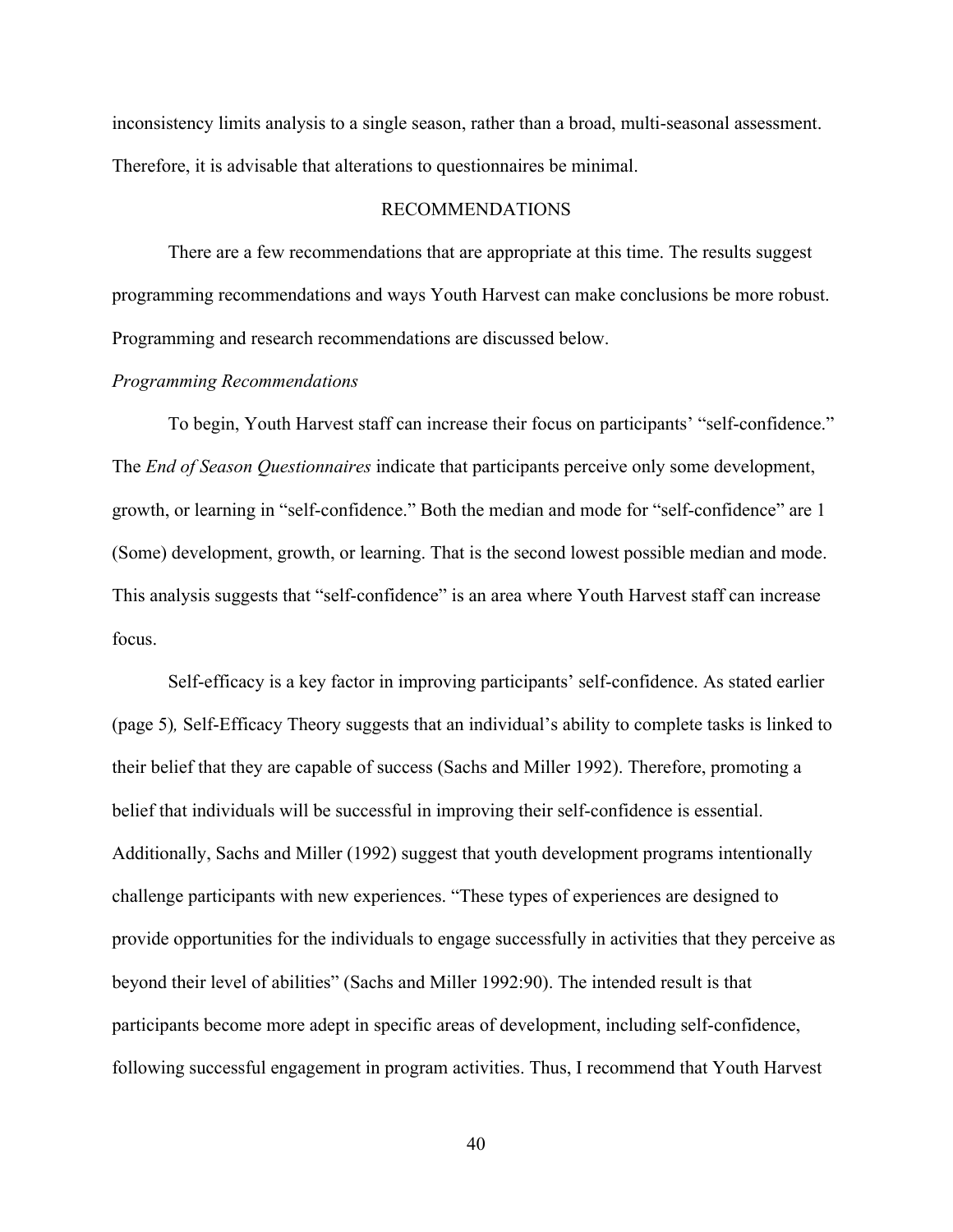inconsistency limits analysis to a single season, rather than a broad, multi-seasonal assessment. Therefore, it is advisable that alterations to questionnaires be minimal.

### RECOMMENDATIONS

There are a few recommendations that are appropriate at this time. The results suggest programming recommendations and ways Youth Harvest can make conclusions be more robust. Programming and research recommendations are discussed below.

#### *Programming Recommendations*

To begin, Youth Harvest staff can increase their focus on participants' "self-confidence." The *End of Season Questionnaires* indicate that participants perceive only some development, growth, or learning in "self-confidence." Both the median and mode for "self-confidence" are 1 (Some) development, growth, or learning. That is the second lowest possible median and mode. This analysis suggests that "self-confidence" is an area where Youth Harvest staff can increase focus.

Self-efficacy is a key factor in improving participants' self-confidence. As stated earlier (page 5)*,* Self-Efficacy Theory suggests that an individual's ability to complete tasks is linked to their belief that they are capable of success (Sachs and Miller 1992). Therefore, promoting a belief that individuals will be successful in improving their self-confidence is essential. Additionally, Sachs and Miller (1992) suggest that youth development programs intentionally challenge participants with new experiences. "These types of experiences are designed to provide opportunities for the individuals to engage successfully in activities that they perceive as beyond their level of abilities" (Sachs and Miller 1992:90). The intended result is that participants become more adept in specific areas of development, including self-confidence, following successful engagement in program activities. Thus, I recommend that Youth Harvest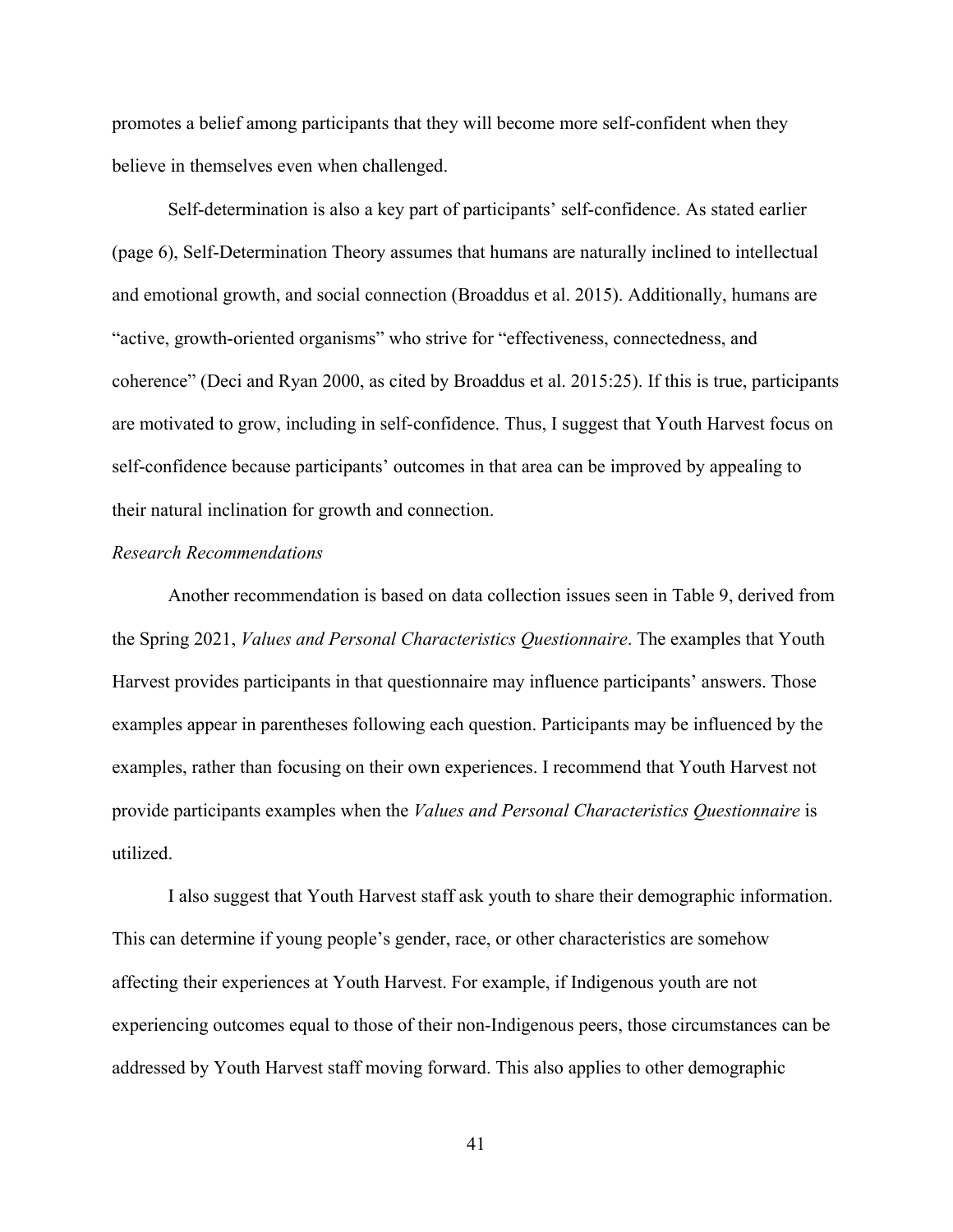promotes a belief among participants that they will become more self-confident when they believe in themselves even when challenged.

Self-determination is also a key part of participants' self-confidence. As stated earlier (page 6), Self-Determination Theory assumes that humans are naturally inclined to intellectual and emotional growth, and social connection (Broaddus et al. 2015). Additionally, humans are "active, growth-oriented organisms" who strive for "effectiveness, connectedness, and coherence" (Deci and Ryan 2000, as cited by Broaddus et al. 2015:25). If this is true, participants are motivated to grow, including in self-confidence. Thus, I suggest that Youth Harvest focus on self-confidence because participants' outcomes in that area can be improved by appealing to their natural inclination for growth and connection.

### *Research Recommendations*

Another recommendation is based on data collection issues seen in Table 9, derived from the Spring 2021, *Values and Personal Characteristics Questionnaire*. The examples that Youth Harvest provides participants in that questionnaire may influence participants' answers. Those examples appear in parentheses following each question. Participants may be influenced by the examples, rather than focusing on their own experiences. I recommend that Youth Harvest not provide participants examples when the *Values and Personal Characteristics Questionnaire* is utilized.

I also suggest that Youth Harvest staff ask youth to share their demographic information. This can determine if young people's gender, race, or other characteristics are somehow affecting their experiences at Youth Harvest. For example, if Indigenous youth are not experiencing outcomes equal to those of their non-Indigenous peers, those circumstances can be addressed by Youth Harvest staff moving forward. This also applies to other demographic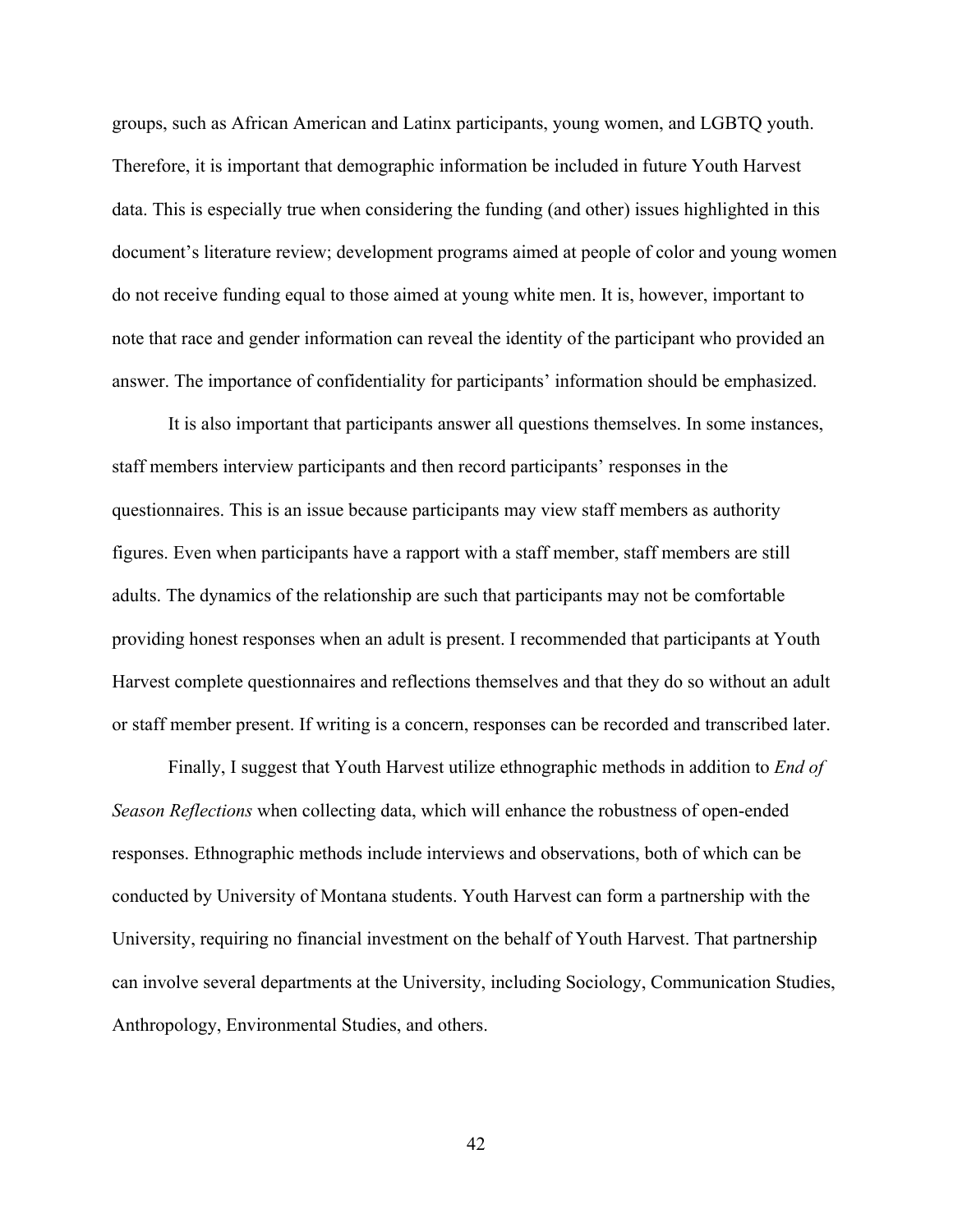groups, such as African American and Latinx participants, young women, and LGBTQ youth. Therefore, it is important that demographic information be included in future Youth Harvest data. This is especially true when considering the funding (and other) issues highlighted in this document's literature review; development programs aimed at people of color and young women do not receive funding equal to those aimed at young white men. It is, however, important to note that race and gender information can reveal the identity of the participant who provided an answer. The importance of confidentiality for participants' information should be emphasized.

It is also important that participants answer all questions themselves. In some instances, staff members interview participants and then record participants' responses in the questionnaires. This is an issue because participants may view staff members as authority figures. Even when participants have a rapport with a staff member, staff members are still adults. The dynamics of the relationship are such that participants may not be comfortable providing honest responses when an adult is present. I recommended that participants at Youth Harvest complete questionnaires and reflections themselves and that they do so without an adult or staff member present. If writing is a concern, responses can be recorded and transcribed later.

Finally, I suggest that Youth Harvest utilize ethnographic methods in addition to *End of Season Reflections* when collecting data, which will enhance the robustness of open-ended responses. Ethnographic methods include interviews and observations, both of which can be conducted by University of Montana students. Youth Harvest can form a partnership with the University, requiring no financial investment on the behalf of Youth Harvest. That partnership can involve several departments at the University, including Sociology, Communication Studies, Anthropology, Environmental Studies, and others.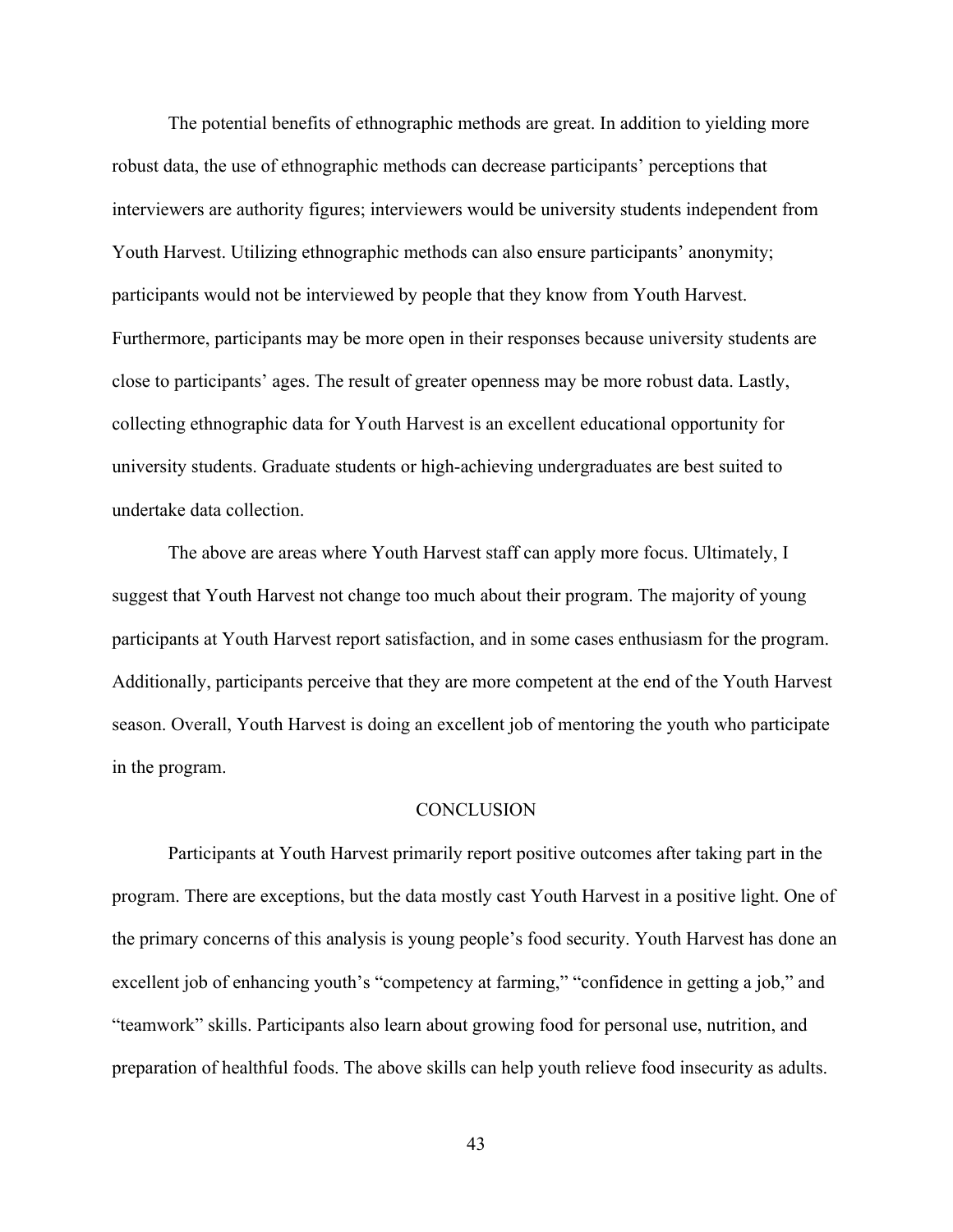The potential benefits of ethnographic methods are great. In addition to yielding more robust data, the use of ethnographic methods can decrease participants' perceptions that interviewers are authority figures; interviewers would be university students independent from Youth Harvest. Utilizing ethnographic methods can also ensure participants' anonymity; participants would not be interviewed by people that they know from Youth Harvest. Furthermore, participants may be more open in their responses because university students are close to participants' ages. The result of greater openness may be more robust data. Lastly, collecting ethnographic data for Youth Harvest is an excellent educational opportunity for university students. Graduate students or high-achieving undergraduates are best suited to undertake data collection.

The above are areas where Youth Harvest staff can apply more focus. Ultimately, I suggest that Youth Harvest not change too much about their program. The majority of young participants at Youth Harvest report satisfaction, and in some cases enthusiasm for the program. Additionally, participants perceive that they are more competent at the end of the Youth Harvest season. Overall, Youth Harvest is doing an excellent job of mentoring the youth who participate in the program.

#### **CONCLUSION**

Participants at Youth Harvest primarily report positive outcomes after taking part in the program. There are exceptions, but the data mostly cast Youth Harvest in a positive light. One of the primary concerns of this analysis is young people's food security. Youth Harvest has done an excellent job of enhancing youth's "competency at farming," "confidence in getting a job," and "teamwork" skills. Participants also learn about growing food for personal use, nutrition, and preparation of healthful foods. The above skills can help youth relieve food insecurity as adults.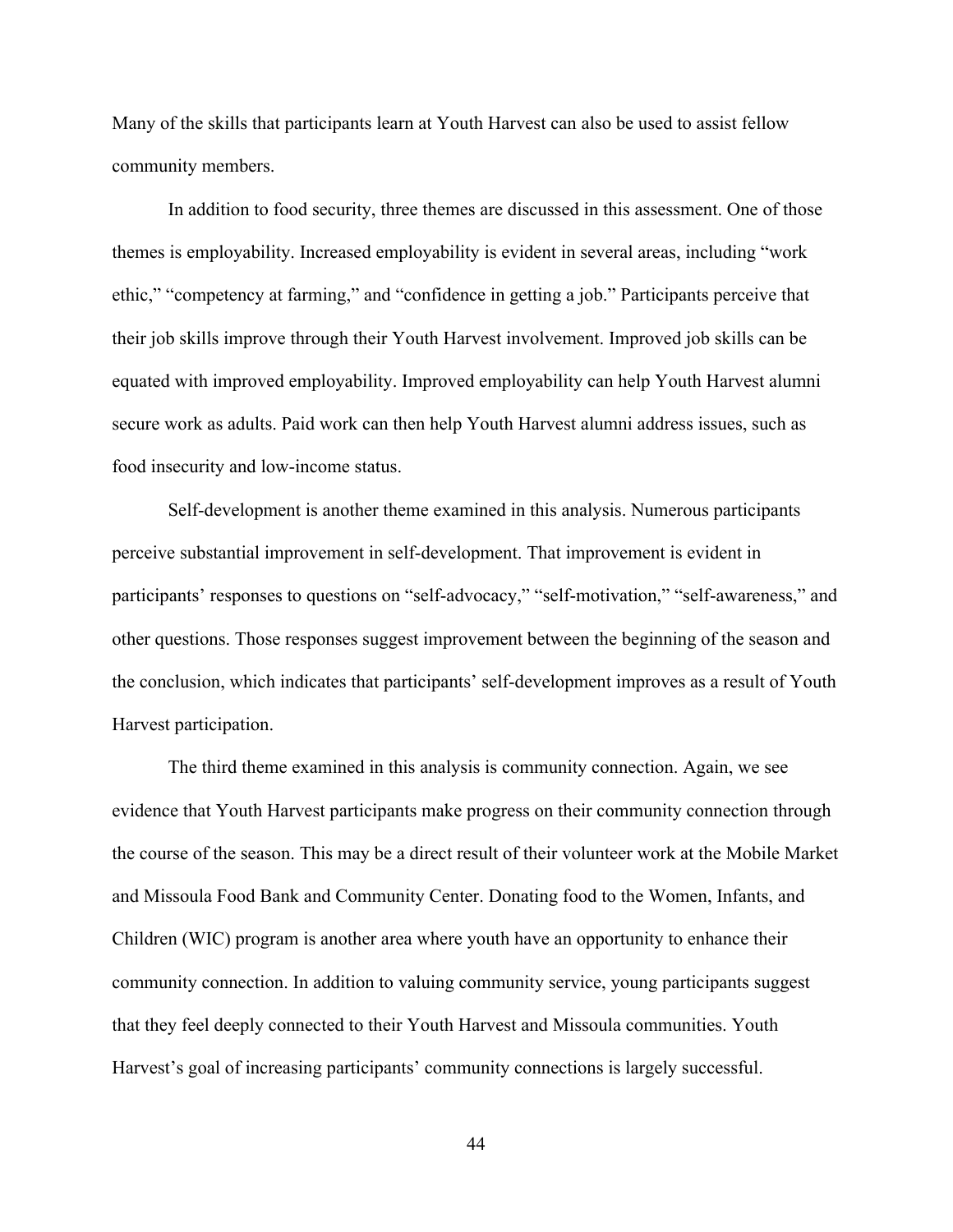Many of the skills that participants learn at Youth Harvest can also be used to assist fellow community members.

In addition to food security, three themes are discussed in this assessment. One of those themes is employability. Increased employability is evident in several areas, including "work ethic," "competency at farming," and "confidence in getting a job." Participants perceive that their job skills improve through their Youth Harvest involvement. Improved job skills can be equated with improved employability. Improved employability can help Youth Harvest alumni secure work as adults. Paid work can then help Youth Harvest alumni address issues, such as food insecurity and low-income status.

Self-development is another theme examined in this analysis. Numerous participants perceive substantial improvement in self-development. That improvement is evident in participants' responses to questions on "self-advocacy," "self-motivation," "self-awareness," and other questions. Those responses suggest improvement between the beginning of the season and the conclusion, which indicates that participants' self-development improves as a result of Youth Harvest participation.

The third theme examined in this analysis is community connection. Again, we see evidence that Youth Harvest participants make progress on their community connection through the course of the season. This may be a direct result of their volunteer work at the Mobile Market and Missoula Food Bank and Community Center. Donating food to the Women, Infants, and Children (WIC) program is another area where youth have an opportunity to enhance their community connection. In addition to valuing community service, young participants suggest that they feel deeply connected to their Youth Harvest and Missoula communities. Youth Harvest's goal of increasing participants' community connections is largely successful.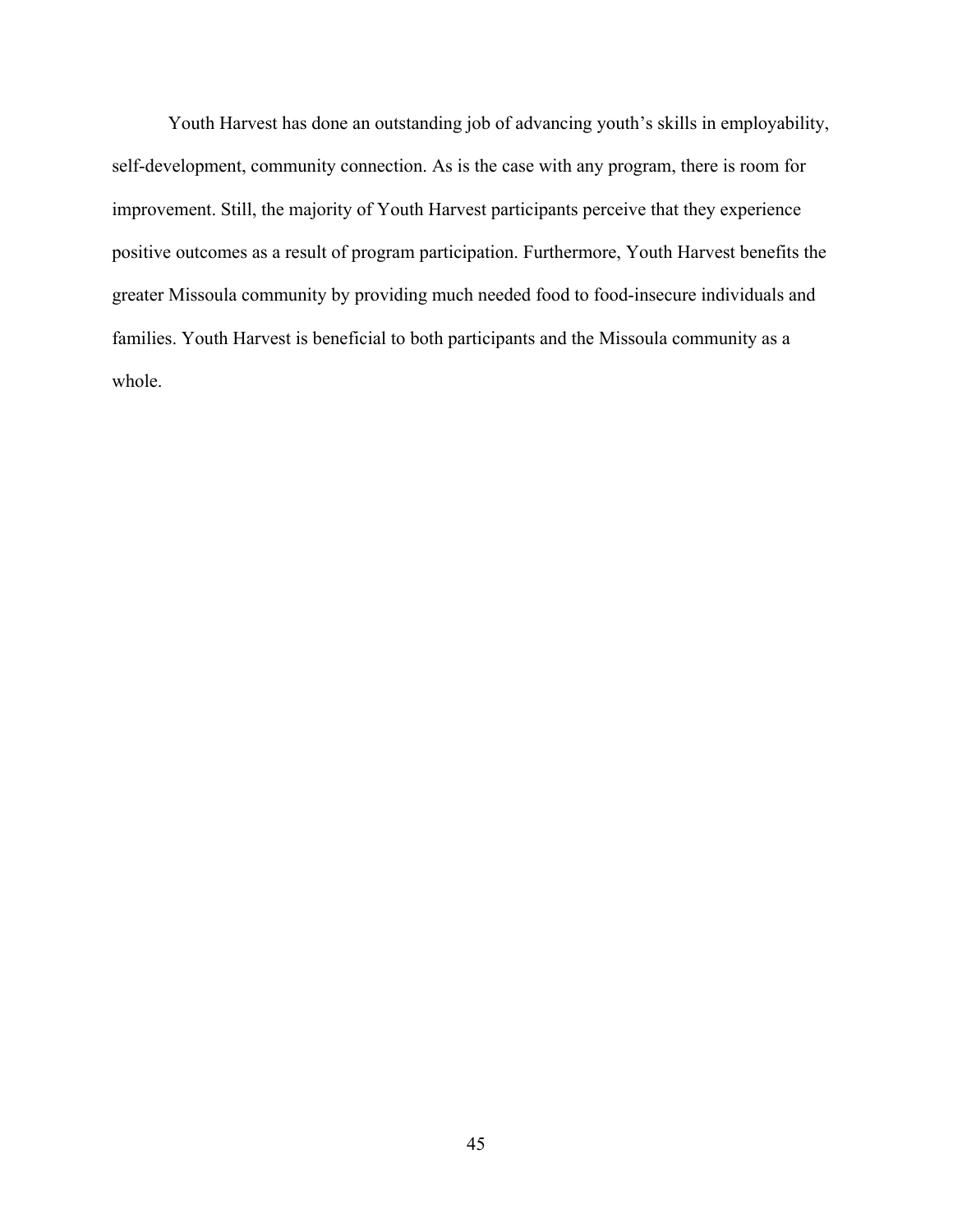Youth Harvest has done an outstanding job of advancing youth's skills in employability, self-development, community connection. As is the case with any program, there is room for improvement. Still, the majority of Youth Harvest participants perceive that they experience positive outcomes as a result of program participation. Furthermore, Youth Harvest benefits the greater Missoula community by providing much needed food to food-insecure individuals and families. Youth Harvest is beneficial to both participants and the Missoula community as a whole.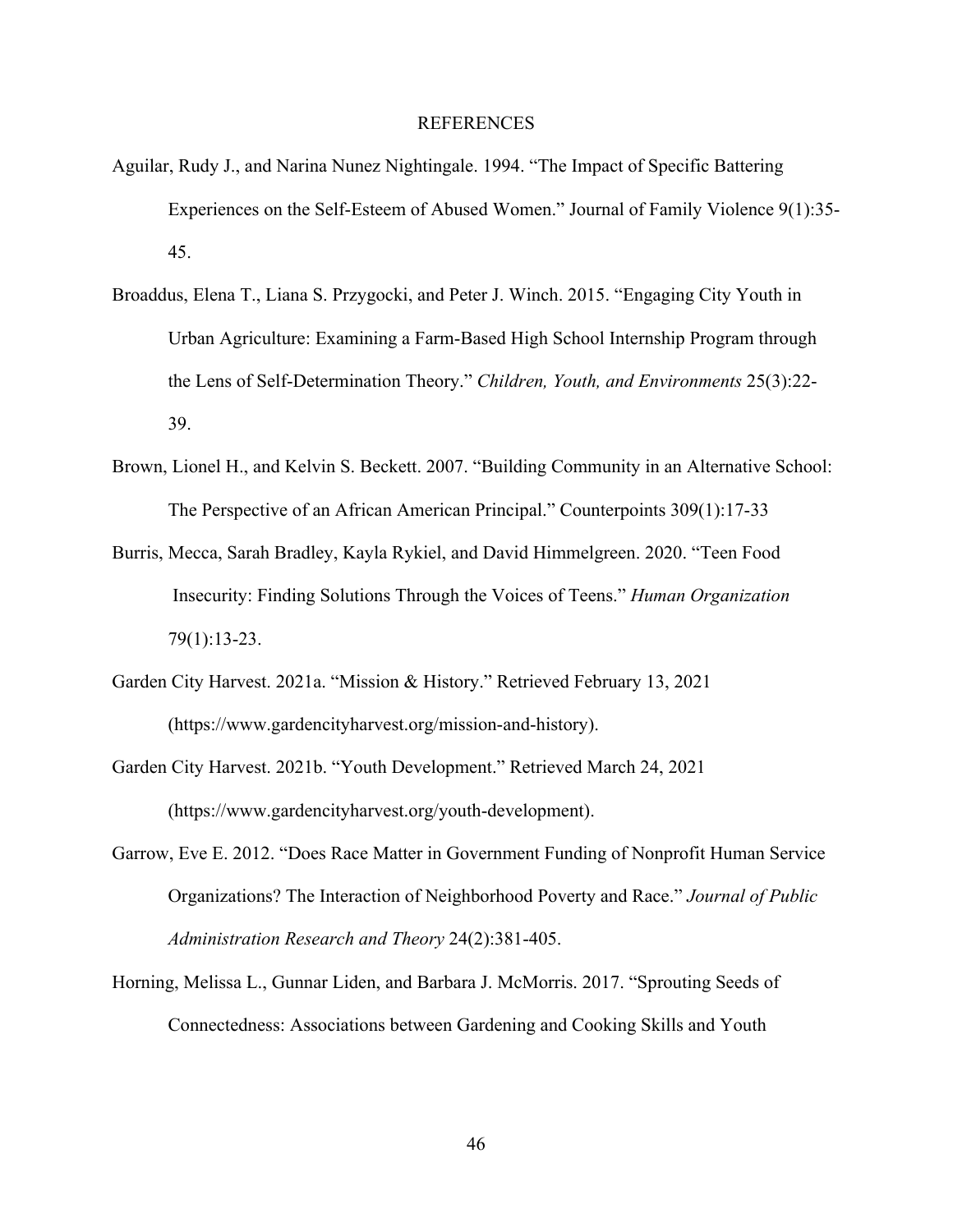### REFERENCES

- Aguilar, Rudy J., and Narina Nunez Nightingale. 1994. "The Impact of Specific Battering Experiences on the Self-Esteem of Abused Women." Journal of Family Violence 9(1):35- 45.
- Broaddus, Elena T., Liana S. Przygocki, and Peter J. Winch. 2015. "Engaging City Youth in Urban Agriculture: Examining a Farm-Based High School Internship Program through the Lens of Self-Determination Theory." *Children, Youth, and Environments* 25(3):22- 39.
- Brown, Lionel H., and Kelvin S. Beckett. 2007. "Building Community in an Alternative School: The Perspective of an African American Principal." Counterpoints 309(1):17-33
- Burris, Mecca, Sarah Bradley, Kayla Rykiel, and David Himmelgreen. 2020. "Teen Food Insecurity: Finding Solutions Through the Voices of Teens." *Human Organization* 79(1):13-23.
- Garden City Harvest. 2021a. "Mission & History." Retrieved February 13, 2021 (https://www.gardencityharvest.org/mission-and-history).
- Garden City Harvest. 2021b. "Youth Development." Retrieved March 24, 2021 (https://www.gardencityharvest.org/youth-development).
- Garrow, Eve E. 2012. "Does Race Matter in Government Funding of Nonprofit Human Service Organizations? The Interaction of Neighborhood Poverty and Race." *Journal of Public Administration Research and Theory* 24(2):381-405.
- Horning, Melissa L., Gunnar Liden, and Barbara J. McMorris. 2017. "Sprouting Seeds of Connectedness: Associations between Gardening and Cooking Skills and Youth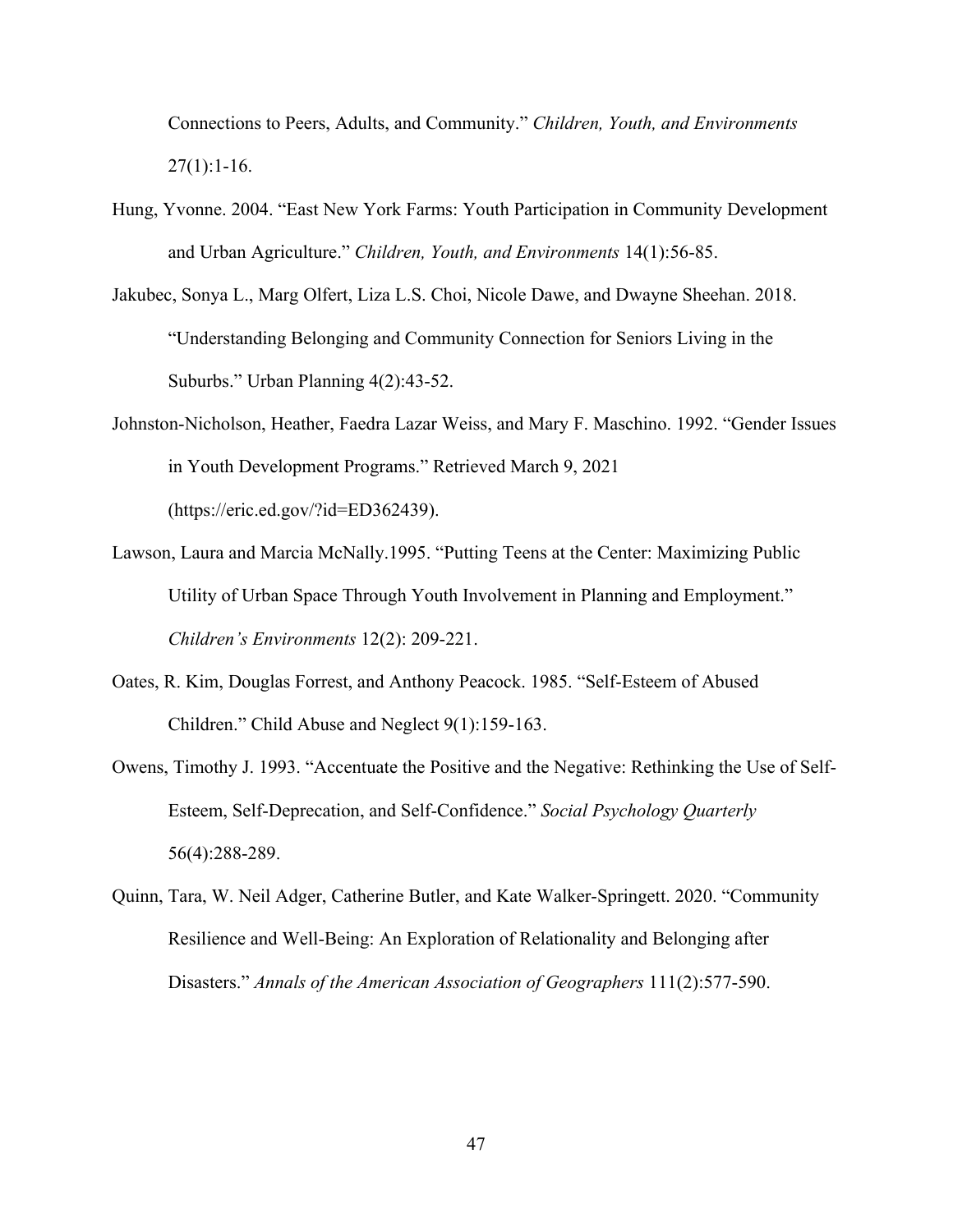Connections to Peers, Adults, and Community." *Children, Youth, and Environments*  $27(1):1-16.$ 

- Hung, Yvonne. 2004. "East New York Farms: Youth Participation in Community Development and Urban Agriculture." *Children, Youth, and Environments* 14(1):56-85.
- Jakubec, Sonya L., Marg Olfert, Liza L.S. Choi, Nicole Dawe, and Dwayne Sheehan. 2018. "Understanding Belonging and Community Connection for Seniors Living in the Suburbs." Urban Planning 4(2):43-52.
- Johnston-Nicholson, Heather, Faedra Lazar Weiss, and Mary F. Maschino. 1992. "Gender Issues in Youth Development Programs." Retrieved March 9, 2021 (https://eric.ed.gov/?id=ED362439).
- Lawson, Laura and Marcia McNally.1995. "Putting Teens at the Center: Maximizing Public Utility of Urban Space Through Youth Involvement in Planning and Employment." *Children's Environments* 12(2): 209-221.
- Oates, R. Kim, Douglas Forrest, and Anthony Peacock. 1985. "Self-Esteem of Abused Children." Child Abuse and Neglect 9(1):159-163.
- Owens, Timothy J. 1993. "Accentuate the Positive and the Negative: Rethinking the Use of Self-Esteem, Self-Deprecation, and Self-Confidence." *Social Psychology Quarterly* 56(4):288-289.
- Quinn, Tara, W. Neil Adger, Catherine Butler, and Kate Walker-Springett. 2020. "Community Resilience and Well-Being: An Exploration of Relationality and Belonging after Disasters." *Annals of the American Association of Geographers* 111(2):577-590.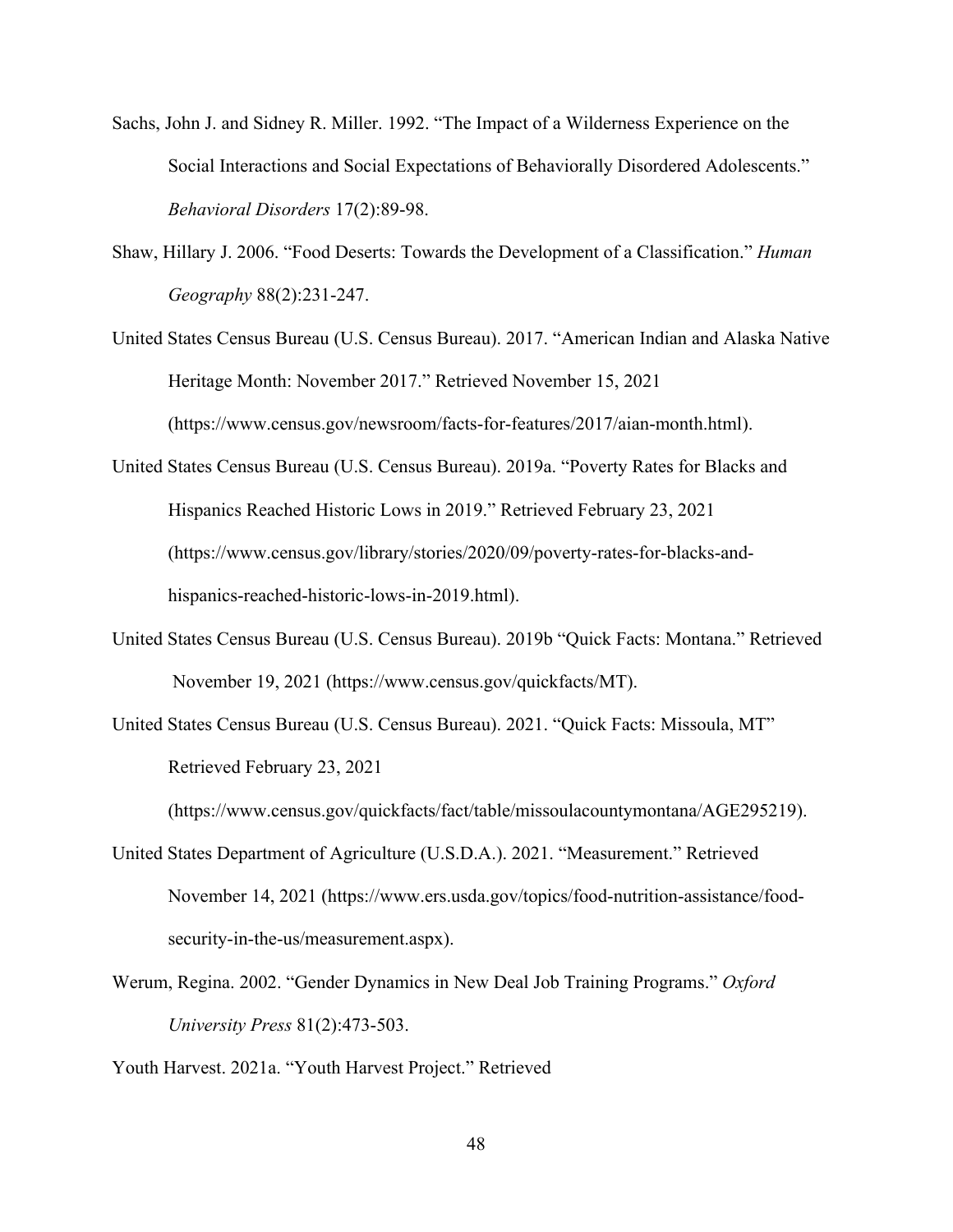- Sachs, John J. and Sidney R. Miller. 1992. "The Impact of a Wilderness Experience on the Social Interactions and Social Expectations of Behaviorally Disordered Adolescents." *Behavioral Disorders* 17(2):89-98.
- Shaw, Hillary J. 2006. "Food Deserts: Towards the Development of a Classification." *Human Geography* 88(2):231-247.
- United States Census Bureau (U.S. Census Bureau). 2017. "American Indian and Alaska Native Heritage Month: November 2017." Retrieved November 15, 2021 (https://www.census.gov/newsroom/facts-for-features/2017/aian-month.html).
- United States Census Bureau (U.S. Census Bureau). 2019a. "Poverty Rates for Blacks and Hispanics Reached Historic Lows in 2019." Retrieved February 23, 2021 (https://www.census.gov/library/stories/2020/09/poverty-rates-for-blacks-andhispanics-reached-historic-lows-in-2019.html).
- United States Census Bureau (U.S. Census Bureau). 2019b "Quick Facts: Montana." Retrieved November 19, 2021 (https://www.census.gov/quickfacts/MT).
- United States Census Bureau (U.S. Census Bureau). 2021. "Quick Facts: Missoula, MT" Retrieved February 23, 2021

(https://www.census.gov/quickfacts/fact/table/missoulacountymontana/AGE295219).

- United States Department of Agriculture (U.S.D.A.). 2021. "Measurement." Retrieved November 14, 2021 (https://www.ers.usda.gov/topics/food-nutrition-assistance/foodsecurity-in-the-us/measurement.aspx).
- Werum, Regina. 2002. "Gender Dynamics in New Deal Job Training Programs." *Oxford University Press* 81(2):473-503.

Youth Harvest. 2021a. "Youth Harvest Project." Retrieved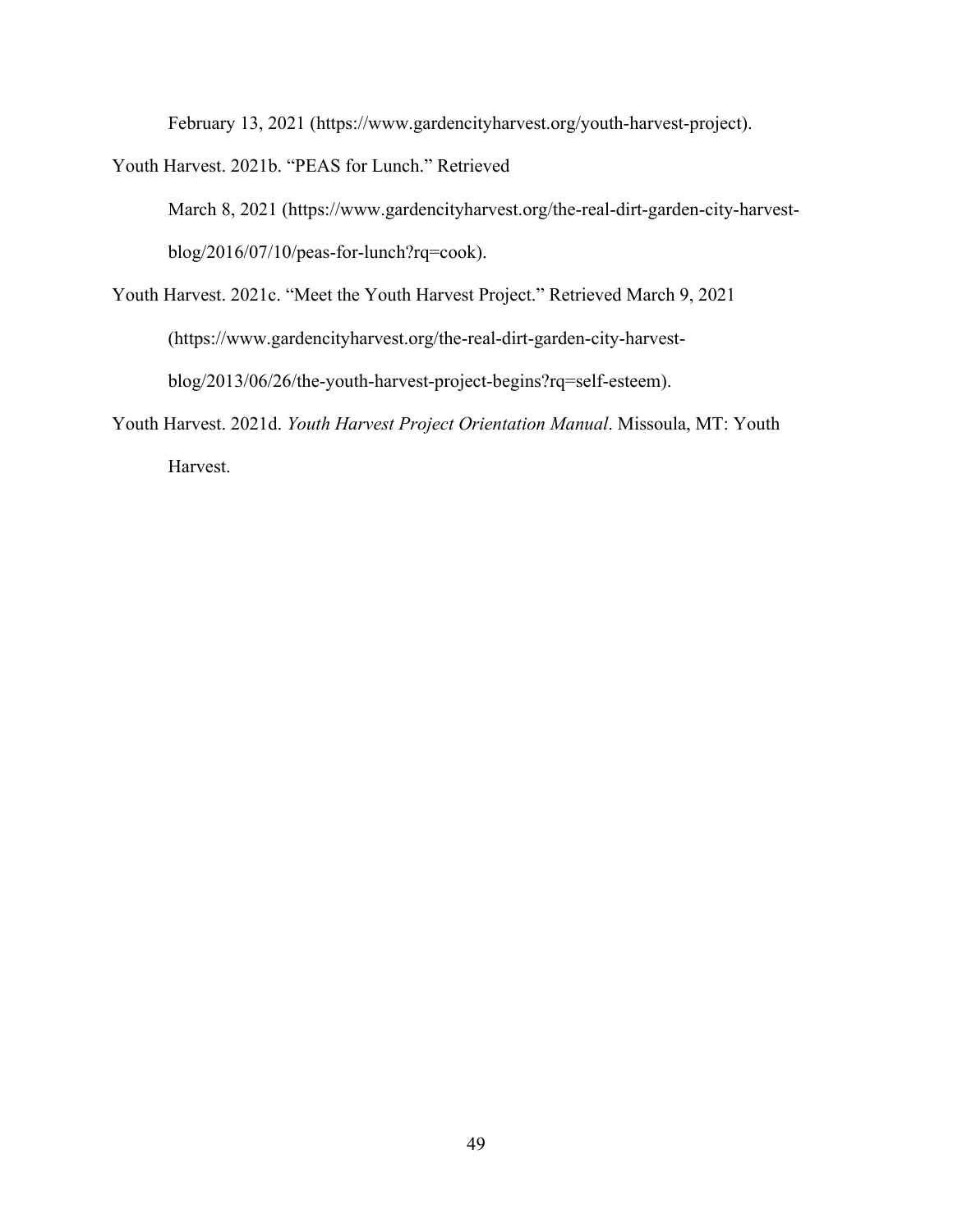February 13, 2021 (https://www.gardencityharvest.org/youth-harvest-project).

Youth Harvest. 2021b. "PEAS for Lunch." Retrieved

March 8, 2021 (https://www.gardencityharvest.org/the-real-dirt-garden-city-harvestblog/2016/07/10/peas-for-lunch?rq=cook).

- Youth Harvest. 2021c. "Meet the Youth Harvest Project." Retrieved March 9, 2021 (https://www.gardencityharvest.org/the-real-dirt-garden-city-harvestblog/2013/06/26/the-youth-harvest-project-begins?rq=self-esteem).
- Youth Harvest. 2021d. *Youth Harvest Project Orientation Manual*. Missoula, MT: Youth Harvest.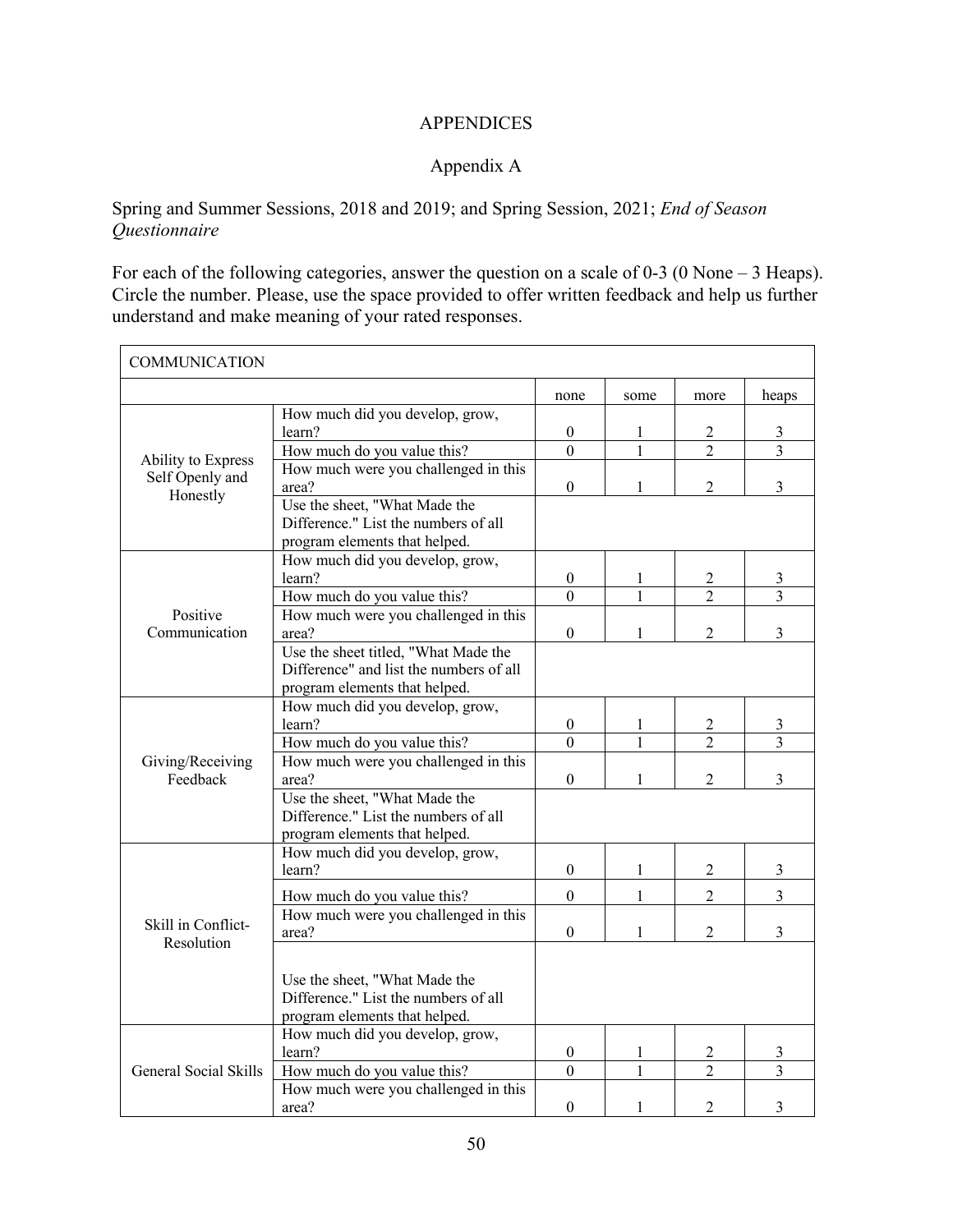### APPENDICES

# Appendix A

# Spring and Summer Sessions, 2018 and 2019; and Spring Session, 2021; *End of Season Questionnaire*

For each of the following categories, answer the question on a scale of 0-3 (0 None – 3 Heaps). Circle the number. Please, use the space provided to offer written feedback and help us further understand and make meaning of your rated responses.

| <b>COMMUNICATION</b>             |                                                                                                                  |                                    |              |                     |                     |
|----------------------------------|------------------------------------------------------------------------------------------------------------------|------------------------------------|--------------|---------------------|---------------------|
|                                  |                                                                                                                  | none                               | some         | more                | heaps               |
|                                  | How much did you develop, grow,<br>learn?                                                                        | $\boldsymbol{0}$<br>$\overline{0}$ | 1            | 2<br>$\overline{2}$ | 3<br>$\overline{3}$ |
| Ability to Express               | How much do you value this?<br>How much were you challenged in this                                              |                                    |              |                     |                     |
| Self Openly and<br>Honestly      | area?                                                                                                            | $\boldsymbol{0}$                   | 1            | $\overline{2}$      | $\overline{3}$      |
|                                  | Use the sheet, "What Made the<br>Difference." List the numbers of all<br>program elements that helped.           |                                    |              |                     |                     |
|                                  | How much did you develop, grow,<br>learn?                                                                        | $\boldsymbol{0}$                   | 1            | $\overline{c}$      | 3                   |
|                                  | How much do you value this?                                                                                      | $\mathbf{0}$                       | 1            | $\overline{2}$      | $\overline{3}$      |
| Positive<br>Communication        | How much were you challenged in this<br>area?                                                                    | $\boldsymbol{0}$                   | 1            | $\overline{2}$      | $\overline{3}$      |
|                                  | Use the sheet titled, "What Made the<br>Difference" and list the numbers of all<br>program elements that helped. |                                    |              |                     |                     |
|                                  | How much did you develop, grow,<br>learn?                                                                        | $\boldsymbol{0}$                   | 1            | $\overline{c}$      | 3                   |
| Giving/Receiving                 | How much do you value this?                                                                                      | $\overline{0}$                     | $\mathbf{1}$ | $\overline{2}$      | $\overline{3}$      |
| Feedback                         | How much were you challenged in this<br>area?                                                                    | $\theta$                           | 1            | $\overline{2}$      | $\overline{3}$      |
|                                  | Use the sheet, "What Made the<br>Difference." List the numbers of all<br>program elements that helped.           |                                    |              |                     |                     |
|                                  | How much did you develop, grow,<br>learn?                                                                        | $\mathbf{0}$                       | $\mathbf{1}$ | $\overline{2}$      | 3                   |
|                                  | How much do you value this?                                                                                      | $\theta$                           | 1            | $\overline{2}$      | $\overline{3}$      |
| Skill in Conflict-<br>Resolution | How much were you challenged in this<br>area?                                                                    | $\mathbf{0}$                       | 1            | $\mathfrak{D}$      | $\overline{3}$      |
|                                  | Use the sheet, "What Made the<br>Difference." List the numbers of all<br>program elements that helped.           |                                    |              |                     |                     |
|                                  | How much did you develop, grow,<br>learn?                                                                        | $\boldsymbol{0}$                   | 1            | $\overline{2}$      | 3                   |
| General Social Skills            | How much do you value this?                                                                                      | $\overline{0}$                     | 1            | $\overline{2}$      | $\overline{3}$      |
|                                  | How much were you challenged in this<br>area?                                                                    | $\boldsymbol{0}$                   | 1            | $\overline{2}$      | $\overline{3}$      |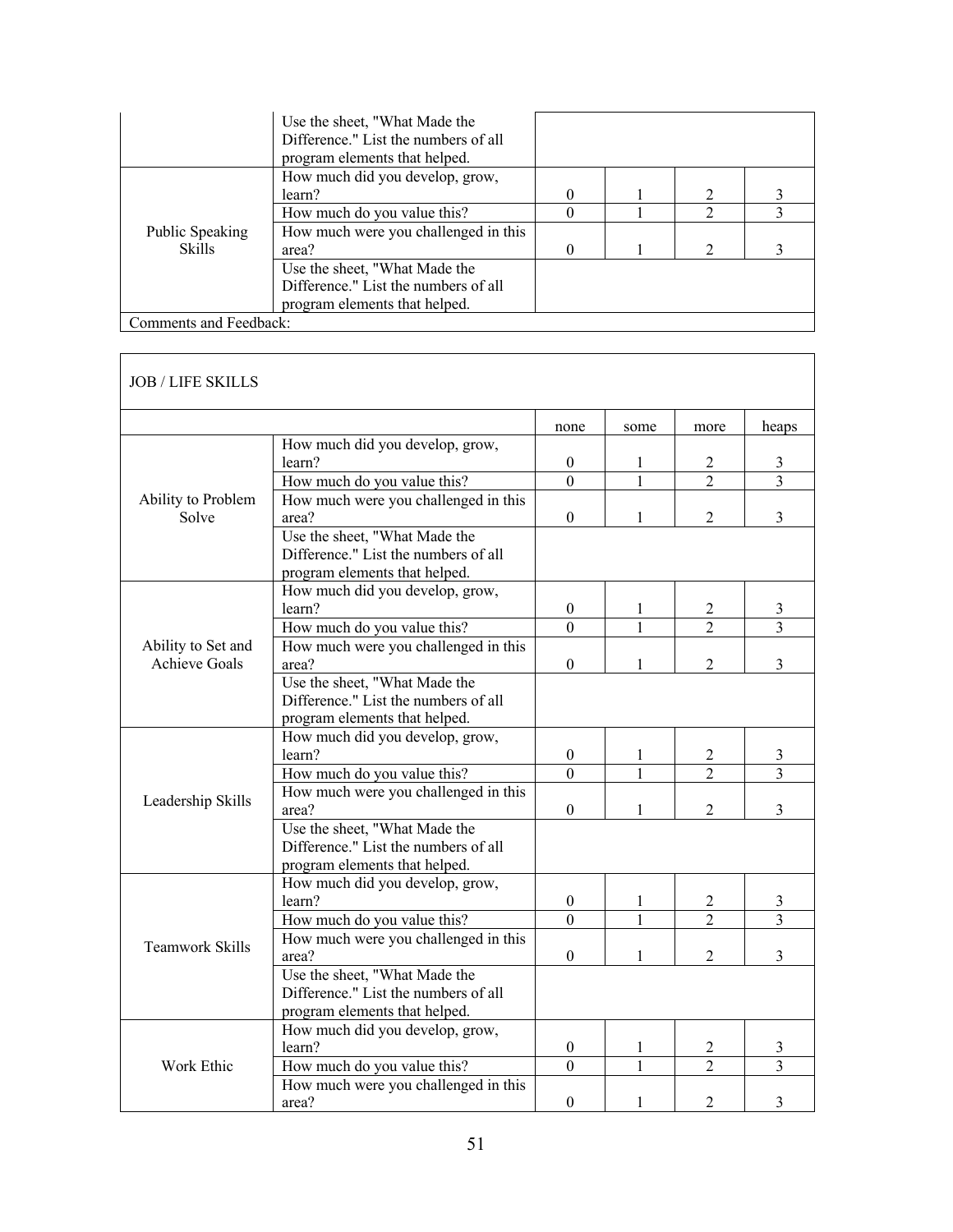|                        | Use the sheet, "What Made the<br>Difference." List the numbers of all |  |               |  |
|------------------------|-----------------------------------------------------------------------|--|---------------|--|
|                        | program elements that helped.                                         |  |               |  |
|                        | How much did you develop, grow,                                       |  |               |  |
|                        | learn?                                                                |  |               |  |
|                        | How much do you value this?                                           |  |               |  |
| Public Speaking        | How much were you challenged in this                                  |  |               |  |
| <b>Skills</b>          | area?                                                                 |  | $\mathcal{D}$ |  |
|                        | Use the sheet, "What Made the                                         |  |               |  |
|                        | Difference." List the numbers of all                                  |  |               |  |
|                        | program elements that helped.                                         |  |               |  |
| Comments and Feedback: |                                                                       |  |               |  |

| How much did you develop, grow,<br>learn?<br>How much do you value this?<br>How much were you challenged in this<br>area?<br>Use the sheet, "What Made the<br>Difference." List the numbers of all<br>program elements that helped.<br>How much did you develop, grow,<br>learn?<br>How much do you value this?<br>How much were you challenged in this<br>area?<br>Use the sheet, "What Made the | none<br>$\boldsymbol{0}$<br>$\theta$<br>$\overline{0}$<br>$\boldsymbol{0}$<br>$\Omega$                                                                                          | some<br>1<br>$\mathbf{1}$<br>1<br>1           | more<br>2<br>$\overline{\mathcal{L}}$<br>$\overline{2}$ | heaps<br>3<br>$\overline{3}$<br>3 |
|---------------------------------------------------------------------------------------------------------------------------------------------------------------------------------------------------------------------------------------------------------------------------------------------------------------------------------------------------------------------------------------------------|---------------------------------------------------------------------------------------------------------------------------------------------------------------------------------|-----------------------------------------------|---------------------------------------------------------|-----------------------------------|
|                                                                                                                                                                                                                                                                                                                                                                                                   |                                                                                                                                                                                 |                                               |                                                         |                                   |
|                                                                                                                                                                                                                                                                                                                                                                                                   |                                                                                                                                                                                 |                                               |                                                         |                                   |
|                                                                                                                                                                                                                                                                                                                                                                                                   |                                                                                                                                                                                 |                                               |                                                         |                                   |
|                                                                                                                                                                                                                                                                                                                                                                                                   |                                                                                                                                                                                 |                                               |                                                         |                                   |
|                                                                                                                                                                                                                                                                                                                                                                                                   |                                                                                                                                                                                 |                                               |                                                         |                                   |
|                                                                                                                                                                                                                                                                                                                                                                                                   |                                                                                                                                                                                 |                                               |                                                         |                                   |
|                                                                                                                                                                                                                                                                                                                                                                                                   |                                                                                                                                                                                 |                                               |                                                         |                                   |
|                                                                                                                                                                                                                                                                                                                                                                                                   |                                                                                                                                                                                 |                                               |                                                         |                                   |
|                                                                                                                                                                                                                                                                                                                                                                                                   |                                                                                                                                                                                 |                                               |                                                         |                                   |
|                                                                                                                                                                                                                                                                                                                                                                                                   |                                                                                                                                                                                 |                                               |                                                         |                                   |
|                                                                                                                                                                                                                                                                                                                                                                                                   |                                                                                                                                                                                 |                                               | 2                                                       | 3                                 |
|                                                                                                                                                                                                                                                                                                                                                                                                   |                                                                                                                                                                                 | $\mathbf{1}$                                  | $\overline{2}$                                          | 3                                 |
|                                                                                                                                                                                                                                                                                                                                                                                                   |                                                                                                                                                                                 |                                               |                                                         |                                   |
|                                                                                                                                                                                                                                                                                                                                                                                                   | $\boldsymbol{0}$                                                                                                                                                                | 1                                             | 2                                                       | $\overline{3}$                    |
|                                                                                                                                                                                                                                                                                                                                                                                                   |                                                                                                                                                                                 |                                               |                                                         |                                   |
| Difference." List the numbers of all                                                                                                                                                                                                                                                                                                                                                              |                                                                                                                                                                                 |                                               |                                                         |                                   |
| program elements that helped.                                                                                                                                                                                                                                                                                                                                                                     |                                                                                                                                                                                 |                                               |                                                         |                                   |
| How much did you develop, grow,                                                                                                                                                                                                                                                                                                                                                                   |                                                                                                                                                                                 |                                               |                                                         |                                   |
| learn?                                                                                                                                                                                                                                                                                                                                                                                            | $\boldsymbol{0}$                                                                                                                                                                | 1                                             | 2                                                       | 3                                 |
| How much do you value this?                                                                                                                                                                                                                                                                                                                                                                       | $\Omega$                                                                                                                                                                        | $\mathbf{1}$                                  | $\overline{2}$                                          | $\overline{3}$                    |
| How much were you challenged in this                                                                                                                                                                                                                                                                                                                                                              |                                                                                                                                                                                 |                                               |                                                         |                                   |
| area?                                                                                                                                                                                                                                                                                                                                                                                             | $\theta$                                                                                                                                                                        | 1                                             | 2                                                       | 3                                 |
| Use the sheet, "What Made the                                                                                                                                                                                                                                                                                                                                                                     |                                                                                                                                                                                 |                                               |                                                         |                                   |
| Difference." List the numbers of all                                                                                                                                                                                                                                                                                                                                                              |                                                                                                                                                                                 |                                               |                                                         |                                   |
| program elements that helped.                                                                                                                                                                                                                                                                                                                                                                     |                                                                                                                                                                                 |                                               |                                                         |                                   |
| How much did you develop, grow,                                                                                                                                                                                                                                                                                                                                                                   |                                                                                                                                                                                 |                                               |                                                         |                                   |
| learn?                                                                                                                                                                                                                                                                                                                                                                                            | $\overline{0}$                                                                                                                                                                  | 1                                             | 2                                                       | 3                                 |
| How much do you value this?                                                                                                                                                                                                                                                                                                                                                                       | $\boldsymbol{0}$                                                                                                                                                                | $\mathbf{1}$                                  | $\overline{2}$                                          | $\overline{3}$                    |
|                                                                                                                                                                                                                                                                                                                                                                                                   |                                                                                                                                                                                 |                                               |                                                         |                                   |
| area?                                                                                                                                                                                                                                                                                                                                                                                             | $\overline{0}$                                                                                                                                                                  | 1                                             | 2                                                       | 3                                 |
| Use the sheet, "What Made the                                                                                                                                                                                                                                                                                                                                                                     |                                                                                                                                                                                 |                                               |                                                         |                                   |
| Difference." List the numbers of all                                                                                                                                                                                                                                                                                                                                                              |                                                                                                                                                                                 |                                               |                                                         |                                   |
|                                                                                                                                                                                                                                                                                                                                                                                                   |                                                                                                                                                                                 |                                               |                                                         |                                   |
|                                                                                                                                                                                                                                                                                                                                                                                                   |                                                                                                                                                                                 |                                               |                                                         |                                   |
| learn?                                                                                                                                                                                                                                                                                                                                                                                            |                                                                                                                                                                                 | 1                                             |                                                         | 3                                 |
|                                                                                                                                                                                                                                                                                                                                                                                                   | $\overline{0}$                                                                                                                                                                  | 1                                             | $\overline{2}$                                          | 3                                 |
|                                                                                                                                                                                                                                                                                                                                                                                                   |                                                                                                                                                                                 |                                               |                                                         |                                   |
|                                                                                                                                                                                                                                                                                                                                                                                                   |                                                                                                                                                                                 | 1                                             |                                                         | 3                                 |
|                                                                                                                                                                                                                                                                                                                                                                                                   | How much were you challenged in this<br>program elements that helped.<br>How much did you develop, grow,<br>How much do you value this?<br>How much were you challenged in this | $\boldsymbol{0}$<br>area?<br>$\boldsymbol{0}$ |                                                         | $\overline{c}$<br>$\overline{2}$  |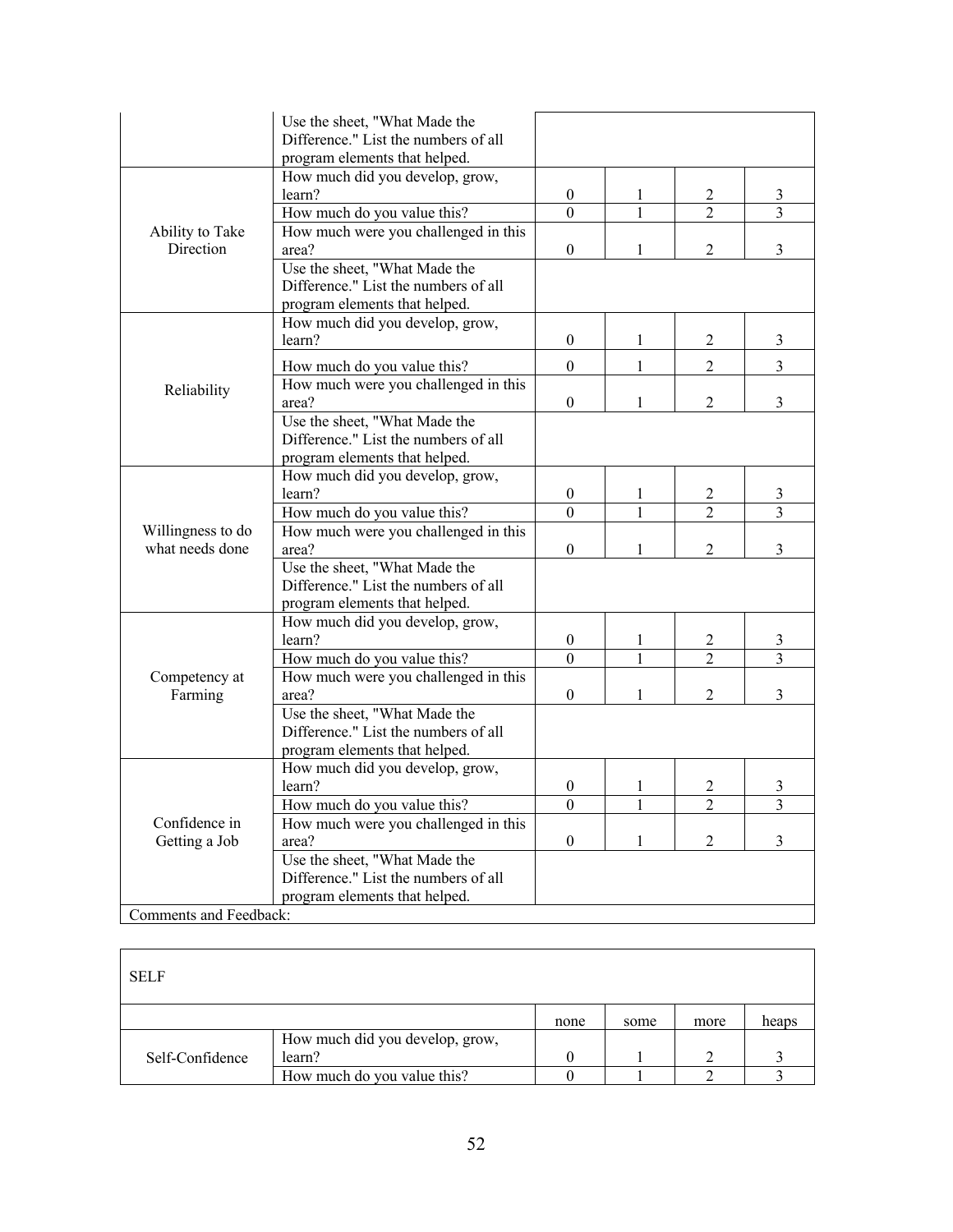|                        | Use the sheet, "What Made the        |                  |              |                |                |  |
|------------------------|--------------------------------------|------------------|--------------|----------------|----------------|--|
|                        | Difference." List the numbers of all |                  |              |                |                |  |
|                        | program elements that helped.        |                  |              |                |                |  |
|                        | How much did you develop, grow,      |                  |              |                |                |  |
|                        | learn?                               | $\boldsymbol{0}$ | 1            | 2              | 3              |  |
|                        | How much do you value this?          | $\theta$         | 1            | $\overline{2}$ | 3              |  |
| Ability to Take        | How much were you challenged in this |                  |              |                |                |  |
| Direction              | area?                                | $\boldsymbol{0}$ | 1            | 2              | 3              |  |
|                        | Use the sheet, "What Made the        |                  |              |                |                |  |
|                        | Difference." List the numbers of all |                  |              |                |                |  |
|                        | program elements that helped.        |                  |              |                |                |  |
|                        | How much did you develop, grow,      |                  |              |                |                |  |
|                        | learn?                               | $\mathbf{0}$     | 1            | 2              | 3              |  |
|                        | How much do you value this?          | $\mathbf{0}$     | 1            | $\overline{2}$ | $\overline{3}$ |  |
| Reliability            | How much were you challenged in this |                  |              |                |                |  |
|                        | area?                                | $\boldsymbol{0}$ | 1            | 2              | 3              |  |
|                        | Use the sheet, "What Made the        |                  |              |                |                |  |
|                        | Difference." List the numbers of all |                  |              |                |                |  |
|                        | program elements that helped.        |                  |              |                |                |  |
|                        | How much did you develop, grow,      |                  |              |                |                |  |
|                        | learn?                               | $\theta$         | 1            | 2              | 3              |  |
|                        | How much do you value this?          | $\mathbf{0}$     | 1            | $\overline{2}$ | 3              |  |
| Willingness to do      | How much were you challenged in this |                  |              |                |                |  |
| what needs done        | area?                                | $\mathbf{0}$     | 1            | $\overline{2}$ | 3              |  |
|                        | Use the sheet, "What Made the        |                  |              |                |                |  |
|                        | Difference." List the numbers of all |                  |              |                |                |  |
|                        | program elements that helped.        |                  |              |                |                |  |
|                        | How much did you develop, grow,      |                  |              |                |                |  |
|                        | learn?                               | $\boldsymbol{0}$ |              | 2              | 3              |  |
|                        | How much do you value this?          | $\boldsymbol{0}$ |              |                | 3              |  |
| Competency at          | How much were you challenged in this |                  |              |                |                |  |
| Farming                | area?                                | $\overline{0}$   |              | $\overline{2}$ | 3              |  |
|                        | Use the sheet, "What Made the        |                  |              |                |                |  |
|                        | Difference." List the numbers of all |                  |              |                |                |  |
|                        | program elements that helped.        |                  |              |                |                |  |
|                        | How much did you develop, grow,      |                  |              |                |                |  |
|                        | learn?                               | $\boldsymbol{0}$ | 1            | 2              | 3              |  |
|                        | How much do you value this?          | $\boldsymbol{0}$ | $\mathbf{1}$ | $\overline{2}$ | 3              |  |
| Confidence in          | How much were you challenged in this |                  |              |                |                |  |
| Getting a Job          | area?                                | $\boldsymbol{0}$ | 1            | $\overline{c}$ | 3              |  |
|                        | Use the sheet, "What Made the        |                  |              |                |                |  |
|                        | Difference." List the numbers of all |                  |              |                |                |  |
|                        | program elements that helped.        |                  |              |                |                |  |
| Comments and Feedback: |                                      |                  |              |                |                |  |

| <b>SELF</b>     |                                 |      |      |      |       |
|-----------------|---------------------------------|------|------|------|-------|
|                 |                                 | none | some | more | heaps |
|                 | How much did you develop, grow, |      |      |      |       |
| Self-Confidence | learn?                          |      |      |      |       |
|                 | How much do you value this?     |      |      |      |       |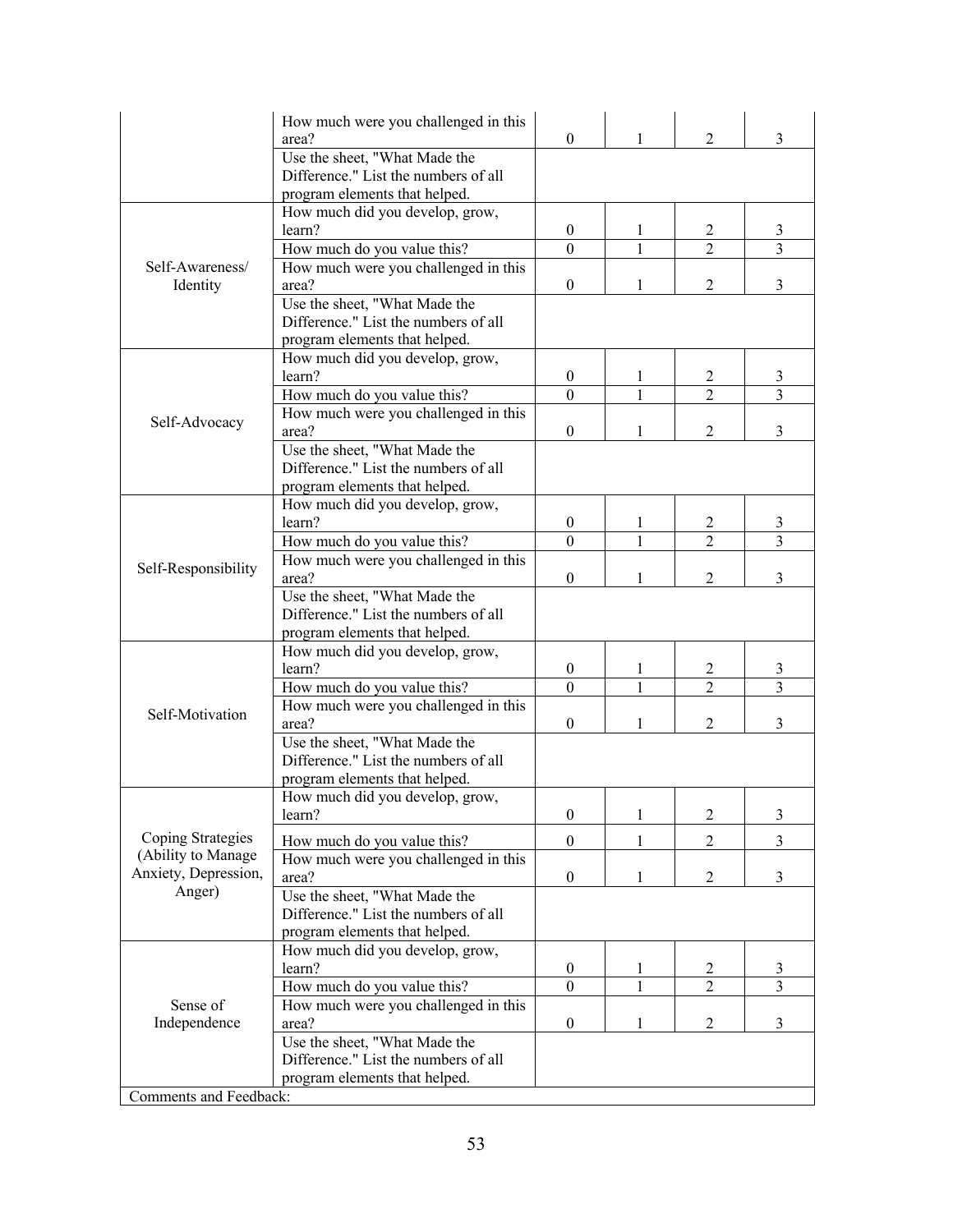|                        | How much were you challenged in this<br>area? | $\overline{0}$   | 1 | $\overline{2}$ | 3 |
|------------------------|-----------------------------------------------|------------------|---|----------------|---|
|                        | Use the sheet, "What Made the                 |                  |   |                |   |
|                        | Difference." List the numbers of all          |                  |   |                |   |
|                        | program elements that helped.                 |                  |   |                |   |
|                        | How much did you develop, grow,               |                  |   |                |   |
|                        | learn?                                        | $\overline{0}$   | 1 | 2              | 3 |
|                        | How much do you value this?                   | $\Omega$         | 1 | 2              | 3 |
| Self-Awareness/        | How much were you challenged in this          |                  |   |                |   |
| Identity               | area?                                         | $\boldsymbol{0}$ |   | 2              | 3 |
|                        | Use the sheet, "What Made the                 |                  |   |                |   |
|                        | Difference." List the numbers of all          |                  |   |                |   |
|                        | program elements that helped.                 |                  |   |                |   |
|                        | How much did you develop, grow,               |                  |   |                |   |
|                        | learn?                                        | $\overline{0}$   | 1 | 2              | 3 |
|                        | How much do you value this?                   | $\Omega$         |   | $\mathfrak{D}$ | 3 |
| Self-Advocacy          | How much were you challenged in this          |                  |   |                |   |
|                        | area?                                         | $\mathbf{0}$     | 1 | $\overline{2}$ | 3 |
|                        | Use the sheet, "What Made the                 |                  |   |                |   |
|                        | Difference." List the numbers of all          |                  |   |                |   |
|                        | program elements that helped.                 |                  |   |                |   |
|                        | How much did you develop, grow,               |                  |   |                |   |
|                        | learn?                                        | $\overline{0}$   | 1 | 2              | 3 |
|                        | How much do you value this?                   | $\Omega$         |   | $\mathfrak{D}$ | 3 |
| Self-Responsibility    | How much were you challenged in this          |                  |   |                |   |
|                        | area?                                         | $\boldsymbol{0}$ |   | 2              | 3 |
|                        | Use the sheet, "What Made the                 |                  |   |                |   |
|                        | Difference." List the numbers of all          |                  |   |                |   |
|                        | program elements that helped.                 |                  |   |                |   |
|                        | How much did you develop, grow,               |                  |   |                |   |
|                        | learn?                                        | $\boldsymbol{0}$ | 1 | $\overline{2}$ | 3 |
|                        | How much do you value this?                   | $\theta$         |   | $\overline{2}$ | 3 |
| Self-Motivation        | How much were you challenged in this          |                  |   |                |   |
|                        | area?                                         | $\boldsymbol{0}$ |   | 2              | 3 |
|                        | Use the sheet, "What Made the                 |                  |   |                |   |
|                        | Difference." List the numbers of all          |                  |   |                |   |
|                        | program elements that helped.                 |                  |   |                |   |
|                        | How much did you develop, grow,               |                  |   |                |   |
|                        | learn?                                        | $\boldsymbol{0}$ | 1 | $\overline{2}$ | 3 |
| Coping Strategies      | How much do you value this?                   | $\boldsymbol{0}$ | 1 | 2              | 3 |
| (Ability to Manage     | How much were you challenged in this          |                  |   |                |   |
| Anxiety, Depression,   | area?                                         | $\boldsymbol{0}$ | 1 | $\overline{2}$ | 3 |
| Anger)                 | Use the sheet, "What Made the                 |                  |   |                |   |
|                        | Difference." List the numbers of all          |                  |   |                |   |
|                        | program elements that helped.                 |                  |   |                |   |
|                        | How much did you develop, grow,               |                  |   |                |   |
|                        | learn?                                        | $\boldsymbol{0}$ | 1 | 2              | 3 |
|                        | How much do you value this?                   | $\Omega$         |   | $\overline{2}$ | 3 |
| Sense of               | How much were you challenged in this          |                  |   |                |   |
| Independence           | area?                                         | $\boldsymbol{0}$ | 1 | $\overline{2}$ | 3 |
|                        | Use the sheet, "What Made the                 |                  |   |                |   |
|                        | Difference." List the numbers of all          |                  |   |                |   |
|                        | program elements that helped.                 |                  |   |                |   |
| Comments and Feedback: |                                               |                  |   |                |   |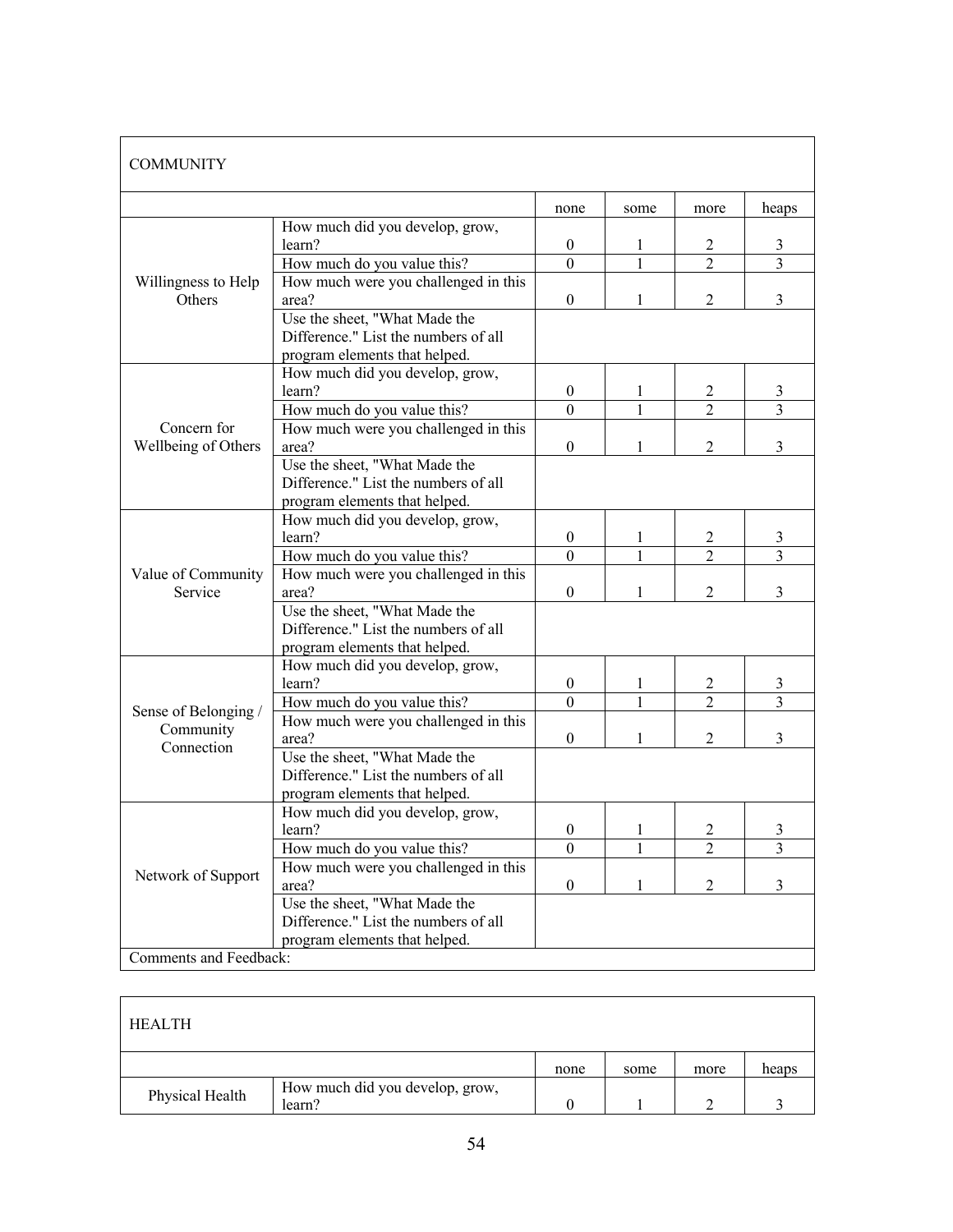| <b>COMMUNITY</b>                     |                                                                                                        |                  |              |                |                |
|--------------------------------------|--------------------------------------------------------------------------------------------------------|------------------|--------------|----------------|----------------|
|                                      |                                                                                                        | none             | some         | more           | heaps          |
|                                      | How much did you develop, grow,<br>learn?                                                              | $\boldsymbol{0}$ | 1            | 2              | 3              |
|                                      | How much do you value this?                                                                            | $\mathbf{0}$     | $\mathbf{1}$ | $\mathfrak{D}$ | $\overline{3}$ |
| Willingness to Help<br><b>Others</b> | How much were you challenged in this<br>area?                                                          | $\mathbf{0}$     | 1            | $\overline{c}$ | 3              |
|                                      | Use the sheet, "What Made the<br>Difference." List the numbers of all<br>program elements that helped. |                  |              |                |                |
|                                      | How much did you develop, grow,<br>learn?                                                              | $\boldsymbol{0}$ | 1            | 2              | 3              |
|                                      | How much do you value this?                                                                            | $\theta$         |              | $\overline{2}$ | 3              |
| Concern for<br>Wellbeing of Others   | How much were you challenged in this<br>area?                                                          | $\boldsymbol{0}$ | 1            | $\overline{2}$ | $\overline{3}$ |
|                                      | Use the sheet, "What Made the<br>Difference." List the numbers of all<br>program elements that helped. |                  |              |                |                |
|                                      | How much did you develop, grow,<br>learn?                                                              | $\overline{0}$   | 1            | 2              | 3              |
|                                      | How much do you value this?                                                                            | $\Omega$         | 1            | $\mathfrak{D}$ | 3              |
| Value of Community<br>Service        | How much were you challenged in this<br>area?                                                          | $\mathbf{0}$     | 1            | $\mathfrak{D}$ | 3              |
|                                      | Use the sheet, "What Made the<br>Difference." List the numbers of all<br>program elements that helped. |                  |              |                |                |
|                                      | How much did you develop, grow,<br>learn?                                                              | $\boldsymbol{0}$ | 1            | $\overline{c}$ | 3              |
| Sense of Belonging /                 | How much do you value this?                                                                            | $\Omega$         | $\mathbf{1}$ | $\mathfrak{D}$ | $\overline{3}$ |
| Community<br>Connection              | How much were you challenged in this<br>area?                                                          | $\mathbf{0}$     |              | $\overline{2}$ | 3              |
|                                      | Use the sheet, "What Made the<br>Difference." List the numbers of all<br>program elements that helped. |                  |              |                |                |
|                                      | How much did you develop, grow,<br>learn?                                                              | $\boldsymbol{0}$ |              | 2              | 3              |
|                                      | How much do you value this?                                                                            | $\boldsymbol{0}$ | 1            | 2              | 3              |
| Network of Support                   | How much were you challenged in this<br>area?                                                          | $\boldsymbol{0}$ | 1            | $\overline{2}$ | 3              |
|                                      | Use the sheet, "What Made the<br>Difference." List the numbers of all<br>program elements that helped. |                  |              |                |                |
| Comments and Feedback:               |                                                                                                        |                  |              |                |                |

| <b>HEALTH</b>   |                                           |      |      |      |       |
|-----------------|-------------------------------------------|------|------|------|-------|
|                 |                                           | none | some | more | heaps |
| Physical Health | How much did you develop, grow,<br>learn? |      |      |      |       |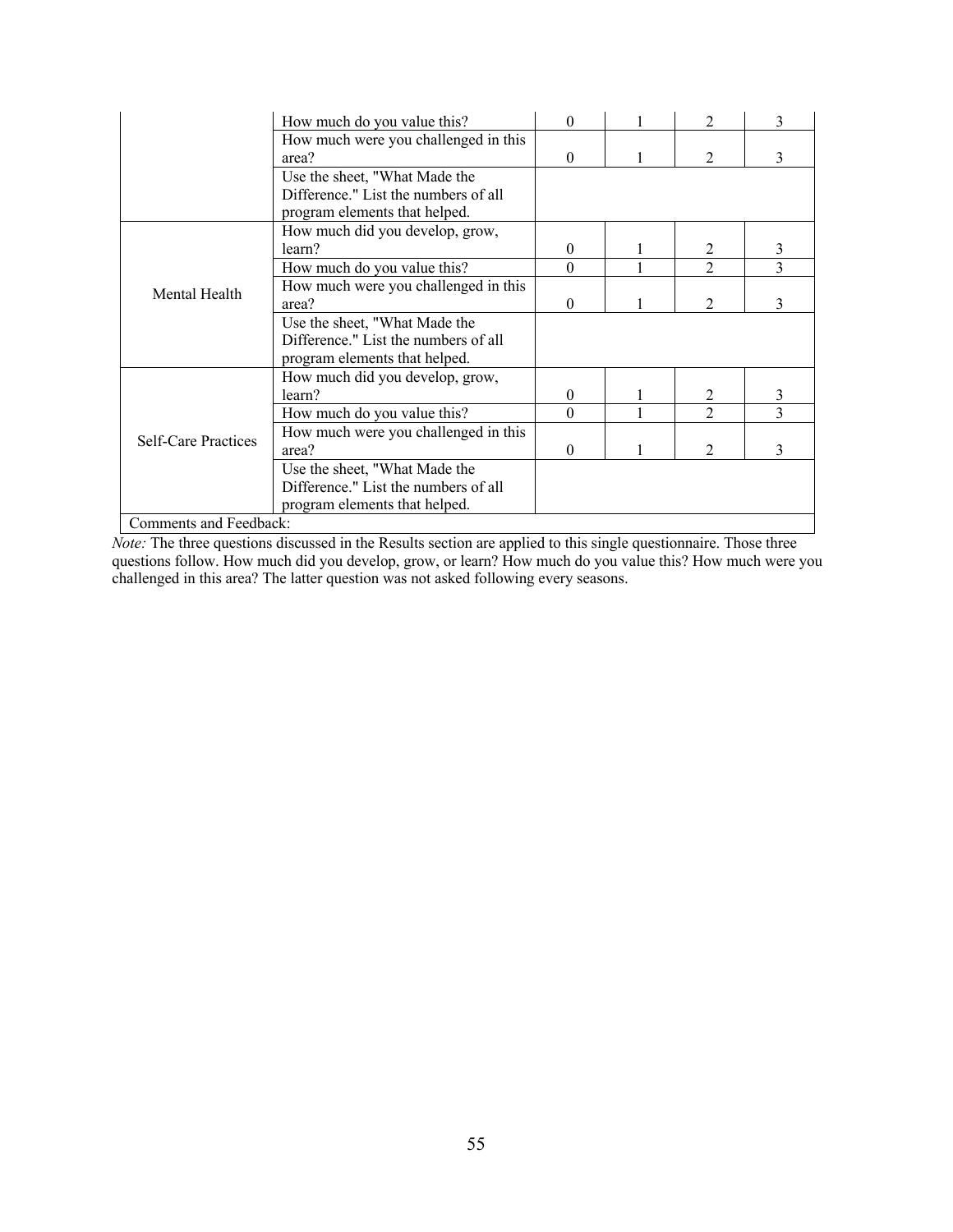|                            | How much do you value this?          | $\Omega$ |  |                             | 3             |
|----------------------------|--------------------------------------|----------|--|-----------------------------|---------------|
|                            | How much were you challenged in this |          |  |                             |               |
|                            | area?                                | $\Omega$ |  | $\mathfrak{D}$              | 3             |
|                            | Use the sheet, "What Made the        |          |  |                             |               |
|                            | Difference." List the numbers of all |          |  |                             |               |
|                            | program elements that helped.        |          |  |                             |               |
|                            | How much did you develop, grow,      |          |  |                             |               |
|                            | learn?                               | $\theta$ |  | 2                           | 3             |
|                            | How much do you value this?          | $\Omega$ |  | $\mathcal{D}_{\mathcal{L}}$ | $\mathcal{E}$ |
| Mental Health              | How much were you challenged in this |          |  |                             |               |
|                            | area?                                | $\Omega$ |  | $\mathcal{D}_{\mathcal{L}}$ | 3             |
|                            | Use the sheet, "What Made the        |          |  |                             |               |
|                            | Difference." List the numbers of all |          |  |                             |               |
|                            | program elements that helped.        |          |  |                             |               |
|                            | How much did you develop, grow,      |          |  |                             |               |
|                            | learn?                               | $\theta$ |  | $\mathfrak{D}$              | 3             |
|                            | How much do you value this?          | $\Omega$ |  | $\mathfrak{D}$              | 3             |
| <b>Self-Care Practices</b> | How much were you challenged in this |          |  |                             |               |
|                            | area?                                | $\theta$ |  | 2                           | 3             |
|                            | Use the sheet, "What Made the        |          |  |                             |               |
|                            | Difference." List the numbers of all |          |  |                             |               |
|                            | program elements that helped.        |          |  |                             |               |
| Comments and Feedback:     |                                      |          |  |                             |               |

*Note:* The three questions discussed in the Results section are applied to this single questionnaire. Those three questions follow. How much did you develop, grow, or learn? How much do you value this? How much were you challenged in this area? The latter question was not asked following every seasons.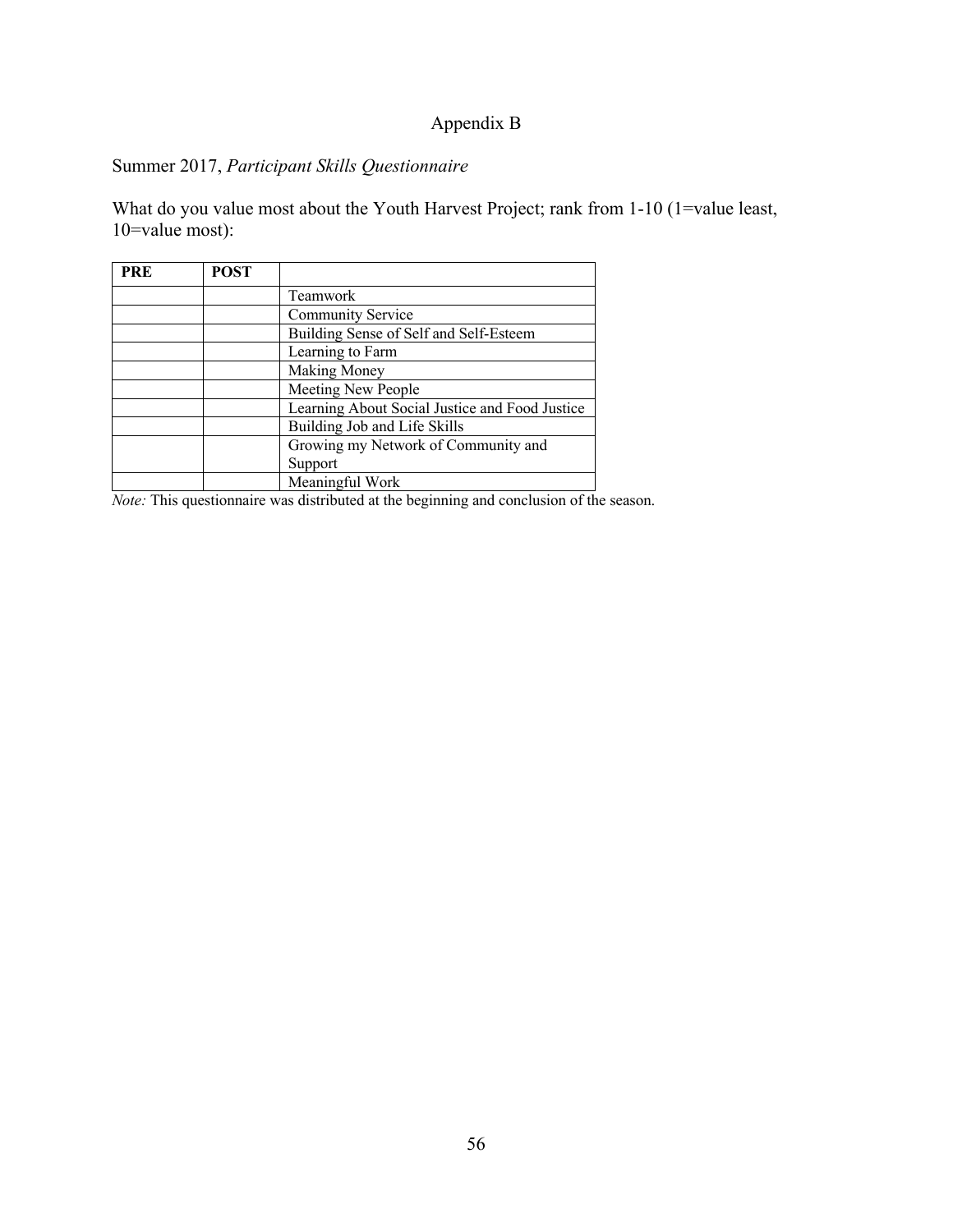# Appendix B

# Summer 2017, *Participant Skills Questionnaire*

What do you value most about the Youth Harvest Project; rank from 1-10 (1=value least, 10=value most):

| <b>PRE</b> | <b>POST</b> |                                                |
|------------|-------------|------------------------------------------------|
|            |             | Teamwork                                       |
|            |             | Community Service                              |
|            |             | Building Sense of Self and Self-Esteem         |
|            |             | Learning to Farm                               |
|            |             | <b>Making Money</b>                            |
|            |             | Meeting New People                             |
|            |             | Learning About Social Justice and Food Justice |
|            |             | Building Job and Life Skills                   |
|            |             | Growing my Network of Community and            |
|            |             | Support                                        |
|            |             | Meaningful Work                                |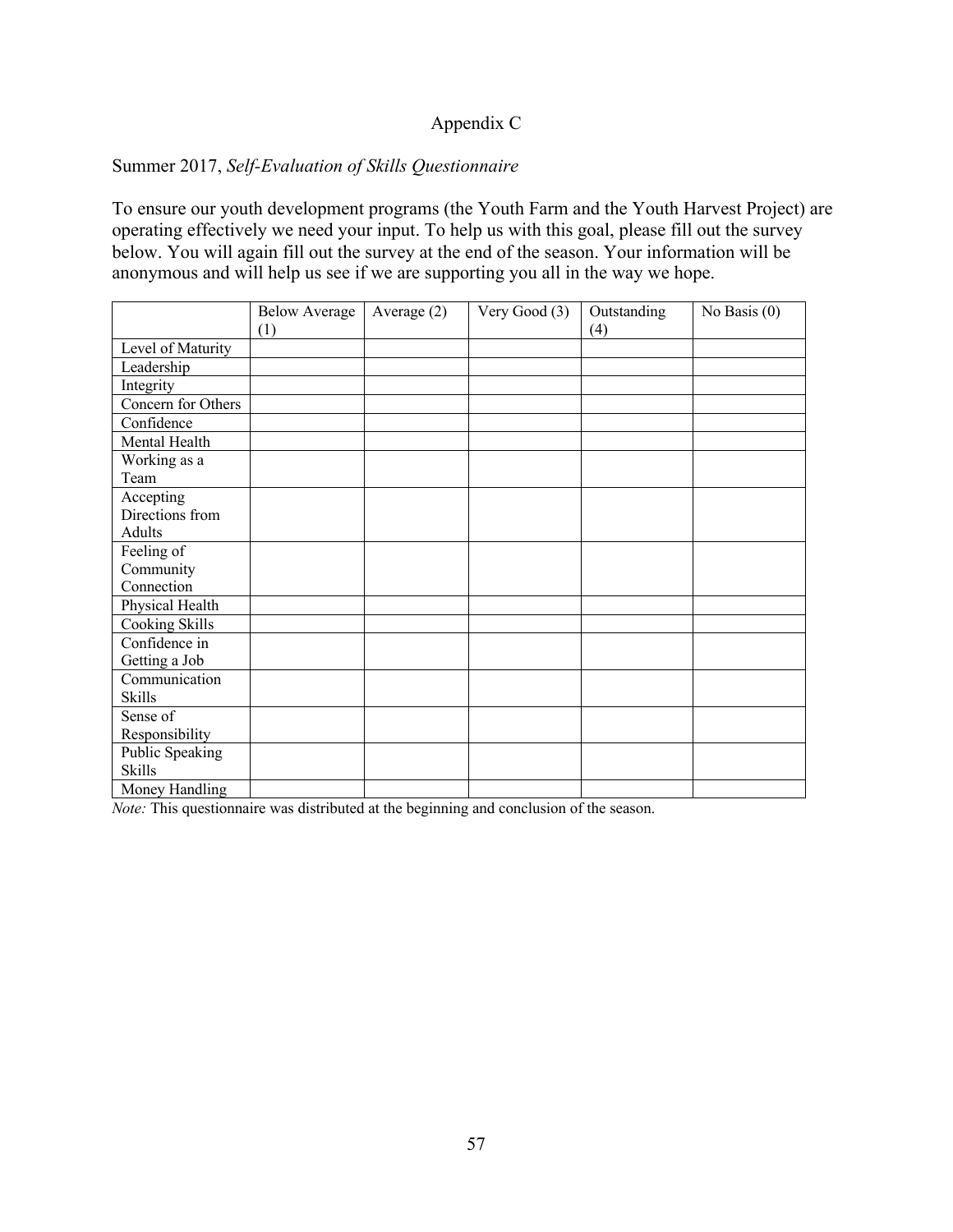## Appendix C

### Summer 2017, *Self-Evaluation of Skills Questionnaire*

To ensure our youth development programs (the Youth Farm and the Youth Harvest Project) are operating effectively we need your input. To help us with this goal, please fill out the survey below. You will again fill out the survey at the end of the season. Your information will be anonymous and will help us see if we are supporting you all in the way we hope.

|                    | <b>Below Average</b> | Average $(2)$ | Very Good (3) | Outstanding | No Basis $(0)$ |
|--------------------|----------------------|---------------|---------------|-------------|----------------|
|                    | (1)                  |               |               | (4)         |                |
| Level of Maturity  |                      |               |               |             |                |
| Leadership         |                      |               |               |             |                |
| Integrity          |                      |               |               |             |                |
| Concern for Others |                      |               |               |             |                |
| Confidence         |                      |               |               |             |                |
| Mental Health      |                      |               |               |             |                |
| Working as a       |                      |               |               |             |                |
| Team               |                      |               |               |             |                |
| Accepting          |                      |               |               |             |                |
| Directions from    |                      |               |               |             |                |
| Adults             |                      |               |               |             |                |
| Feeling of         |                      |               |               |             |                |
| Community          |                      |               |               |             |                |
| Connection         |                      |               |               |             |                |
| Physical Health    |                      |               |               |             |                |
| Cooking Skills     |                      |               |               |             |                |
| Confidence in      |                      |               |               |             |                |
| Getting a Job      |                      |               |               |             |                |
| Communication      |                      |               |               |             |                |
| <b>Skills</b>      |                      |               |               |             |                |
| Sense of           |                      |               |               |             |                |
| Responsibility     |                      |               |               |             |                |
| Public Speaking    |                      |               |               |             |                |
| <b>Skills</b>      |                      |               |               |             |                |
| Money Handling     |                      |               |               |             |                |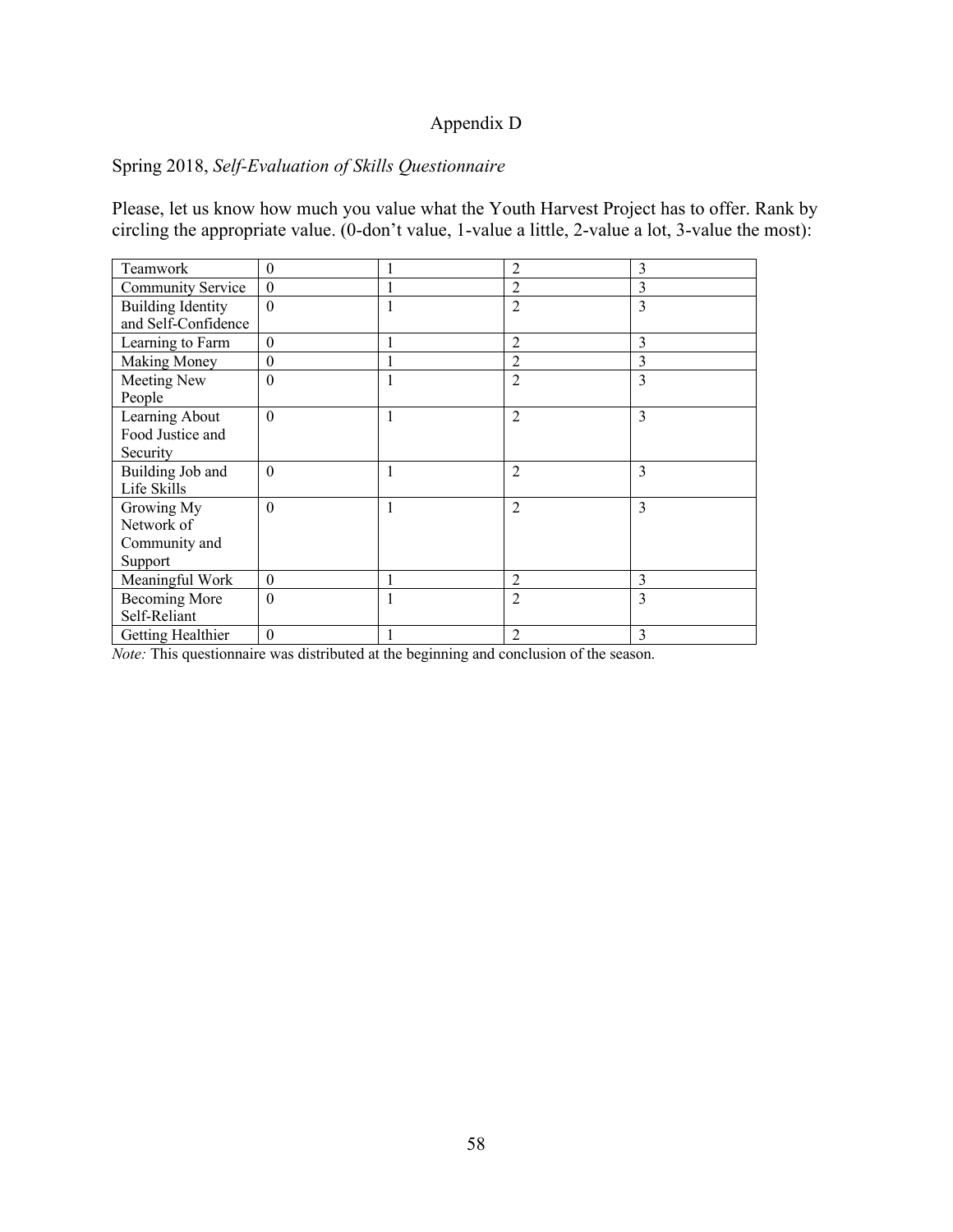# Appendix D

# Spring 2018, *Self-Evaluation of Skills Questionnaire*

Please, let us know how much you value what the Youth Harvest Project has to offer. Rank by circling the appropriate value. (0-don't value, 1-value a little, 2-value a lot, 3-value the most):

| Teamwork                 | $\boldsymbol{0}$ |              | 2              | 3 |
|--------------------------|------------------|--------------|----------------|---|
| Community Service        | $\boldsymbol{0}$ |              | 2              | 3 |
| <b>Building Identity</b> | $\mathbf{0}$     | 1            | $\overline{2}$ | 3 |
| and Self-Confidence      |                  |              |                |   |
| Learning to Farm         | $\boldsymbol{0}$ | 1            | 2              | 3 |
| <b>Making Money</b>      | $\boldsymbol{0}$ | $\mathbf{1}$ | $\overline{2}$ | 3 |
| Meeting New              | $\mathbf{0}$     | 1            | $\overline{2}$ | 3 |
| People                   |                  |              |                |   |
| Learning About           | $\theta$         | 1            | $\mathfrak{D}$ | 3 |
| Food Justice and         |                  |              |                |   |
| Security                 |                  |              |                |   |
| Building Job and         | $\theta$         | $\mathbf{1}$ | $\overline{2}$ | 3 |
| Life Skills              |                  |              |                |   |
| Growing My               | $\overline{0}$   | 1            | $\overline{2}$ | 3 |
| Network of               |                  |              |                |   |
| Community and            |                  |              |                |   |
| Support                  |                  |              |                |   |
| Meaningful Work          | $\theta$         | 1            | $\overline{2}$ | 3 |
| Becoming More            | $\mathbf{0}$     | 1            | $\overline{2}$ | 3 |
| Self-Reliant             |                  |              |                |   |
| Getting Healthier        | $\boldsymbol{0}$ |              | $\mathfrak{D}$ | 3 |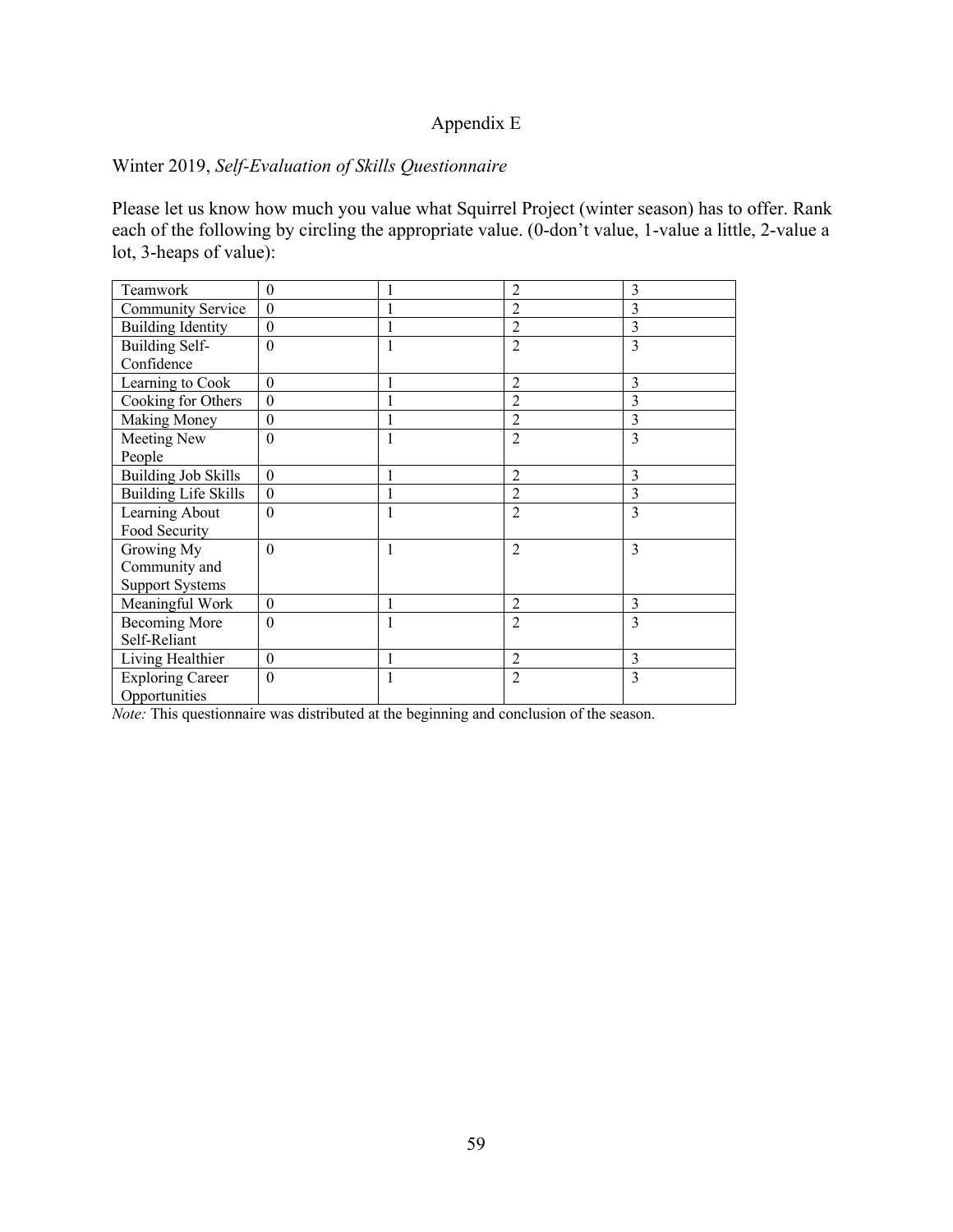### Appendix E

# Winter 2019, *Self-Evaluation of Skills Questionnaire*

Please let us know how much you value what Squirrel Project (winter season) has to offer. Rank each of the following by circling the appropriate value. (0-don't value, 1-value a little, 2-value a lot, 3-heaps of value):

| Teamwork                    | $\theta$       |   | $\overline{2}$ | 3 |
|-----------------------------|----------------|---|----------------|---|
| Community Service           | $\theta$       |   | $\overline{2}$ | 3 |
| <b>Building Identity</b>    | $\theta$       |   | $\overline{2}$ | 3 |
| <b>Building Self-</b>       | $\theta$       |   | $\overline{2}$ | 3 |
| Confidence                  |                |   |                |   |
| Learning to Cook            | $\theta$       | 1 | $\overline{2}$ | 3 |
| Cooking for Others          | $\theta$       |   | 2              | 3 |
| Making Money                | $\mathbf{0}$   |   | $\overline{2}$ | 3 |
| Meeting New                 | $\theta$       | 1 | $\overline{2}$ | 3 |
| People                      |                |   |                |   |
| <b>Building Job Skills</b>  | $\theta$       |   | $\overline{2}$ | 3 |
| <b>Building Life Skills</b> | $\overline{0}$ |   | $\overline{2}$ | 3 |
| Learning About              | $\theta$       |   | $\overline{2}$ | 3 |
| Food Security               |                |   |                |   |
| Growing My                  | $\theta$       | 1 | $\mathfrak{D}$ | 3 |
| Community and               |                |   |                |   |
| <b>Support Systems</b>      |                |   |                |   |
| Meaningful Work             | $\theta$       |   | $\mathfrak{D}$ | 3 |
| <b>Becoming More</b>        | $\theta$       | 1 | $\overline{2}$ | 3 |
| Self-Reliant                |                |   |                |   |
| Living Healthier            | $\theta$       | 1 | $\overline{2}$ | 3 |
| <b>Exploring Career</b>     | $\theta$       | 1 | $\overline{2}$ | 3 |
| Opportunities               |                |   |                |   |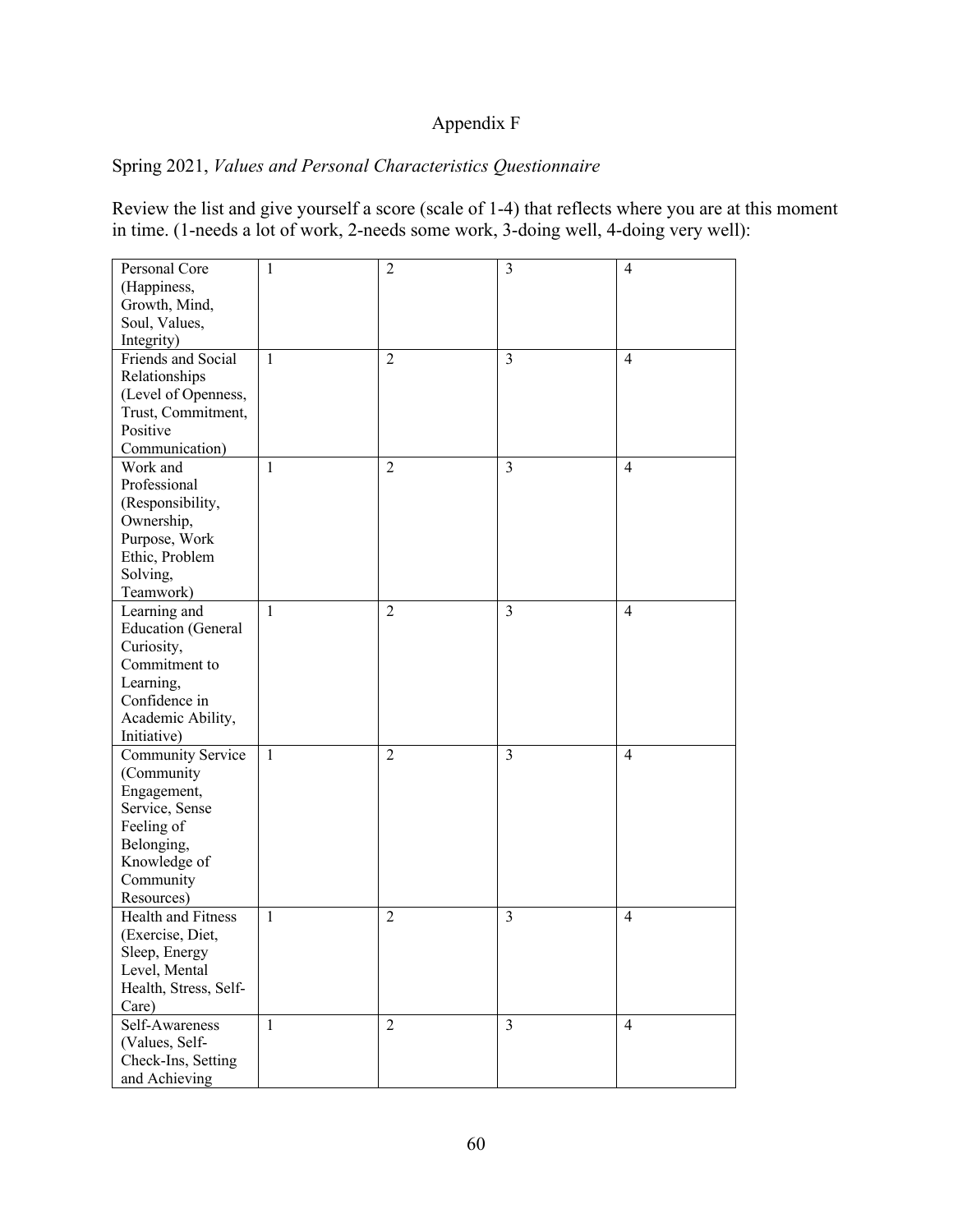# Appendix F

# Spring 2021, *Values and Personal Characteristics Questionnaire*

Review the list and give yourself a score (scale of 1-4) that reflects where you are at this moment in time. (1-needs a lot of work, 2-needs some work, 3-doing well, 4-doing very well):

| Personal Core             | 1            | $\overline{2}$ | 3              | $\overline{4}$ |
|---------------------------|--------------|----------------|----------------|----------------|
| (Happiness,               |              |                |                |                |
| Growth, Mind,             |              |                |                |                |
| Soul, Values,             |              |                |                |                |
| Integrity)                |              |                |                |                |
| Friends and Social        | 1            | $\overline{2}$ | $\overline{3}$ | $\overline{4}$ |
| Relationships             |              |                |                |                |
| (Level of Openness,       |              |                |                |                |
| Trust, Commitment,        |              |                |                |                |
| Positive                  |              |                |                |                |
| Communication)            |              |                |                |                |
| Work and                  | $\mathbf{1}$ | $\overline{2}$ | 3              | $\overline{4}$ |
| Professional              |              |                |                |                |
| (Responsibility,          |              |                |                |                |
| Ownership,                |              |                |                |                |
| Purpose, Work             |              |                |                |                |
| Ethic, Problem            |              |                |                |                |
| Solving,                  |              |                |                |                |
| Teamwork)                 |              |                |                |                |
| Learning and              | $\mathbf{1}$ | $\overline{2}$ | $\overline{3}$ | $\overline{4}$ |
| <b>Education</b> (General |              |                |                |                |
| Curiosity,                |              |                |                |                |
| Commitment to             |              |                |                |                |
| Learning,                 |              |                |                |                |
| Confidence in             |              |                |                |                |
| Academic Ability,         |              |                |                |                |
| Initiative)               |              |                |                |                |
| Community Service         | 1            | $\overline{2}$ | 3              | $\overline{4}$ |
| (Community                |              |                |                |                |
| Engagement,               |              |                |                |                |
| Service, Sense            |              |                |                |                |
| Feeling of                |              |                |                |                |
| Belonging,                |              |                |                |                |
| Knowledge of              |              |                |                |                |
| Community                 |              |                |                |                |
| Resources)                |              |                |                |                |
| Health and Fitness        | $\mathbf{1}$ | $\overline{2}$ | 3              | $\overline{4}$ |
| (Exercise, Diet,          |              |                |                |                |
| Sleep, Energy             |              |                |                |                |
| Level, Mental             |              |                |                |                |
| Health, Stress, Self-     |              |                |                |                |
| Care)                     |              |                |                |                |
| Self-Awareness            | $\mathbf{1}$ | $\overline{2}$ | $\overline{3}$ | $\overline{4}$ |
| (Values, Self-            |              |                |                |                |
|                           |              |                |                |                |
| Check-Ins, Setting        |              |                |                |                |
| and Achieving             |              |                |                |                |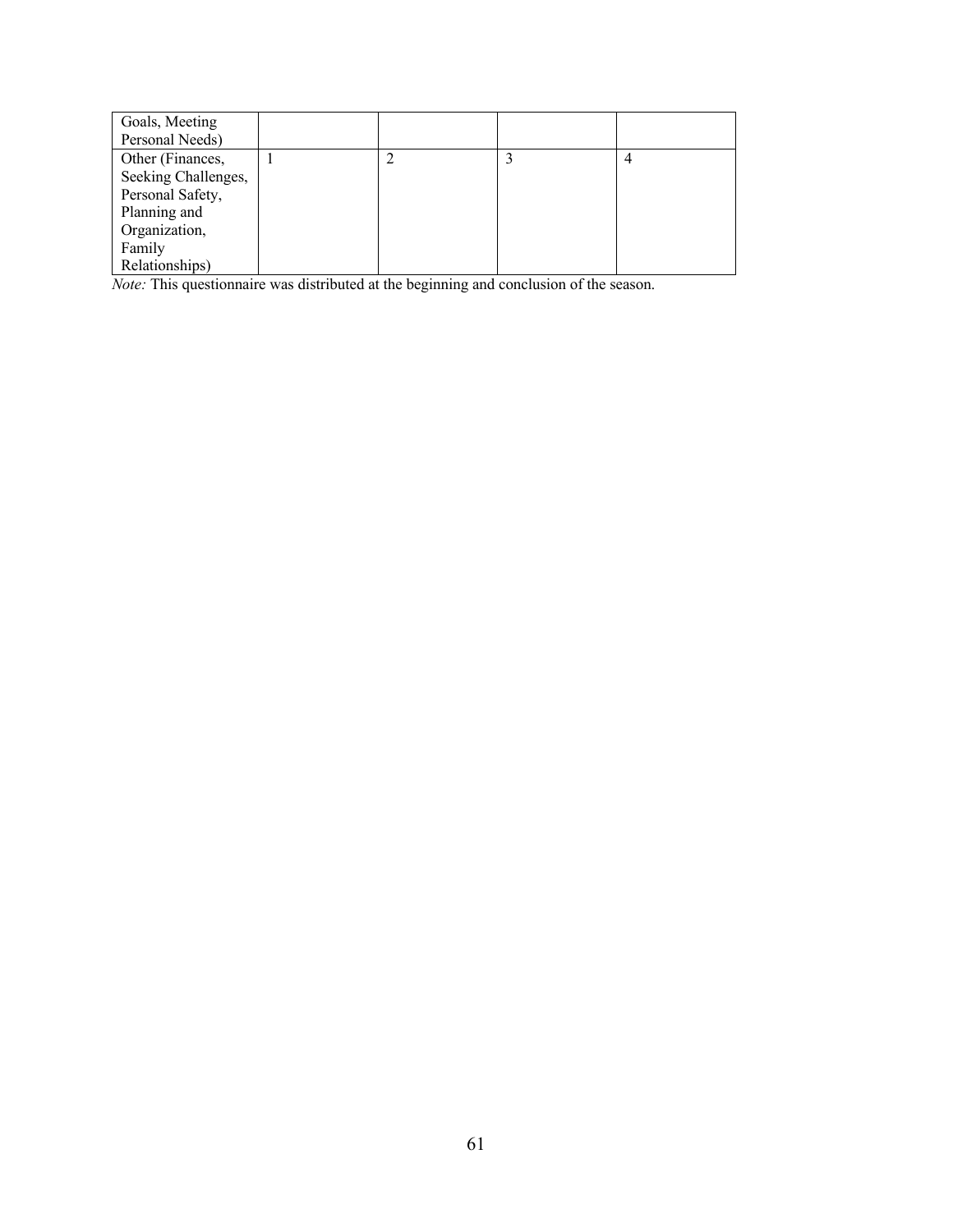| Goals, Meeting      |  |  |
|---------------------|--|--|
| Personal Needs)     |  |  |
| Other (Finances,    |  |  |
| Seeking Challenges, |  |  |
| Personal Safety,    |  |  |
| Planning and        |  |  |
| Organization,       |  |  |
| Family              |  |  |
| Relationships)      |  |  |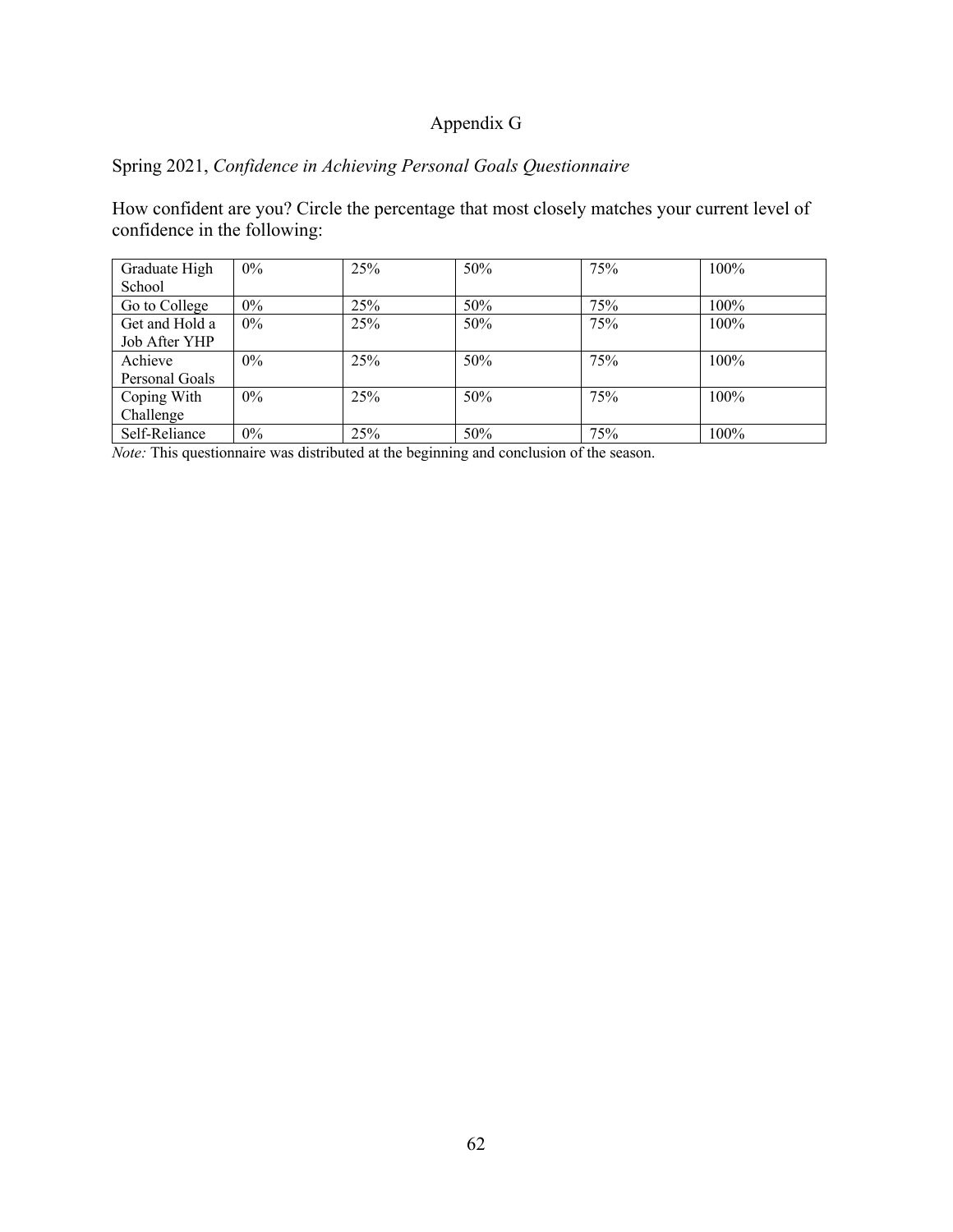# Appendix G

# Spring 2021, *Confidence in Achieving Personal Goals Questionnaire*

How confident are you? Circle the percentage that most closely matches your current level of confidence in the following:

| Graduate High<br>School | $0\%$ | 25% | 50% | 75% | 100% |
|-------------------------|-------|-----|-----|-----|------|
| Go to College           | 0%    | 25% | 50% | 75% | 100% |
| Get and Hold a          | $0\%$ | 25% | 50% | 75% | 100% |
| Job After YHP           |       |     |     |     |      |
| Achieve                 | $0\%$ | 25% | 50% | 75% | 100% |
| Personal Goals          |       |     |     |     |      |
| Coping With             | $0\%$ | 25% | 50% | 75% | 100% |
| Challenge               |       |     |     |     |      |
| Self-Reliance           | $0\%$ | 25% | 50% | 75% | 100% |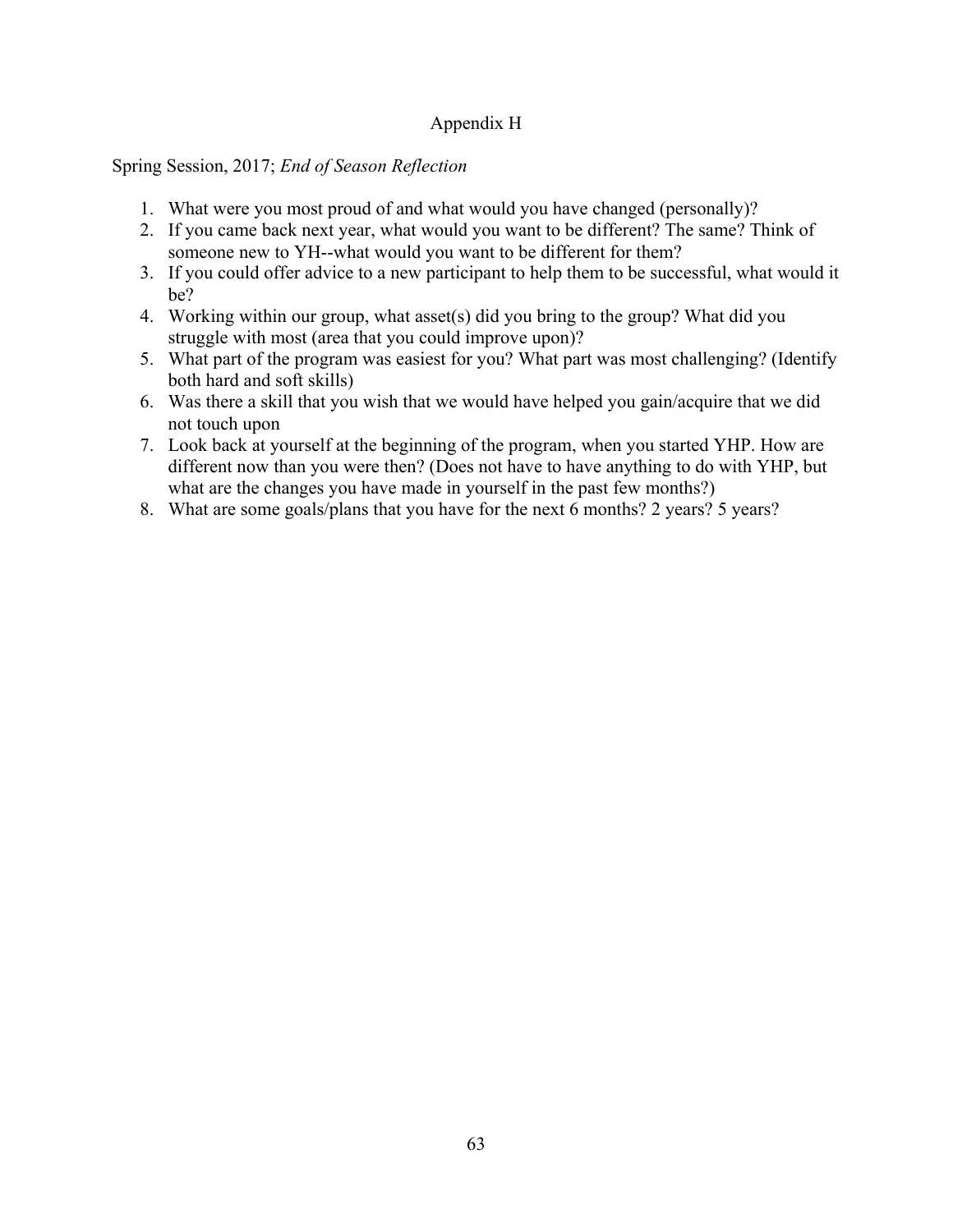# Appendix H

Spring Session, 2017; *End of Season Reflection*

- 1. What were you most proud of and what would you have changed (personally)?
- 2. If you came back next year, what would you want to be different? The same? Think of someone new to YH--what would you want to be different for them?
- 3. If you could offer advice to a new participant to help them to be successful, what would it be?
- 4. Working within our group, what asset(s) did you bring to the group? What did you struggle with most (area that you could improve upon)?
- 5. What part of the program was easiest for you? What part was most challenging? (Identify both hard and soft skills)
- 6. Was there a skill that you wish that we would have helped you gain/acquire that we did not touch upon
- 7. Look back at yourself at the beginning of the program, when you started YHP. How are different now than you were then? (Does not have to have anything to do with YHP, but what are the changes you have made in yourself in the past few months?)
- 8. What are some goals/plans that you have for the next 6 months? 2 years? 5 years?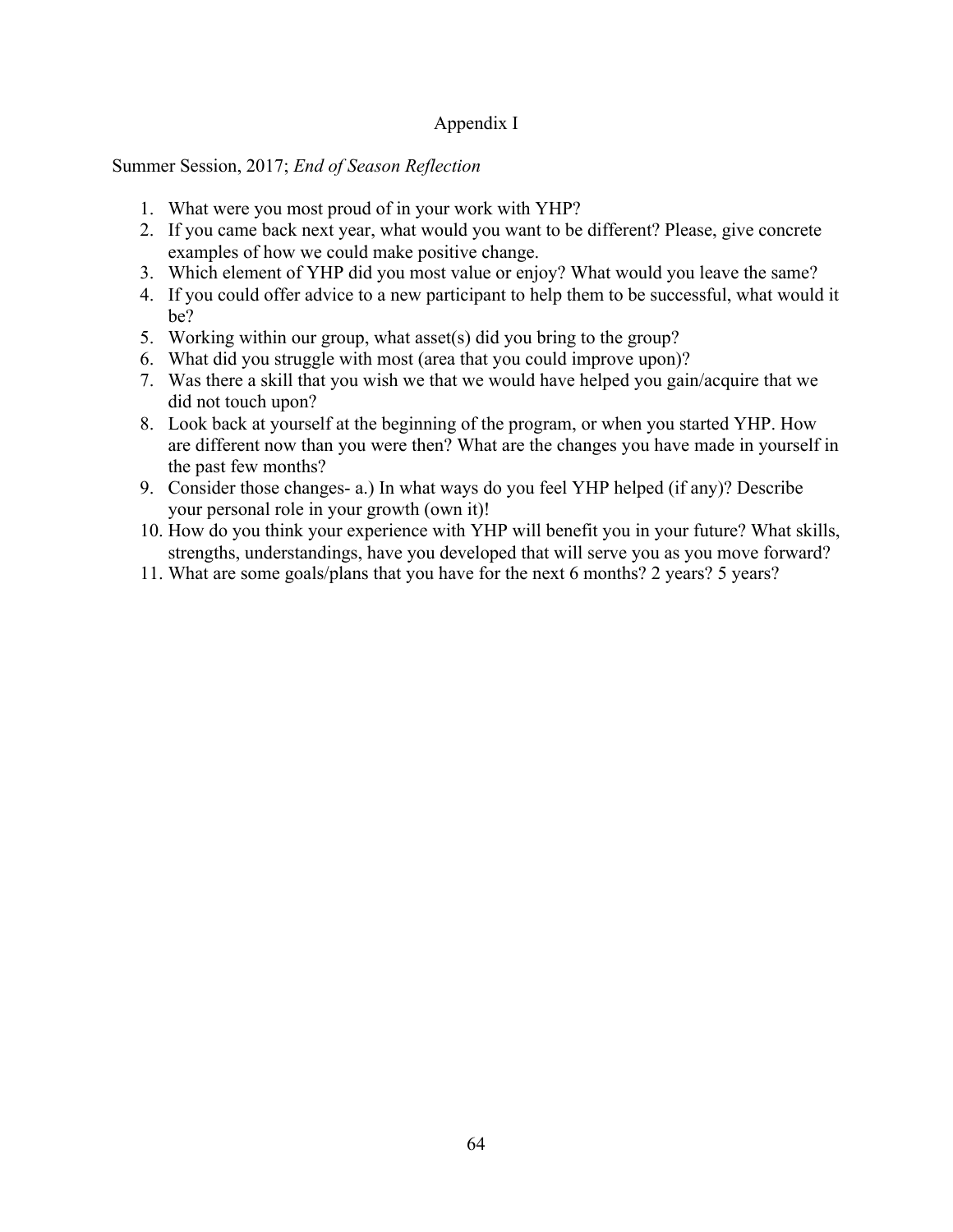# Appendix I

### Summer Session, 2017; *End of Season Reflection*

- 1. What were you most proud of in your work with YHP?
- 2. If you came back next year, what would you want to be different? Please, give concrete examples of how we could make positive change.
- 3. Which element of YHP did you most value or enjoy? What would you leave the same?
- 4. If you could offer advice to a new participant to help them to be successful, what would it be?
- 5. Working within our group, what asset(s) did you bring to the group?
- 6. What did you struggle with most (area that you could improve upon)?
- 7. Was there a skill that you wish we that we would have helped you gain/acquire that we did not touch upon?
- 8. Look back at yourself at the beginning of the program, or when you started YHP. How are different now than you were then? What are the changes you have made in yourself in the past few months?
- 9. Consider those changes- a.) In what ways do you feel YHP helped (if any)? Describe your personal role in your growth (own it)!
- 10. How do you think your experience with YHP will benefit you in your future? What skills, strengths, understandings, have you developed that will serve you as you move forward?
- 11. What are some goals/plans that you have for the next 6 months? 2 years? 5 years?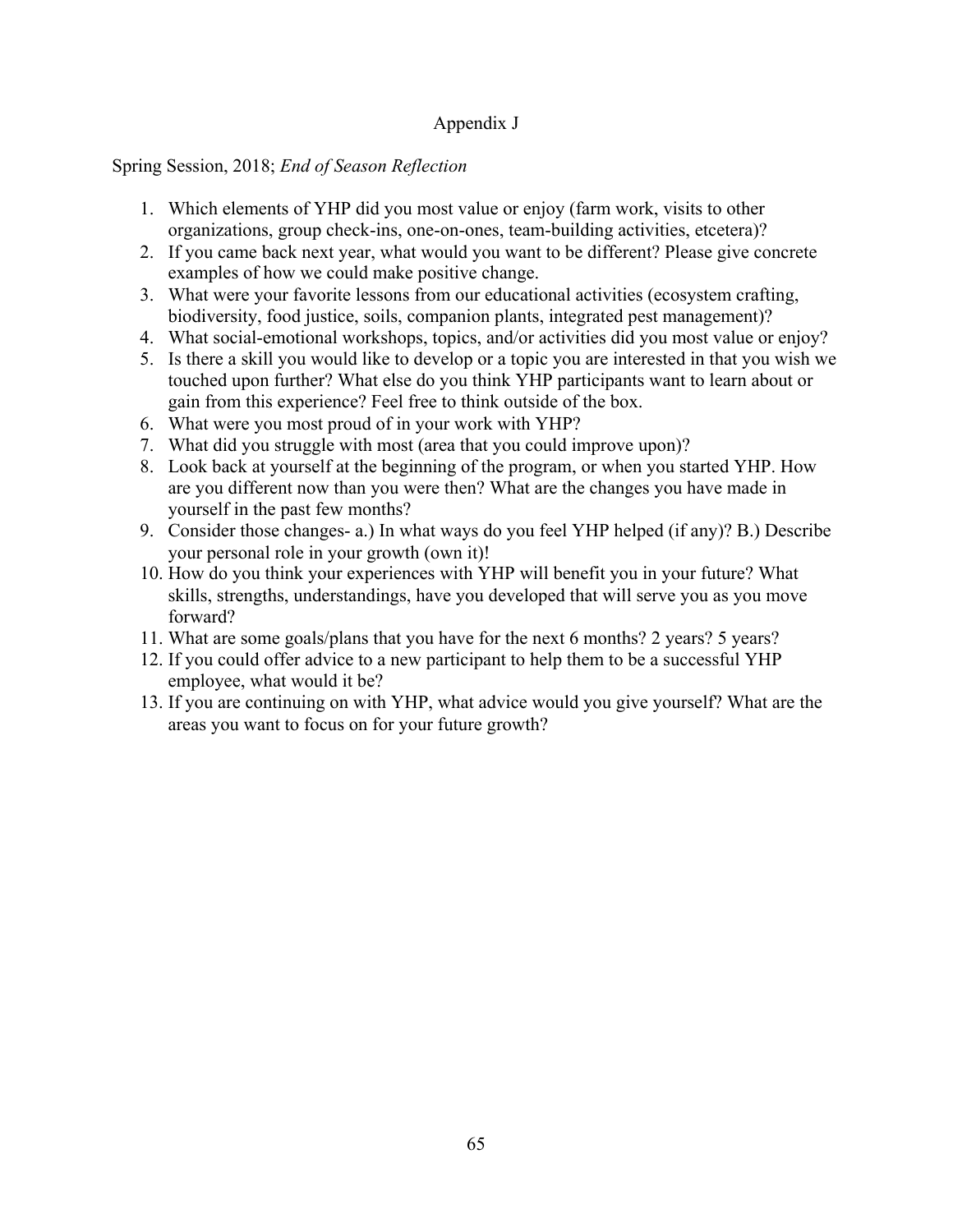# Appendix J

## Spring Session, 2018; *End of Season Reflection*

- 1. Which elements of YHP did you most value or enjoy (farm work, visits to other organizations, group check-ins, one-on-ones, team-building activities, etcetera)?
- 2. If you came back next year, what would you want to be different? Please give concrete examples of how we could make positive change.
- 3. What were your favorite lessons from our educational activities (ecosystem crafting, biodiversity, food justice, soils, companion plants, integrated pest management)?
- 4. What social-emotional workshops, topics, and/or activities did you most value or enjoy?
- 5. Is there a skill you would like to develop or a topic you are interested in that you wish we touched upon further? What else do you think YHP participants want to learn about or gain from this experience? Feel free to think outside of the box.
- 6. What were you most proud of in your work with YHP?
- 7. What did you struggle with most (area that you could improve upon)?
- 8. Look back at yourself at the beginning of the program, or when you started YHP. How are you different now than you were then? What are the changes you have made in yourself in the past few months?
- 9. Consider those changes- a.) In what ways do you feel YHP helped (if any)? B.) Describe your personal role in your growth (own it)!
- 10. How do you think your experiences with YHP will benefit you in your future? What skills, strengths, understandings, have you developed that will serve you as you move forward?
- 11. What are some goals/plans that you have for the next 6 months? 2 years? 5 years?
- 12. If you could offer advice to a new participant to help them to be a successful YHP employee, what would it be?
- 13. If you are continuing on with YHP, what advice would you give yourself? What are the areas you want to focus on for your future growth?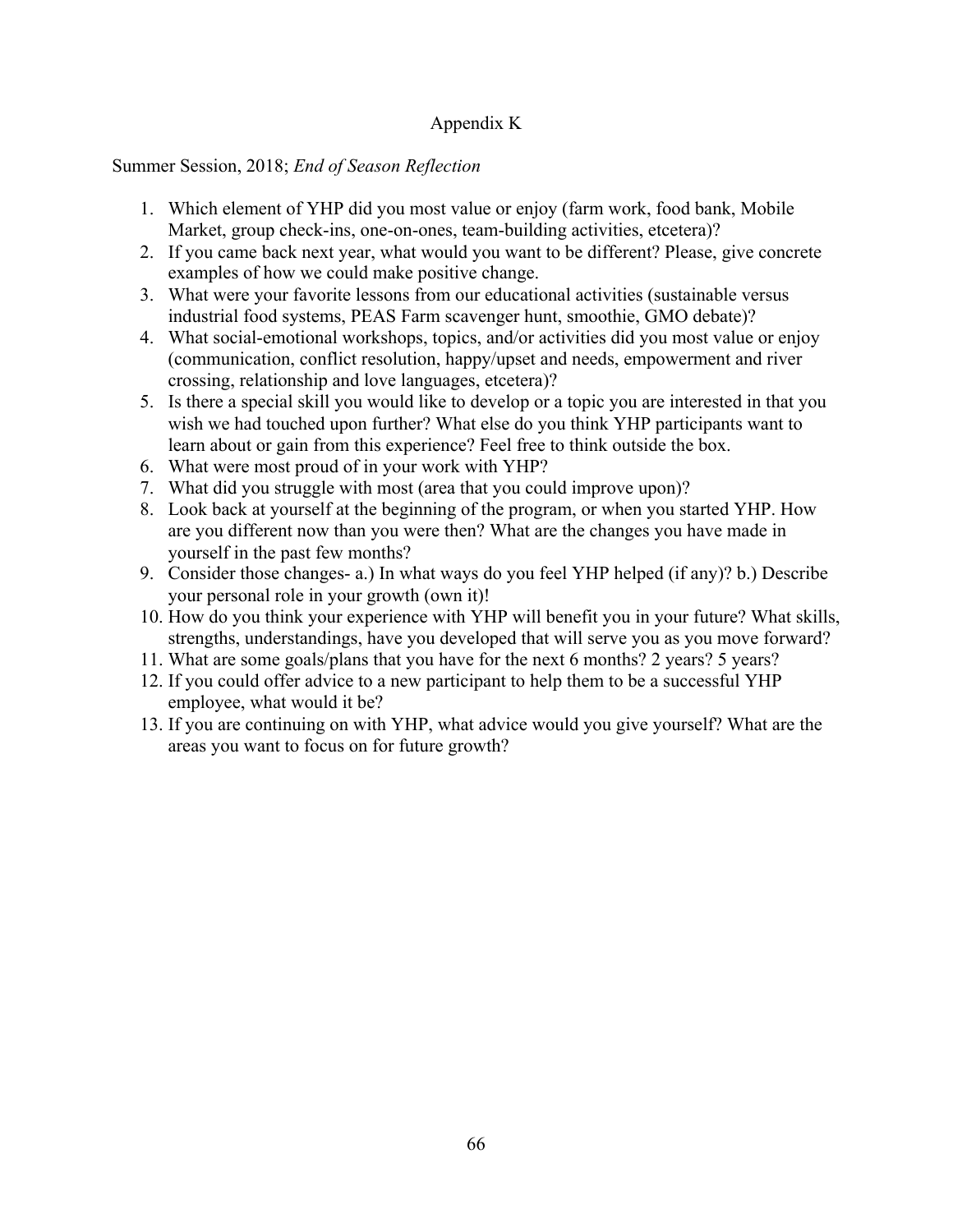# Appendix K

## Summer Session, 2018; *End of Season Reflection*

- 1. Which element of YHP did you most value or enjoy (farm work, food bank, Mobile Market, group check-ins, one-on-ones, team-building activities, etcetera)?
- 2. If you came back next year, what would you want to be different? Please, give concrete examples of how we could make positive change.
- 3. What were your favorite lessons from our educational activities (sustainable versus industrial food systems, PEAS Farm scavenger hunt, smoothie, GMO debate)?
- 4. What social-emotional workshops, topics, and/or activities did you most value or enjoy (communication, conflict resolution, happy/upset and needs, empowerment and river crossing, relationship and love languages, etcetera)?
- 5. Is there a special skill you would like to develop or a topic you are interested in that you wish we had touched upon further? What else do you think YHP participants want to learn about or gain from this experience? Feel free to think outside the box.
- 6. What were most proud of in your work with YHP?
- 7. What did you struggle with most (area that you could improve upon)?
- 8. Look back at yourself at the beginning of the program, or when you started YHP. How are you different now than you were then? What are the changes you have made in yourself in the past few months?
- 9. Consider those changes- a.) In what ways do you feel YHP helped (if any)? b.) Describe your personal role in your growth (own it)!
- 10. How do you think your experience with YHP will benefit you in your future? What skills, strengths, understandings, have you developed that will serve you as you move forward?
- 11. What are some goals/plans that you have for the next 6 months? 2 years? 5 years?
- 12. If you could offer advice to a new participant to help them to be a successful YHP employee, what would it be?
- 13. If you are continuing on with YHP, what advice would you give yourself? What are the areas you want to focus on for future growth?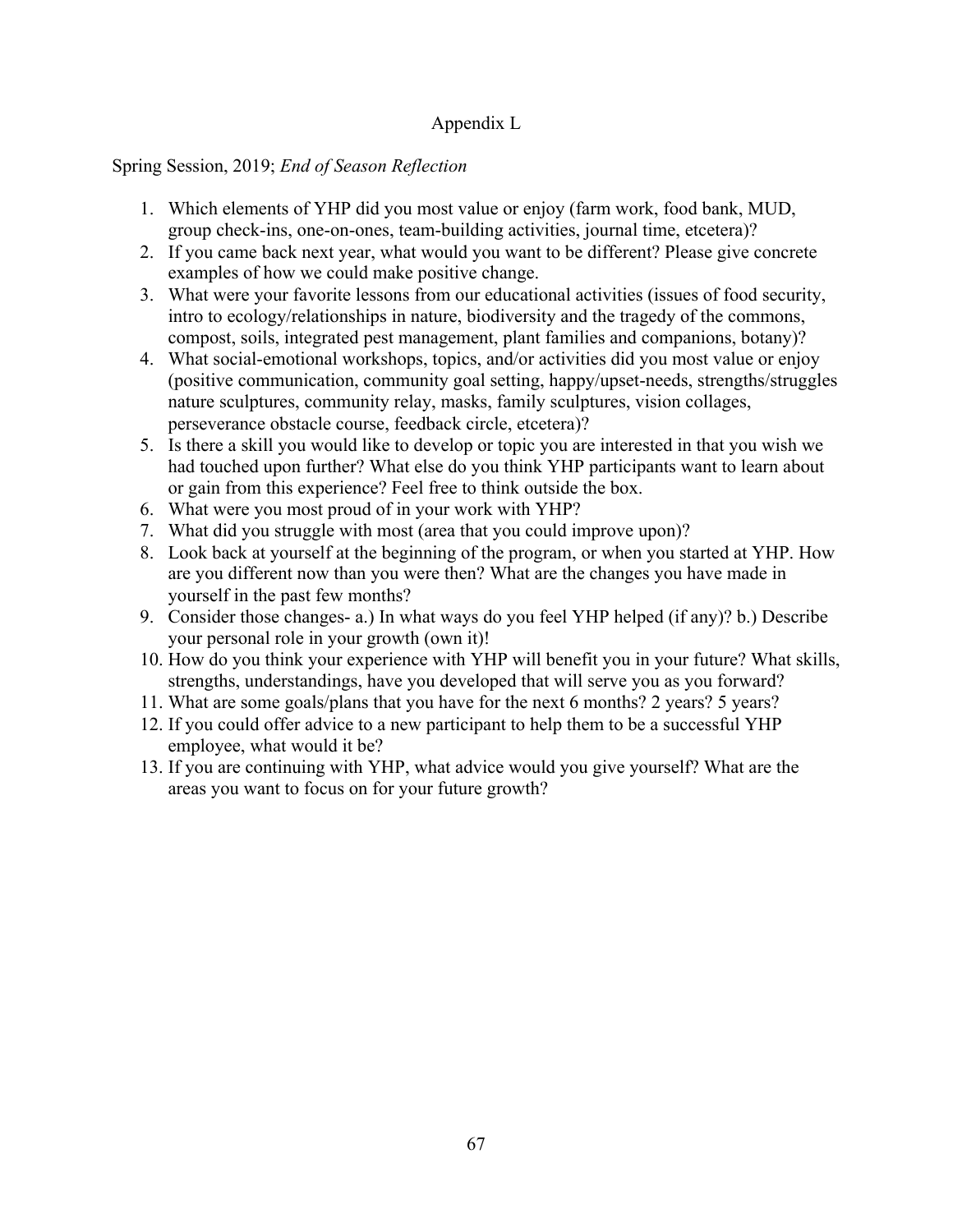# Appendix L

# Spring Session, 2019; *End of Season Reflection*

- 1. Which elements of YHP did you most value or enjoy (farm work, food bank, MUD, group check-ins, one-on-ones, team-building activities, journal time, etcetera)?
- 2. If you came back next year, what would you want to be different? Please give concrete examples of how we could make positive change.
- 3. What were your favorite lessons from our educational activities (issues of food security, intro to ecology/relationships in nature, biodiversity and the tragedy of the commons, compost, soils, integrated pest management, plant families and companions, botany)?
- 4. What social-emotional workshops, topics, and/or activities did you most value or enjoy (positive communication, community goal setting, happy/upset-needs, strengths/struggles nature sculptures, community relay, masks, family sculptures, vision collages, perseverance obstacle course, feedback circle, etcetera)?
- 5. Is there a skill you would like to develop or topic you are interested in that you wish we had touched upon further? What else do you think YHP participants want to learn about or gain from this experience? Feel free to think outside the box.
- 6. What were you most proud of in your work with YHP?
- 7. What did you struggle with most (area that you could improve upon)?
- 8. Look back at yourself at the beginning of the program, or when you started at YHP. How are you different now than you were then? What are the changes you have made in yourself in the past few months?
- 9. Consider those changes- a.) In what ways do you feel YHP helped (if any)? b.) Describe your personal role in your growth (own it)!
- 10. How do you think your experience with YHP will benefit you in your future? What skills, strengths, understandings, have you developed that will serve you as you forward?
- 11. What are some goals/plans that you have for the next 6 months? 2 years? 5 years?
- 12. If you could offer advice to a new participant to help them to be a successful YHP employee, what would it be?
- 13. If you are continuing with YHP, what advice would you give yourself? What are the areas you want to focus on for your future growth?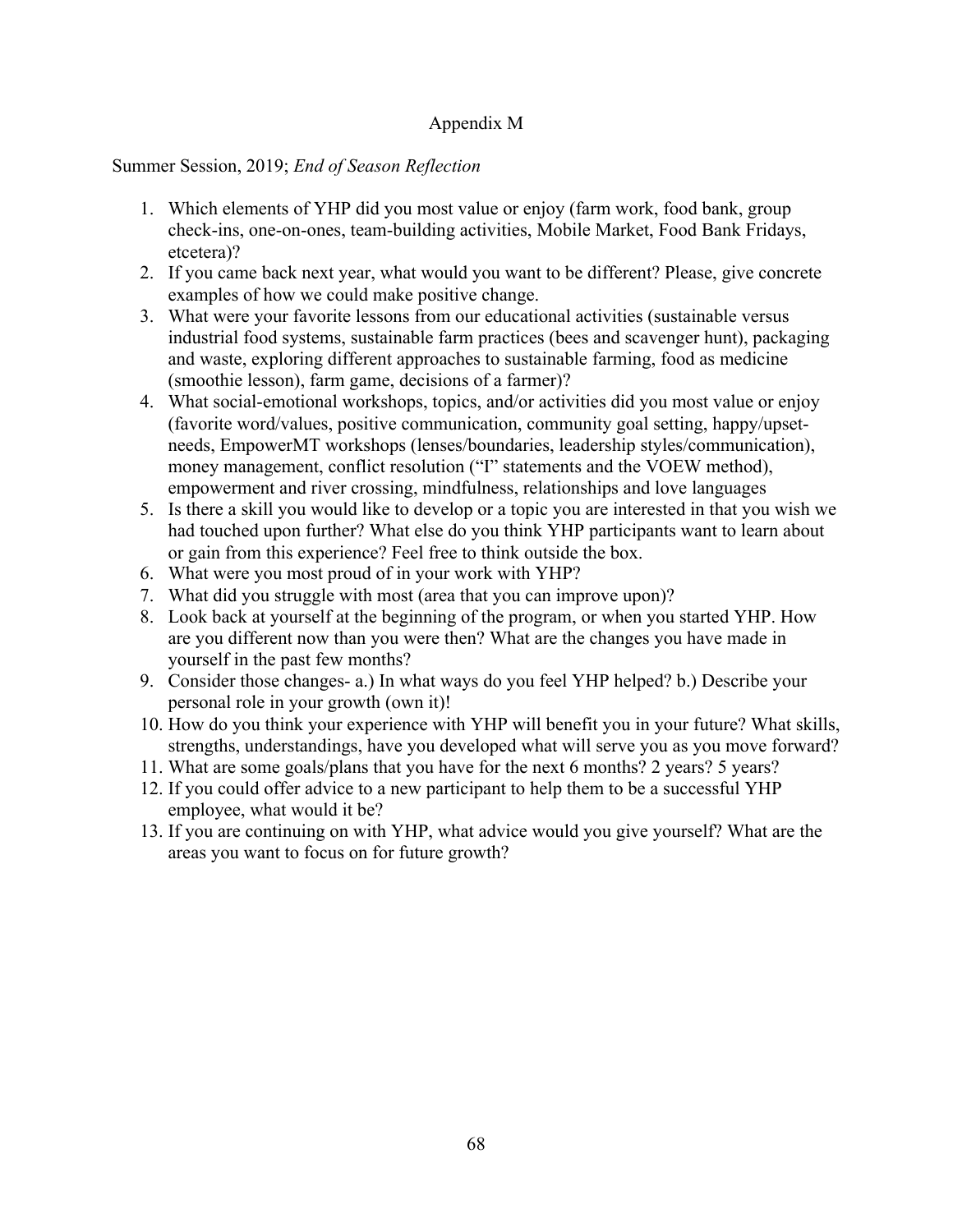## Appendix M

## Summer Session, 2019; *End of Season Reflection*

- 1. Which elements of YHP did you most value or enjoy (farm work, food bank, group check-ins, one-on-ones, team-building activities, Mobile Market, Food Bank Fridays, etcetera)?
- 2. If you came back next year, what would you want to be different? Please, give concrete examples of how we could make positive change.
- 3. What were your favorite lessons from our educational activities (sustainable versus industrial food systems, sustainable farm practices (bees and scavenger hunt), packaging and waste, exploring different approaches to sustainable farming, food as medicine (smoothie lesson), farm game, decisions of a farmer)?
- 4. What social-emotional workshops, topics, and/or activities did you most value or enjoy (favorite word/values, positive communication, community goal setting, happy/upsetneeds, EmpowerMT workshops (lenses/boundaries, leadership styles/communication), money management, conflict resolution ("I" statements and the VOEW method), empowerment and river crossing, mindfulness, relationships and love languages
- 5. Is there a skill you would like to develop or a topic you are interested in that you wish we had touched upon further? What else do you think YHP participants want to learn about or gain from this experience? Feel free to think outside the box.
- 6. What were you most proud of in your work with YHP?
- 7. What did you struggle with most (area that you can improve upon)?
- 8. Look back at yourself at the beginning of the program, or when you started YHP. How are you different now than you were then? What are the changes you have made in yourself in the past few months?
- 9. Consider those changes- a.) In what ways do you feel YHP helped? b.) Describe your personal role in your growth (own it)!
- 10. How do you think your experience with YHP will benefit you in your future? What skills, strengths, understandings, have you developed what will serve you as you move forward?
- 11. What are some goals/plans that you have for the next 6 months? 2 years? 5 years?
- 12. If you could offer advice to a new participant to help them to be a successful YHP employee, what would it be?
- 13. If you are continuing on with YHP, what advice would you give yourself? What are the areas you want to focus on for future growth?